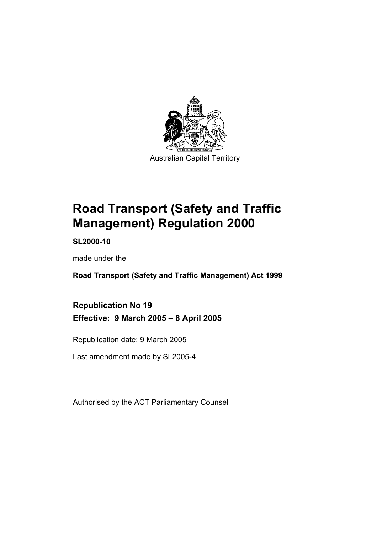

**Road Transport (Safety and Traffic Management) Regulation 2000** 

**SL2000-10** 

made under the

**Road Transport (Safety and Traffic Management) Act 1999** 

**Republication No 19 Effective: 9 March 2005 – 8 April 2005** 

Republication date: 9 March 2005

Last amendment made by SL2005-4

Authorised by the ACT Parliamentary Counsel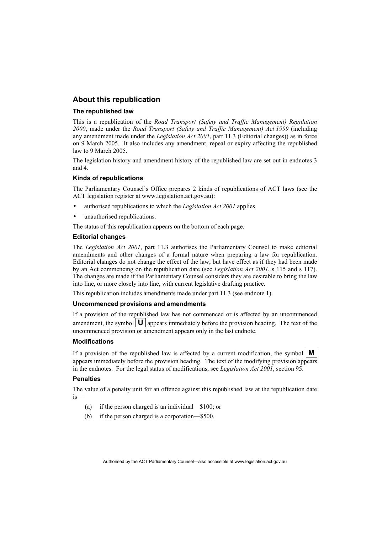#### **About this republication**

#### **The republished law**

This is a republication of the *Road Transport (Safety and Traffic Management) Regulation 2000*, made under the *Road Transport (Safety and Traffic Management) Act 1999* (including any amendment made under the *Legislation Act 2001*, part 11.3 (Editorial changes)) as in force on 9 March 2005*.* It also includes any amendment, repeal or expiry affecting the republished law to 9 March 2005.

The legislation history and amendment history of the republished law are set out in endnotes 3 and 4.

#### **Kinds of republications**

The Parliamentary Counsel's Office prepares 2 kinds of republications of ACT laws (see the ACT legislation register at www.legislation.act.gov.au):

- authorised republications to which the *Legislation Act 2001* applies
- unauthorised republications.

The status of this republication appears on the bottom of each page.

#### **Editorial changes**

The *Legislation Act 2001*, part 11.3 authorises the Parliamentary Counsel to make editorial amendments and other changes of a formal nature when preparing a law for republication. Editorial changes do not change the effect of the law, but have effect as if they had been made by an Act commencing on the republication date (see *Legislation Act 2001*, s 115 and s 117). The changes are made if the Parliamentary Counsel considers they are desirable to bring the law into line, or more closely into line, with current legislative drafting practice.

This republication includes amendments made under part 11.3 (see endnote 1).

#### **Uncommenced provisions and amendments**

If a provision of the republished law has not commenced or is affected by an uncommenced amendment, the symbol  $\mathbf{U}$  appears immediately before the provision heading. The text of the uncommenced provision or amendment appears only in the last endnote.

#### **Modifications**

If a provision of the republished law is affected by a current modification, the symbol  $\mathbf{M}$ appears immediately before the provision heading. The text of the modifying provision appears in the endnotes. For the legal status of modifications, see *Legislation Act 2001*, section 95.

#### **Penalties**

The value of a penalty unit for an offence against this republished law at the republication date is—

- (a) if the person charged is an individual—\$100; or
- (b) if the person charged is a corporation—\$500.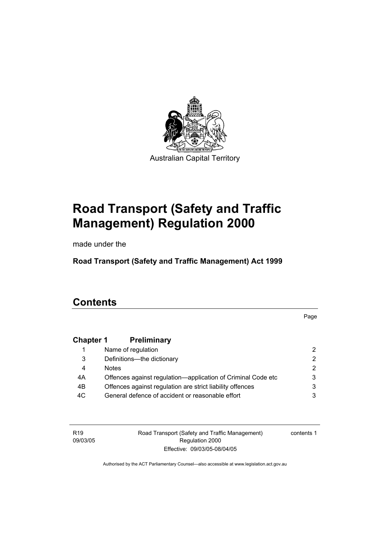

# **Road Transport (Safety and Traffic Management) Regulation 2000**

made under the

**Road Transport (Safety and Traffic Management) Act 1999** 

# **Contents**

Page

### **Chapter 1 Preliminary**

|     | Name of regulation                                           |   |
|-----|--------------------------------------------------------------|---|
| 3   | Definitions-the dictionary                                   | 2 |
| 4   | <b>Notes</b>                                                 |   |
| 4A  | Offences against regulation—application of Criminal Code etc |   |
| 4B  | Offences against regulation are strict liability offences    |   |
| 4C. | General defence of accident or reasonable effort             |   |

R19 09/03/05 Road Transport (Safety and Traffic Management) Regulation 2000 Effective: 09/03/05-08/04/05

contents 1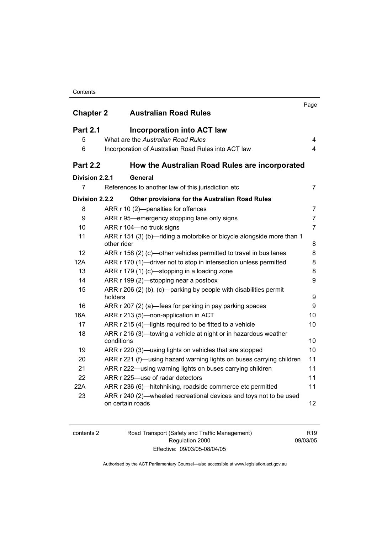#### **Contents**

|                  |                                                                                                                                                      | Page           |
|------------------|------------------------------------------------------------------------------------------------------------------------------------------------------|----------------|
| <b>Chapter 2</b> | <b>Australian Road Rules</b>                                                                                                                         |                |
| <b>Part 2.1</b>  | <b>Incorporation into ACT law</b>                                                                                                                    |                |
| 5                | What are the Australian Road Rules                                                                                                                   | 4              |
| 6                | Incorporation of Australian Road Rules into ACT law                                                                                                  | $\overline{4}$ |
| <b>Part 2.2</b>  | How the Australian Road Rules are incorporated                                                                                                       |                |
| Division 2.2.1   | General                                                                                                                                              |                |
| $\overline{7}$   | References to another law of this jurisdiction etc                                                                                                   | $\overline{7}$ |
| Division 2.2.2   | <b>Other provisions for the Australian Road Rules</b>                                                                                                |                |
| 8                | ARR r 10 (2)-penalties for offences                                                                                                                  | $\overline{7}$ |
| 9                | ARR r 95—emergency stopping lane only signs                                                                                                          | $\overline{7}$ |
| 10               | ARR r 104-no truck signs                                                                                                                             | $\overline{7}$ |
| 11               | ARR r 151 (3) (b)-riding a motorbike or bicycle alongside more than 1<br>other rider                                                                 | 8              |
| 12               | ARR r 158 (2) (c)—other vehicles permitted to travel in bus lanes                                                                                    | 8              |
| 12A              | ARR r 170 (1)-driver not to stop in intersection unless permitted                                                                                    | 8              |
| 13               | ARR r 179 (1) (c)-stopping in a loading zone                                                                                                         | 8              |
| 14               | ARR r 199 (2)—stopping near a postbox                                                                                                                | 9              |
| 15               | ARR r 206 (2) (b), (c)—parking by people with disabilities permit<br>holders                                                                         | 9              |
| 16               | ARR r 207 (2) (a)—fees for parking in pay parking spaces                                                                                             | 9              |
| 16A              | ARR r 213 (5)-non-application in ACT                                                                                                                 | 10             |
| 17               | ARR r 215 (4)-lights required to be fitted to a vehicle                                                                                              | 10             |
| 18               | ARR r 216 (3)—towing a vehicle at night or in hazardous weather                                                                                      |                |
|                  | conditions                                                                                                                                           | 10             |
| 19               | ARR r 220 (3)—using lights on vehicles that are stopped                                                                                              | 10             |
| 20               | ARR r 221 (f)—using hazard warning lights on buses carrying children                                                                                 | 11             |
| 21               | ARR r 222—using warning lights on buses carrying children                                                                                            | 11             |
| 22               | ARR r 225-use of radar detectors                                                                                                                     | 11             |
| 22A<br>23        | ARR r 236 (6)—hitchhiking, roadside commerce etc permitted<br>ARR r 240 (2)—wheeled recreational devices and toys not to be used<br>on certain roads | 11<br>12       |

| contents 2 |
|------------|
|------------|

contents 2 Road Transport (Safety and Traffic Management) Regulation 2000 Effective: 09/03/05-08/04/05

R19 09/03/05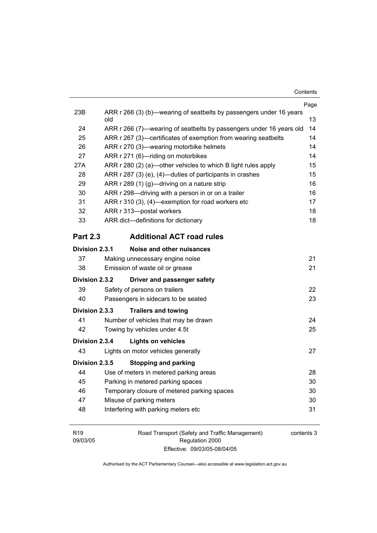|                       |                                                                            | Page |  |
|-----------------------|----------------------------------------------------------------------------|------|--|
| 23B                   | ARR r 266 (3) (b)—wearing of seatbelts by passengers under 16 years<br>old | 13   |  |
| 24                    | ARR r 266 (7)—wearing of seatbelts by passengers under 16 years old        | 14   |  |
| 25                    | ARR r 267 (3)—certificates of exemption from wearing seatbelts             |      |  |
| 26                    | ARR r 270 (3)—wearing motorbike helmets                                    | 14   |  |
| 27                    | ARR r 271 (6)-riding on motorbikes                                         | 14   |  |
| 27A                   | ARR r 280 (2) (a)—other vehicles to which B light rules apply              | 15   |  |
| 28                    | ARR r 287 (3) (e), (4)—duties of participants in crashes                   | 15   |  |
| 29                    | ARR r 289 (1) (g)—driving on a nature strip                                | 16   |  |
| 30                    | ARR r 298—driving with a person in or on a trailer                         | 16   |  |
| 31                    | ARR r 310 (3), (4)—exemption for road workers etc                          | 17   |  |
| 32                    | ARR r 313-postal workers                                                   | 18   |  |
| 33                    | ARR dict-definitions for dictionary                                        | 18   |  |
| <b>Part 2.3</b>       | <b>Additional ACT road rules</b>                                           |      |  |
| <b>Division 2.3.1</b> | Noise and other nuisances                                                  |      |  |
| 37                    | Making unnecessary engine noise                                            | 21   |  |
| 38                    | Emission of waste oil or grease                                            | 21   |  |
| Division 2.3.2        | Driver and passenger safety                                                |      |  |
| 39                    | Safety of persons on trailers                                              | 22   |  |
| 40                    | Passengers in sidecars to be seated                                        | 23   |  |
| Division 2.3.3        | <b>Trailers and towing</b>                                                 |      |  |
| 41                    | Number of vehicles that may be drawn                                       | 24   |  |
| 42                    | Towing by vehicles under 4.5t                                              | 25   |  |
| Division 2.3.4        | <b>Lights on vehicles</b>                                                  |      |  |
| 43                    | Lights on motor vehicles generally                                         | 27   |  |
| Division 2.3.5        | <b>Stopping and parking</b>                                                |      |  |
| 44                    | Use of meters in metered parking areas                                     | 28   |  |
| 45                    | Parking in metered parking spaces                                          | 30   |  |
| 46                    | Temporary closure of metered parking spaces                                | 30   |  |
| 47                    | Misuse of parking meters                                                   | 30   |  |
| 48                    | Interfering with parking meters etc                                        | 31   |  |
|                       |                                                                            |      |  |

R19 09/03/05 Road Transport (Safety and Traffic Management) Regulation 2000 Effective: 09/03/05-08/04/05

contents 3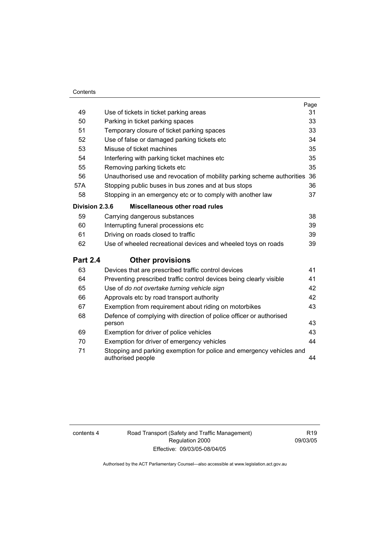#### **Contents**

|                 |                                                                                           | Page |
|-----------------|-------------------------------------------------------------------------------------------|------|
| 49              | Use of tickets in ticket parking areas                                                    | 31   |
| 50              | Parking in ticket parking spaces                                                          | 33   |
| 51              | Temporary closure of ticket parking spaces                                                | 33   |
| 52              | Use of false or damaged parking tickets etc                                               | 34   |
| 53              | Misuse of ticket machines                                                                 | 35   |
| 54              | Interfering with parking ticket machines etc                                              | 35   |
| 55              | Removing parking tickets etc                                                              | 35   |
| 56              | Unauthorised use and revocation of mobility parking scheme authorities 36                 |      |
| 57A             | Stopping public buses in bus zones and at bus stops                                       | 36   |
| 58              | Stopping in an emergency etc or to comply with another law                                | 37   |
| Division 2.3.6  | Miscellaneous other road rules                                                            |      |
| 59              | Carrying dangerous substances                                                             | 38   |
| 60              | Interrupting funeral processions etc                                                      | 39   |
| 61              | Driving on roads closed to traffic                                                        | 39   |
| 62              | Use of wheeled recreational devices and wheeled toys on roads                             | 39   |
| <b>Part 2.4</b> | <b>Other provisions</b>                                                                   |      |
| 63              | Devices that are prescribed traffic control devices                                       | 41   |
| 64              | Preventing prescribed traffic control devices being clearly visible                       | 41   |
| 65              | Use of do not overtake turning vehicle sign                                               | 42   |
| 66              | Approvals etc by road transport authority                                                 | 42   |
| 67              | Exemption from requirement about riding on motorbikes                                     | 43   |
| 68              | Defence of complying with direction of police officer or authorised<br>person             | 43   |
| 69              | Exemption for driver of police vehicles                                                   | 43   |
| 70              | Exemption for driver of emergency vehicles                                                | 44   |
| 71              | Stopping and parking exemption for police and emergency vehicles and<br>authorised people | 44   |

contents 4 Road Transport (Safety and Traffic Management) Regulation 2000 Effective: 09/03/05-08/04/05

R19 09/03/05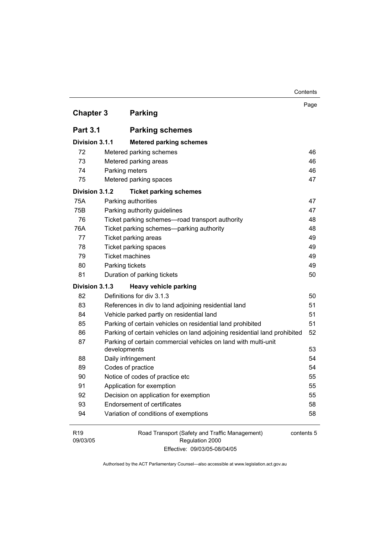|                             |                                                                                | Contents   |
|-----------------------------|--------------------------------------------------------------------------------|------------|
| <b>Chapter 3</b>            | <b>Parking</b>                                                                 | Page       |
|                             |                                                                                |            |
| <b>Part 3.1</b>             | <b>Parking schemes</b>                                                         |            |
| Division 3.1.1              | <b>Metered parking schemes</b>                                                 |            |
| 72                          | Metered parking schemes                                                        | 46         |
| 73                          | Metered parking areas                                                          | 46         |
| 74                          | Parking meters                                                                 | 46         |
| 75                          | Metered parking spaces                                                         | 47         |
| Division 3.1.2              | <b>Ticket parking schemes</b>                                                  |            |
| 75A                         | Parking authorities                                                            | 47         |
| 75B                         | Parking authority guidelines                                                   | 47         |
| 76                          | Ticket parking schemes-road transport authority                                | 48         |
| 76A                         | Ticket parking schemes-parking authority                                       | 48         |
| 77                          | Ticket parking areas                                                           | 49         |
| 78                          | Ticket parking spaces                                                          | 49         |
| 79                          | <b>Ticket machines</b>                                                         | 49         |
| 80                          | Parking tickets                                                                | 49         |
| 81                          | Duration of parking tickets                                                    | 50         |
| Division 3.1.3              | <b>Heavy vehicle parking</b>                                                   |            |
| 82                          | Definitions for div 3.1.3                                                      | 50         |
| 83                          | References in div to land adjoining residential land                           | 51         |
| 84                          | Vehicle parked partly on residential land                                      | 51         |
| 85                          | Parking of certain vehicles on residential land prohibited                     | 51         |
| 86                          | Parking of certain vehicles on land adjoining residential land prohibited      | 52         |
| 87                          | Parking of certain commercial vehicles on land with multi-unit<br>developments | 53         |
| 88                          | Daily infringement                                                             | 54         |
| 89                          | Codes of practice                                                              | 54         |
| 90                          | Notice of codes of practice etc                                                | 55         |
| 91                          | Application for exemption                                                      | 55         |
| 92                          | Decision on application for exemption                                          | 55         |
| 93                          | <b>Endorsement of certificates</b>                                             | 58         |
| 94                          | Variation of conditions of exemptions                                          | 58         |
| R <sub>19</sub><br>09/03/05 | Road Transport (Safety and Traffic Management)<br>Regulation 2000              | contents 5 |

Authorised by the ACT Parliamentary Counsel—also accessible at www.legislation.act.gov.au

Effective: 09/03/05-08/04/05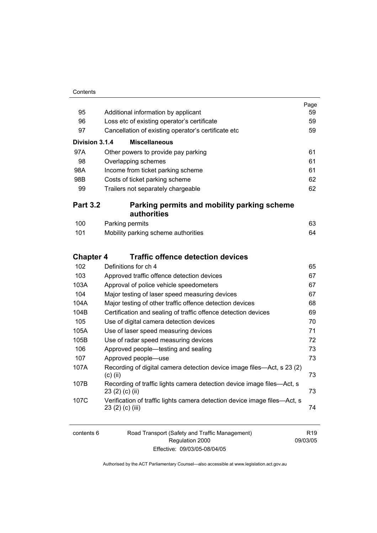|                  |                                                                                               | Page |
|------------------|-----------------------------------------------------------------------------------------------|------|
| 95               | Additional information by applicant                                                           | 59   |
| 96               | Loss etc of existing operator's certificate                                                   | 59   |
| 97               | Cancellation of existing operator's certificate etc                                           | 59   |
| Division 3.1.4   | <b>Miscellaneous</b>                                                                          |      |
| 97A              | Other powers to provide pay parking                                                           | 61   |
| 98               | Overlapping schemes                                                                           | 61   |
| 98A              | Income from ticket parking scheme                                                             | 61   |
| 98B              | Costs of ticket parking scheme                                                                | 62   |
| 99               | Trailers not separately chargeable                                                            | 62   |
| <b>Part 3.2</b>  | Parking permits and mobility parking scheme<br>authorities                                    |      |
| 100              | Parking permits                                                                               | 63   |
| 101              | Mobility parking scheme authorities                                                           | 64   |
| <b>Chapter 4</b> | <b>Traffic offence detection devices</b>                                                      |      |
| 102              | Definitions for ch 4                                                                          | 65   |
| 103              | Approved traffic offence detection devices                                                    | 67   |
| 103A             | Approval of police vehicle speedometers                                                       | 67   |
| 104              | Major testing of laser speed measuring devices                                                | 67   |
| 104A             | Major testing of other traffic offence detection devices                                      | 68   |
| 104B             | Certification and sealing of traffic offence detection devices                                | 69   |
| 105              | Use of digital camera detection devices                                                       | 70   |
| 105A             | Use of laser speed measuring devices                                                          | 71   |
| 105B             | Use of radar speed measuring devices                                                          | 72   |
| 106              | Approved people—testing and sealing                                                           | 73   |
| 107              | Approved people-use                                                                           | 73   |
| 107A             | Recording of digital camera detection device image files—Act, s 23 (2)<br>$(c)$ (ii)          | 73   |
| 107B             | Recording of traffic lights camera detection device image files—Act, s<br>23 (2) (c) (ii)     | 73   |
| 107C             | Verification of traffic lights camera detection device image files—Act, s<br>23 (2) (c) (iii) | 74   |

| contents 6 | Road Transport (Safety and Traffic Management) | R <sub>19</sub> |
|------------|------------------------------------------------|-----------------|
|            | Regulation 2000                                | 09/03/05        |
|            | Effective: 09/03/05-08/04/05                   |                 |

Authorised by the ACT Parliamentary Counsel—also accessible at www.legislation.act.gov.au

R19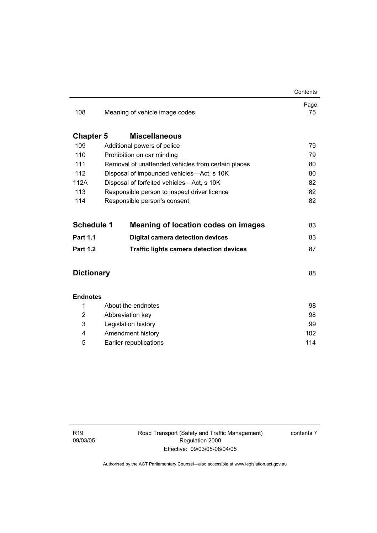|                   |                                                    | Contents   |
|-------------------|----------------------------------------------------|------------|
| 108               | Meaning of vehicle image codes                     | Page<br>75 |
| <b>Chapter 5</b>  | <b>Miscellaneous</b>                               |            |
| 109               | Additional powers of police                        | 79         |
| 110               | Prohibition on car minding                         | 79         |
| 111               | Removal of unattended vehicles from certain places | 80         |
| 112               | Disposal of impounded vehicles-Act, s 10K          | 80         |
| 112A              | Disposal of forfeited vehicles—Act, s 10K          | 82         |
| 113               | Responsible person to inspect driver licence       | 82         |
| 114               | Responsible person's consent                       | 82         |
|                   |                                                    |            |
| <b>Schedule 1</b> | <b>Meaning of location codes on images</b>         | 83         |
| <b>Part 1.1</b>   | <b>Digital camera detection devices</b>            | 83         |
| <b>Part 1.2</b>   | <b>Traffic lights camera detection devices</b>     | 87         |
|                   |                                                    |            |
| <b>Dictionary</b> |                                                    | 88         |
|                   |                                                    |            |
| <b>Endnotes</b>   |                                                    |            |
| 1                 | About the endnotes                                 | 98         |
| 2                 | Abbreviation key                                   | 98         |
| 3                 | Legislation history                                | 99         |
| 4                 | Amendment history                                  | 102        |
| 5                 | Earlier republications                             |            |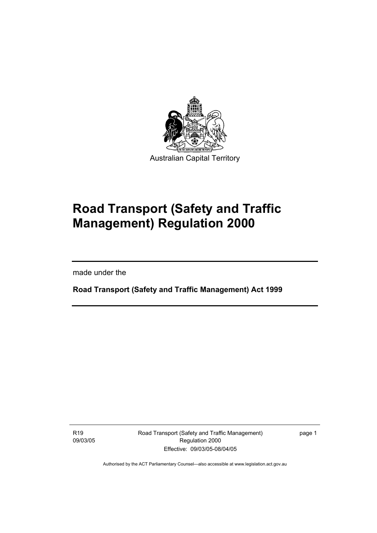

# **Road Transport (Safety and Traffic Management) Regulation 2000**

made under the

I

**Road Transport (Safety and Traffic Management) Act 1999** 

R19 09/03/05 Road Transport (Safety and Traffic Management) Regulation 2000 Effective: 09/03/05-08/04/05

page 1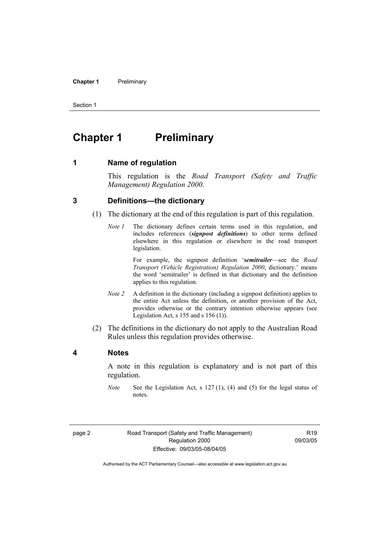#### **Chapter 1** Preliminary

Section 1

# **Chapter 1** Preliminary

**1 Name of regulation** 

This regulation is the *Road Transport (Safety and Traffic Management) Regulation 2000*.

#### **3 Definitions—the dictionary**

- (1) The dictionary at the end of this regulation is part of this regulation.
	- *Note 1* The dictionary defines certain terms used in this regulation, and includes references (*signpost definitions*) to other terms defined elsewhere in this regulation or elsewhere in the road transport legislation.

 For example, the signpost definition '*semitrailer*—see the *Road Transport (Vehicle Registration) Regulation 2000*, dictionary.' means the word 'semitrailer' is defined in that dictionary and the definition applies to this regulation.

- *Note 2* A definition in the dictionary (including a signpost definition) applies to the entire Act unless the definition, or another provision of the Act, provides otherwise or the contrary intention otherwise appears (see Legislation Act, s  $155$  and s  $156$  (1)).
- (2) The definitions in the dictionary do not apply to the Australian Road Rules unless this regulation provides otherwise.

#### **4 Notes**

A note in this regulation is explanatory and is not part of this regulation.

*Note* See the Legislation Act, s 127 (1), (4) and (5) for the legal status of notes.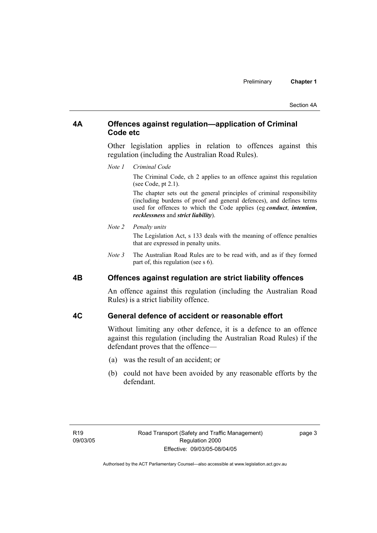#### **4A Offences against regulation—application of Criminal Code etc**

Other legislation applies in relation to offences against this regulation (including the Australian Road Rules).

*Note 1 Criminal Code*

The Criminal Code, ch 2 applies to an offence against this regulation (see Code, pt 2.1).

The chapter sets out the general principles of criminal responsibility (including burdens of proof and general defences), and defines terms used for offences to which the Code applies (eg *conduct*, *intention*, *recklessness* and *strict liability*).

#### *Note 2 Penalty units*

The Legislation Act, s 133 deals with the meaning of offence penalties that are expressed in penalty units.

*Note 3* The Australian Road Rules are to be read with, and as if they formed part of, this regulation (see s 6).

#### **4B Offences against regulation are strict liability offences**

An offence against this regulation (including the Australian Road Rules) is a strict liability offence.

#### **4C General defence of accident or reasonable effort**

Without limiting any other defence, it is a defence to an offence against this regulation (including the Australian Road Rules) if the defendant proves that the offence—

- (a) was the result of an accident; or
- (b) could not have been avoided by any reasonable efforts by the defendant.

page 3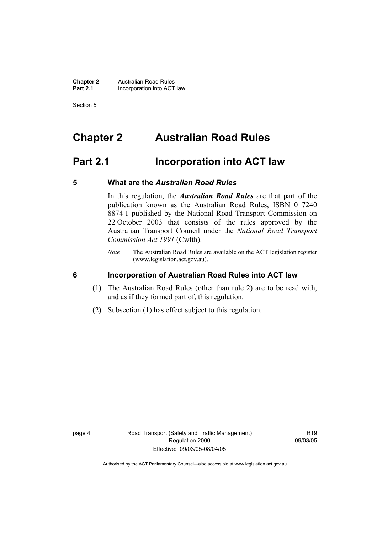**Chapter 2 Australian Road Rules**<br>**Part 2.1 Incorporation into ACT Incorporation into ACT law** 

Section 5

# **Chapter 2 Australian Road Rules**

# **Part 2.1 Incorporation into ACT law**

#### **5 What are the** *Australian Road Rules*

In this regulation, the *Australian Road Rules* are that part of the publication known as the Australian Road Rules, ISBN 0 7240 8874 1 published by the National Road Transport Commission on 22 October 2003 that consists of the rules approved by the Australian Transport Council under the *National Road Transport Commission Act 1991* (Cwlth).

*Note* The Australian Road Rules are available on the ACT legislation register (www.legislation.act.gov.au).

**6 Incorporation of Australian Road Rules into ACT law** 

- (1) The Australian Road Rules (other than rule 2) are to be read with, and as if they formed part of, this regulation.
- (2) Subsection (1) has effect subject to this regulation.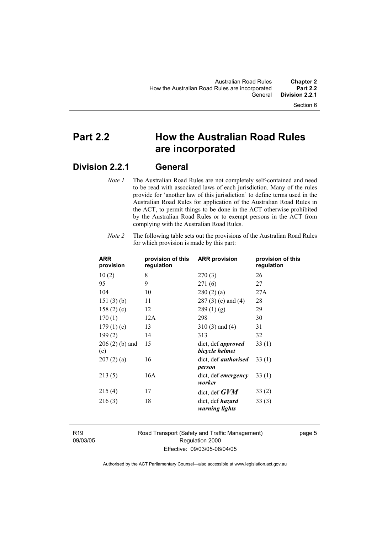# **Part 2.2 How the Australian Road Rules are incorporated**

### **Division 2.2.1 General**

*Note 1* The Australian Road Rules are not completely self-contained and need to be read with associated laws of each jurisdiction. Many of the rules provide for 'another law of this jurisdiction' to define terms used in the Australian Road Rules for application of the Australian Road Rules in the ACT, to permit things to be done in the ACT otherwise prohibited by the Australian Road Rules or to exempt persons in the ACT from complying with the Australian Road Rules.

| <b>ARR</b><br>provision | provision of this<br>regulation | <b>ARR provision</b>                        | provision of this<br>regulation |
|-------------------------|---------------------------------|---------------------------------------------|---------------------------------|
| 10(2)                   | 8                               | 270(3)                                      | 26                              |
| 95                      | 9                               | 271(6)                                      | 27                              |
| 104                     | 10                              | 280(2)(a)                                   | 27A                             |
| 151(3)(b)               | 11                              | $287(3)$ (e) and (4)                        | 28                              |
| 158 $(2)$ $(c)$         | 12                              | 289(1)(g)                                   | 29                              |
| 170(1)                  | 12A                             | 298                                         | 30                              |
| 179(1)(c)               | 13                              | $310(3)$ and $(4)$                          | 31                              |
| 199(2)                  | 14                              | 313                                         | 32                              |
| $206(2)$ (b) and<br>(c) | 15                              | dict, def <i>approved</i><br>bicycle helmet | 33(1)                           |
| 207(2)(a)               | 16                              | dict, def <i>authorised</i><br>person       | 33(1)                           |
| 213(5)                  | 16A                             | dict, def <i>emergency</i><br>worker        | 33(1)                           |
| 215(4)                  | 17                              | dict, def $GVM$                             | 33(2)                           |
| 216(3)                  | 18                              | dict, def <i>hazard</i><br>warning lights   | 33(3)                           |

*Note 2* The following table sets out the provisions of the Australian Road Rules for which provision is made by this part:

R19 09/03/05 Road Transport (Safety and Traffic Management) Regulation 2000 Effective: 09/03/05-08/04/05

page 5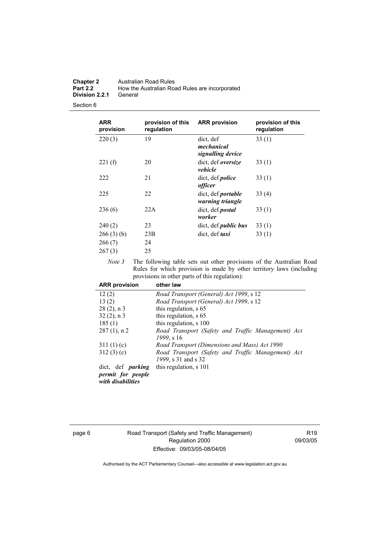| <b>Chapter 2</b> | Australian Road Rules                          |
|------------------|------------------------------------------------|
| <b>Part 2.2</b>  | How the Australian Road Rules are incorporated |
| Division 2.2.1   | General                                        |

| <b>ARR</b><br>provision       | provision of this<br>regulation | <b>ARR provision</b>                          | provision of this<br>regulation |
|-------------------------------|---------------------------------|-----------------------------------------------|---------------------------------|
| 220(3)                        | 19                              | dict, def<br>mechanical<br>signalling device  | 33(1)                           |
| 221(f)                        | 20                              | dict, def <i>oversize</i><br>vehicle          | 33(1)                           |
| 222                           | 21                              | dict, def <i>police</i><br>officer            | 33(1)                           |
| 225                           | 22                              | dict, def <i>portable</i><br>warning triangle | 33(4)                           |
| 236(6)                        | 22A                             | dict, def <i>postal</i><br>worker             | 33(1)                           |
| 240(2)                        | 23                              | dict, def <i>public bus</i>                   | 33(1)                           |
| 266(3)(b)<br>266(7)<br>267(3) | 23B<br>24<br>25                 | dict, def <i>taxi</i>                         | 33(1)                           |

*Note 3* The following table sets out other provisions of the Australian Road Rules for which provision is made by other territory laws (including provisions in other parts of this regulation):

| <b>ARR provision</b>                   | other law                                          |
|----------------------------------------|----------------------------------------------------|
| 12(2)                                  | Road Transport (General) Act 1999, s 12            |
| 13(2)                                  | Road Transport (General) Act 1999, s 12            |
| $28(2)$ , n 3                          | this regulation, s 65                              |
| $32(2)$ , n 3                          | this regulation, s 65                              |
| 185(1)                                 | this regulation, s 100                             |
| $287(1)$ , n 2                         | Road Transport (Safety and Traffic Management) Act |
|                                        | 1999, s 16                                         |
| 311(1)(c)                              | Road Transport (Dimensions and Mass) Act 1990      |
| 312(3)(c)                              | Road Transport (Safety and Traffic Management) Act |
|                                        | 1999, s 31 and s 32                                |
| dict, def <i>parking</i>               | this regulation, s 101                             |
| permit for people<br>with disabilities |                                                    |

#### page 6 Road Transport (Safety and Traffic Management) Regulation 2000 Effective: 09/03/05-08/04/05

R19 09/03/05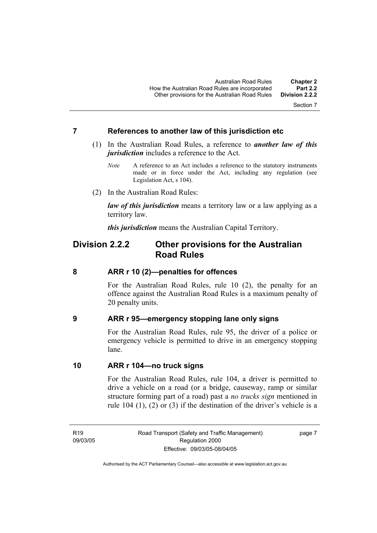#### **7 References to another law of this jurisdiction etc**

- (1) In the Australian Road Rules, a reference to *another law of this jurisdiction* includes a reference to the Act.
	- *Note* A reference to an Act includes a reference to the statutory instruments made or in force under the Act, including any regulation (see Legislation Act, s 104).
- (2) In the Australian Road Rules:

*law of this jurisdiction* means a territory law or a law applying as a territory law.

*this jurisdiction* means the Australian Capital Territory.

### **Division 2.2.2 Other provisions for the Australian Road Rules**

#### **8 ARR r 10 (2)—penalties for offences**

For the Australian Road Rules, rule 10 (2), the penalty for an offence against the Australian Road Rules is a maximum penalty of 20 penalty units.

#### **9 ARR r 95—emergency stopping lane only signs**

For the Australian Road Rules, rule 95, the driver of a police or emergency vehicle is permitted to drive in an emergency stopping lane.

#### **10 ARR r 104—no truck signs**

For the Australian Road Rules, rule 104, a driver is permitted to drive a vehicle on a road (or a bridge, causeway, ramp or similar structure forming part of a road) past a *no trucks sign* mentioned in rule 104 (1), (2) or (3) if the destination of the driver's vehicle is a

R19 09/03/05 Road Transport (Safety and Traffic Management) Regulation 2000 Effective: 09/03/05-08/04/05

page 7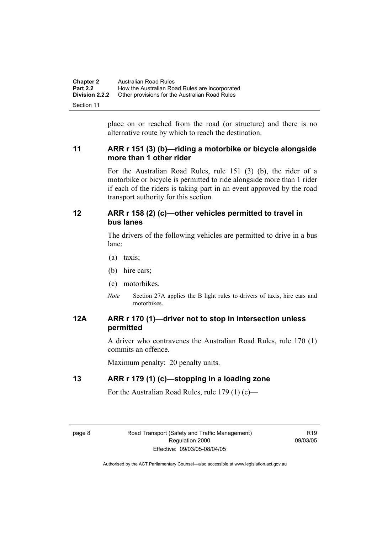| <b>Chapter 2</b>      | Australian Road Rules                          |
|-----------------------|------------------------------------------------|
| <b>Part 2.2</b>       | How the Australian Road Rules are incorporated |
| <b>Division 2.2.2</b> | Other provisions for the Australian Road Rules |
| Section 11            |                                                |

place on or reached from the road (or structure) and there is no alternative route by which to reach the destination.

#### **11 ARR r 151 (3) (b)—riding a motorbike or bicycle alongside more than 1 other rider**

For the Australian Road Rules, rule 151 (3) (b), the rider of a motorbike or bicycle is permitted to ride alongside more than 1 rider if each of the riders is taking part in an event approved by the road transport authority for this section.

#### **12 ARR r 158 (2) (c)—other vehicles permitted to travel in bus lanes**

The drivers of the following vehicles are permitted to drive in a bus lane:

- (a) taxis;
- (b) hire cars;
- (c) motorbikes.
- *Note* Section 27A applies the B light rules to drivers of taxis, hire cars and motorbikes.

### **12A ARR r 170 (1)—driver not to stop in intersection unless permitted**

A driver who contravenes the Australian Road Rules, rule 170 (1) commits an offence.

Maximum penalty: 20 penalty units.

#### **13 ARR r 179 (1) (c)—stopping in a loading zone**

For the Australian Road Rules, rule 179 (1) (c)—

R19 09/03/05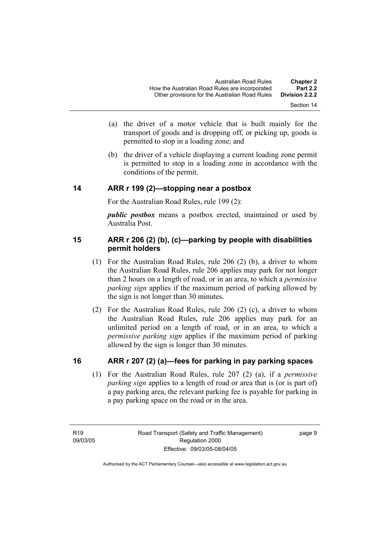- Section 14
- (a) the driver of a motor vehicle that is built mainly for the transport of goods and is dropping off, or picking up, goods is permitted to stop in a loading zone; and
- (b) the driver of a vehicle displaying a current loading zone permit is permitted to stop in a loading zone in accordance with the conditions of the permit.

#### **14 ARR r 199 (2)—stopping near a postbox**

For the Australian Road Rules, rule 199 (2):

*public postbox* means a postbox erected, maintained or used by Australia Post.

#### **15 ARR r 206 (2) (b), (c)—parking by people with disabilities permit holders**

- (1) For the Australian Road Rules, rule 206 (2) (b), a driver to whom the Australian Road Rules, rule 206 applies may park for not longer than 2 hours on a length of road, or in an area, to which a *permissive parking sign* applies if the maximum period of parking allowed by the sign is not longer than 30 minutes.
- (2) For the Australian Road Rules, rule 206 (2) (c), a driver to whom the Australian Road Rules, rule 206 applies may park for an unlimited period on a length of road, or in an area, to which a *permissive parking sign* applies if the maximum period of parking allowed by the sign is longer than 30 minutes.

#### **16 ARR r 207 (2) (a)—fees for parking in pay parking spaces**

 (1) For the Australian Road Rules, rule 207 (2) (a), if a *permissive parking sign* applies to a length of road or area that is (or is part of) a pay parking area, the relevant parking fee is payable for parking in a pay parking space on the road or in the area.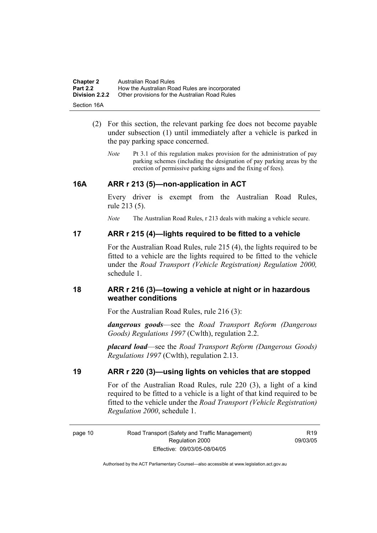| <b>Chapter 2</b>      | Australian Road Rules                          |
|-----------------------|------------------------------------------------|
| <b>Part 2.2</b>       | How the Australian Road Rules are incorporated |
| <b>Division 2.2.2</b> | Other provisions for the Australian Road Rules |
| Section 16A           |                                                |

- (2) For this section, the relevant parking fee does not become payable under subsection (1) until immediately after a vehicle is parked in the pay parking space concerned.
	- *Note* Pt 3.1 of this regulation makes provision for the administration of pay parking schemes (including the designation of pay parking areas by the erection of permissive parking signs and the fixing of fees).

#### **16A ARR r 213 (5)—non-application in ACT**

Every driver is exempt from the Australian Road Rules, rule 213 (5).

*Note* The Australian Road Rules, r 213 deals with making a vehicle secure.

#### **17 ARR r 215 (4)—lights required to be fitted to a vehicle**

For the Australian Road Rules, rule 215 (4), the lights required to be fitted to a vehicle are the lights required to be fitted to the vehicle under the *Road Transport (Vehicle Registration) Regulation 2000,*  schedule 1.

#### **18 ARR r 216 (3)—towing a vehicle at night or in hazardous weather conditions**

For the Australian Road Rules, rule 216 (3):

*dangerous goods*—see the *Road Transport Reform (Dangerous Goods) Regulations 1997* (Cwlth), regulation 2.2.

*placard load*—see the *Road Transport Reform (Dangerous Goods) Regulations 1997* (Cwlth), regulation 2.13.

#### **19 ARR r 220 (3)—using lights on vehicles that are stopped**

For of the Australian Road Rules, rule 220 (3), a light of a kind required to be fitted to a vehicle is a light of that kind required to be fitted to the vehicle under the *Road Transport (Vehicle Registration) Regulation 2000*, schedule 1.

R19 09/03/05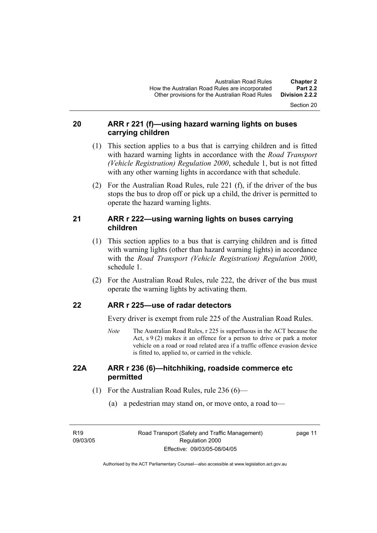#### **20 ARR r 221 (f)—using hazard warning lights on buses carrying children**

- (1) This section applies to a bus that is carrying children and is fitted with hazard warning lights in accordance with the *Road Transport (Vehicle Registration) Regulation 2000*, schedule 1, but is not fitted with any other warning lights in accordance with that schedule.
- (2) For the Australian Road Rules, rule 221 (f), if the driver of the bus stops the bus to drop off or pick up a child, the driver is permitted to operate the hazard warning lights.

### **21 ARR r 222—using warning lights on buses carrying children**

- (1) This section applies to a bus that is carrying children and is fitted with warning lights (other than hazard warning lights) in accordance with the *Road Transport (Vehicle Registration) Regulation 2000*, schedule 1.
- (2) For the Australian Road Rules, rule 222, the driver of the bus must operate the warning lights by activating them.

#### **22 ARR r 225—use of radar detectors**

Every driver is exempt from rule 225 of the Australian Road Rules.

*Note* The Australian Road Rules, r 225 is superfluous in the ACT because the Act,  $s \theta(2)$  makes it an offence for a person to drive or park a motor vehicle on a road or road related area if a traffic offence evasion device is fitted to, applied to, or carried in the vehicle.

#### **22A ARR r 236 (6)—hitchhiking, roadside commerce etc permitted**

- (1) For the Australian Road Rules, rule 236 (6)—
	- (a) a pedestrian may stand on, or move onto, a road to—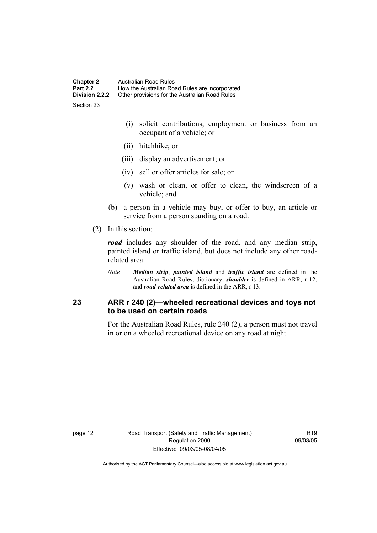| <b>Chapter 2</b> | Australian Road Rules                          |
|------------------|------------------------------------------------|
| <b>Part 2.2</b>  | How the Australian Road Rules are incorporated |
| Division 2.2.2   | Other provisions for the Australian Road Rules |
| Section 23       |                                                |

 (i) solicit contributions, employment or business from an occupant of a vehicle; or

- (ii) hitchhike; or
- (iii) display an advertisement; or
- (iv) sell or offer articles for sale; or
- (v) wash or clean, or offer to clean, the windscreen of a vehicle; and
- (b) a person in a vehicle may buy, or offer to buy, an article or service from a person standing on a road.
- (2) In this section:

*road* includes any shoulder of the road, and any median strip, painted island or traffic island, but does not include any other roadrelated area.

*Note Median strip*, *painted island* and *traffic island* are defined in the Australian Road Rules, dictionary, *shoulder* is defined in ARR, r 12, and *road-related area* is defined in the ARR, r 13.

#### **23 ARR r 240 (2)—wheeled recreational devices and toys not to be used on certain roads**

For the Australian Road Rules, rule 240 (2), a person must not travel in or on a wheeled recreational device on any road at night.

R19 09/03/05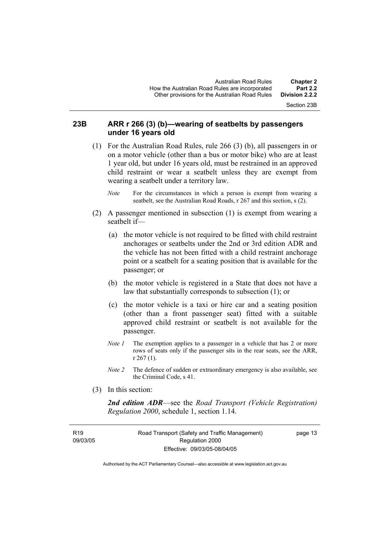Section 23B

#### **23B ARR r 266 (3) (b)—wearing of seatbelts by passengers under 16 years old**

- (1) For the Australian Road Rules, rule 266 (3) (b), all passengers in or on a motor vehicle (other than a bus or motor bike) who are at least 1 year old, but under 16 years old, must be restrained in an approved child restraint or wear a seatbelt unless they are exempt from wearing a seatbelt under a territory law.
	- *Note* For the circumstances in which a person is exempt from wearing a seatbelt, see the Australian Road Roads, r 267 and this section, s (2).
- (2) A passenger mentioned in subsection (1) is exempt from wearing a seatbelt if—
	- (a) the motor vehicle is not required to be fitted with child restraint anchorages or seatbelts under the 2nd or 3rd edition ADR and the vehicle has not been fitted with a child restraint anchorage point or a seatbelt for a seating position that is available for the passenger; or
	- (b) the motor vehicle is registered in a State that does not have a law that substantially corresponds to subsection (1); or
	- (c) the motor vehicle is a taxi or hire car and a seating position (other than a front passenger seat) fitted with a suitable approved child restraint or seatbelt is not available for the passenger.
	- *Note 1* The exemption applies to a passenger in a vehicle that has 2 or more rows of seats only if the passenger sits in the rear seats, see the ARR, r 267 (1).
	- *Note 2* The defence of sudden or extraordinary emergency is also available, see the Criminal Code, s 41.
- (3) In this section:

*2nd edition ADR*—see the *Road Transport (Vehicle Registration) Regulation 2000*, schedule 1, section 1.14.

**R19** 09/03/05 page 13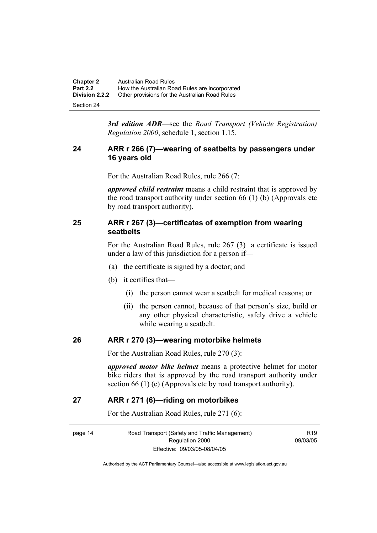| <b>Chapter 2</b>      | Australian Road Rules                          |
|-----------------------|------------------------------------------------|
| <b>Part 2.2</b>       | How the Australian Road Rules are incorporated |
| <b>Division 2.2.2</b> | Other provisions for the Australian Road Rules |
| Section 24            |                                                |

*3rd edition ADR*—see the *Road Transport (Vehicle Registration) Regulation 2000*, schedule 1, section 1.15.

#### **24 ARR r 266 (7)—wearing of seatbelts by passengers under 16 years old**

For the Australian Road Rules, rule 266 (7:

*approved child restraint* means a child restraint that is approved by the road transport authority under section 66 (1) (b) (Approvals etc by road transport authority).

#### **25 ARR r 267 (3)—certificates of exemption from wearing seatbelts**

For the Australian Road Rules, rule 267 (3) a certificate is issued under a law of this jurisdiction for a person if—

- (a) the certificate is signed by a doctor; and
- (b) it certifies that—
	- (i) the person cannot wear a seatbelt for medical reasons; or
	- (ii) the person cannot, because of that person's size, build or any other physical characteristic, safely drive a vehicle while wearing a seatbelt.

#### **26 ARR r 270 (3)—wearing motorbike helmets**

For the Australian Road Rules, rule 270 (3):

*approved motor bike helmet* means a protective helmet for motor bike riders that is approved by the road transport authority under section 66 (1) (c) (Approvals etc by road transport authority).

#### **27 ARR r 271 (6)—riding on motorbikes**

For the Australian Road Rules, rule 271 (6):

page 14 Road Transport (Safety and Traffic Management) Regulation 2000 Effective: 09/03/05-08/04/05

 $P10$ 09/03/05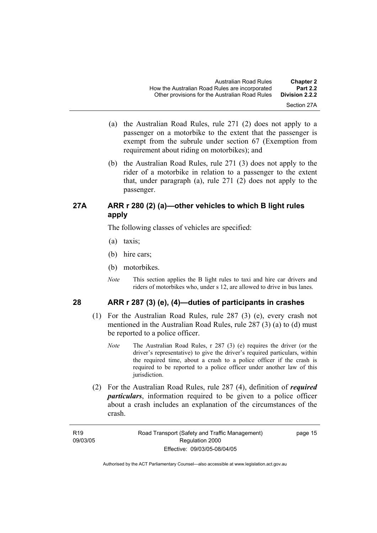- (a) the Australian Road Rules, rule 271 (2) does not apply to a passenger on a motorbike to the extent that the passenger is exempt from the subrule under section 67 (Exemption from requirement about riding on motorbikes); and
- (b) the Australian Road Rules, rule 271 (3) does not apply to the rider of a motorbike in relation to a passenger to the extent that, under paragraph (a), rule 271 (2) does not apply to the passenger.

#### **27A ARR r 280 (2) (a)—other vehicles to which B light rules apply**

The following classes of vehicles are specified:

- (a) taxis;
- (b) hire cars;
- (b) motorbikes.
- *Note* This section applies the B light rules to taxi and hire car drivers and riders of motorbikes who, under s 12, are allowed to drive in bus lanes.

#### **28 ARR r 287 (3) (e), (4)—duties of participants in crashes**

- (1) For the Australian Road Rules, rule 287 (3) (e), every crash not mentioned in the Australian Road Rules, rule 287 (3) (a) to (d) must be reported to a police officer.
	- *Note* The Australian Road Rules, r 287 (3) (e) requires the driver (or the driver's representative) to give the driver's required particulars, within the required time, about a crash to a police officer if the crash is required to be reported to a police officer under another law of this jurisdiction.
- (2) For the Australian Road Rules, rule 287 (4), definition of *required particulars*, information required to be given to a police officer about a crash includes an explanation of the circumstances of the crash.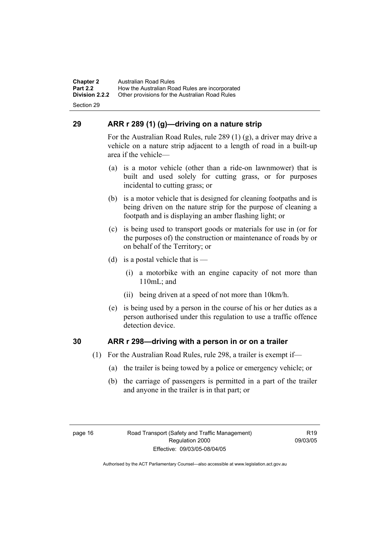**Chapter 2** Australian Road Rules<br>**Part 2.2** How the Australian Ro **Part 2.2 How the Australian Road Rules are incorporated Division 2.2.2** Other provisions for the Australian Road Rules **Other provisions for the Australian Road Rules** 

Section 29

### **29 ARR r 289 (1) (g)—driving on a nature strip**

For the Australian Road Rules, rule 289 (1) (g), a driver may drive a vehicle on a nature strip adjacent to a length of road in a built-up area if the vehicle—

- (a) is a motor vehicle (other than a ride-on lawnmower) that is built and used solely for cutting grass, or for purposes incidental to cutting grass; or
- (b) is a motor vehicle that is designed for cleaning footpaths and is being driven on the nature strip for the purpose of cleaning a footpath and is displaying an amber flashing light; or
- (c) is being used to transport goods or materials for use in (or for the purposes of) the construction or maintenance of roads by or on behalf of the Territory; or
- (d) is a postal vehicle that is  $-$ 
	- (i) a motorbike with an engine capacity of not more than 110mL; and
	- (ii) being driven at a speed of not more than 10km/h.
- (e) is being used by a person in the course of his or her duties as a person authorised under this regulation to use a traffic offence detection device.

#### **30 ARR r 298—driving with a person in or on a trailer**

- (1) For the Australian Road Rules, rule 298, a trailer is exempt if—
	- (a) the trailer is being towed by a police or emergency vehicle; or
	- (b) the carriage of passengers is permitted in a part of the trailer and anyone in the trailer is in that part; or

 $P10$ 09/03/05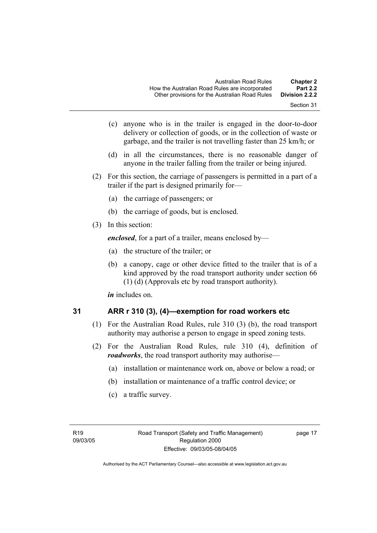- Section 31
- (c) anyone who is in the trailer is engaged in the door-to-door delivery or collection of goods, or in the collection of waste or garbage, and the trailer is not travelling faster than 25 km/h; or
- (d) in all the circumstances, there is no reasonable danger of anyone in the trailer falling from the trailer or being injured.
- (2) For this section, the carriage of passengers is permitted in a part of a trailer if the part is designed primarily for—
	- (a) the carriage of passengers; or
	- (b) the carriage of goods, but is enclosed.
- (3) In this section:

*enclosed*, for a part of a trailer, means enclosed by—

- (a) the structure of the trailer; or
- (b) a canopy, cage or other device fitted to the trailer that is of a kind approved by the road transport authority under section 66 (1) (d) (Approvals etc by road transport authority).

*in* includes on.

$$
31
$$

#### **31 ARR r 310 (3), (4)—exemption for road workers etc**

- (1) For the Australian Road Rules, rule 310 (3) (b), the road transport authority may authorise a person to engage in speed zoning tests.
- (2) For the Australian Road Rules, rule 310 (4), definition of *roadworks*, the road transport authority may authorise—
	- (a) installation or maintenance work on, above or below a road; or
	- (b) installation or maintenance of a traffic control device; or
	- (c) a traffic survey.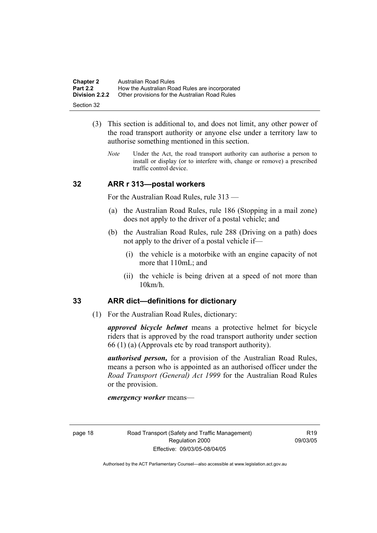| <b>Chapter 2</b>      | Australian Road Rules                          |
|-----------------------|------------------------------------------------|
| <b>Part 2.2</b>       | How the Australian Road Rules are incorporated |
| <b>Division 2.2.2</b> | Other provisions for the Australian Road Rules |
| Section 32            |                                                |

- (3) This section is additional to, and does not limit, any other power of the road transport authority or anyone else under a territory law to authorise something mentioned in this section.
	- *Note* Under the Act, the road transport authority can authorise a person to install or display (or to interfere with, change or remove) a prescribed traffic control device.

#### **32 ARR r 313—postal workers**

For the Australian Road Rules, rule 313 —

- (a) the Australian Road Rules, rule 186 (Stopping in a mail zone) does not apply to the driver of a postal vehicle; and
- (b) the Australian Road Rules, rule 288 (Driving on a path) does not apply to the driver of a postal vehicle if—
	- (i) the vehicle is a motorbike with an engine capacity of not more that 110mL; and
	- (ii) the vehicle is being driven at a speed of not more than 10km/h.

#### **33 ARR dict—definitions for dictionary**

(1) For the Australian Road Rules, dictionary:

*approved bicycle helmet* means a protective helmet for bicycle riders that is approved by the road transport authority under section 66 (1) (a) (Approvals etc by road transport authority).

*authorised person,* for a provision of the Australian Road Rules, means a person who is appointed as an authorised officer under the *Road Transport (General) Act 1999* for the Australian Road Rules or the provision.

*emergency worker* means—

 $P10$ 09/03/05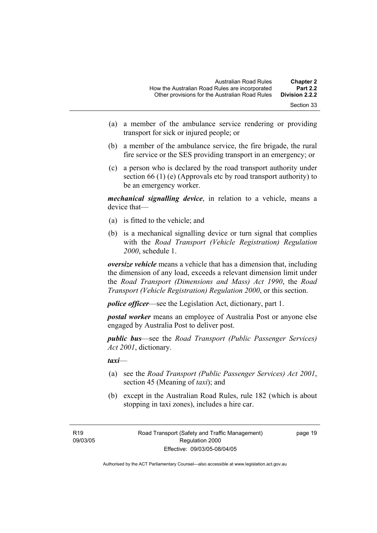- Section 33
- (a) a member of the ambulance service rendering or providing transport for sick or injured people; or
- (b) a member of the ambulance service, the fire brigade, the rural fire service or the SES providing transport in an emergency; or
- (c) a person who is declared by the road transport authority under section 66 (1) (e) (Approvals etc by road transport authority) to be an emergency worker.

*mechanical signalling device*, in relation to a vehicle, means a device that—

- (a) is fitted to the vehicle; and
- (b) is a mechanical signalling device or turn signal that complies with the *Road Transport (Vehicle Registration) Regulation 2000*, schedule 1.

*oversize vehicle* means a vehicle that has a dimension that, including the dimension of any load, exceeds a relevant dimension limit under the *Road Transport (Dimensions and Mass) Act 1990*, the *Road Transport (Vehicle Registration) Regulation 2000*, or this section.

*police officer*—see the Legislation Act, dictionary, part 1.

*postal worker* means an employee of Australia Post or anyone else engaged by Australia Post to deliver post.

*public bus*—see the *Road Transport (Public Passenger Services) Act 2001*, dictionary.

*taxi*—

- (a) see the *Road Transport (Public Passenger Services) Act 2001*, section 45 (Meaning of *taxi*); and
- (b) except in the Australian Road Rules, rule 182 (which is about stopping in taxi zones), includes a hire car.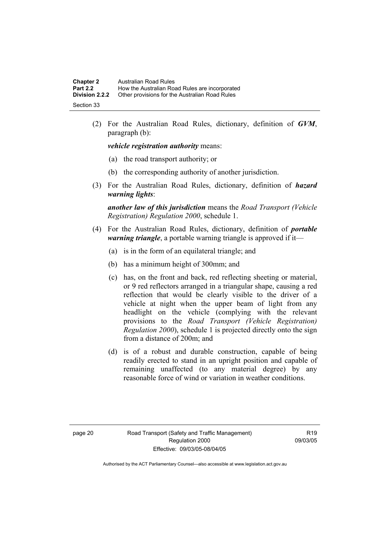| <b>Chapter 2</b>      | Australian Road Rules                          |
|-----------------------|------------------------------------------------|
| <b>Part 2.2</b>       | How the Australian Road Rules are incorporated |
| <b>Division 2.2.2</b> | Other provisions for the Australian Road Rules |
| Section 33            |                                                |

 (2) For the Australian Road Rules, dictionary, definition of *GVM*, paragraph (b):

*vehicle registration authority* means:

- (a) the road transport authority; or
- (b) the corresponding authority of another jurisdiction.
- (3) For the Australian Road Rules, dictionary, definition of *hazard warning lights*:

*another law of this jurisdiction* means the *Road Transport (Vehicle Registration) Regulation 2000*, schedule 1.

- (4) For the Australian Road Rules, dictionary, definition of *portable warning triangle*, a portable warning triangle is approved if it—
	- (a) is in the form of an equilateral triangle; and
	- (b) has a minimum height of 300mm; and
	- (c) has, on the front and back, red reflecting sheeting or material, or 9 red reflectors arranged in a triangular shape, causing a red reflection that would be clearly visible to the driver of a vehicle at night when the upper beam of light from any headlight on the vehicle (complying with the relevant provisions to the *Road Transport (Vehicle Registration) Regulation 2000*), schedule 1 is projected directly onto the sign from a distance of 200m; and
	- (d) is of a robust and durable construction, capable of being readily erected to stand in an upright position and capable of remaining unaffected (to any material degree) by any reasonable force of wind or variation in weather conditions.

R19 09/03/05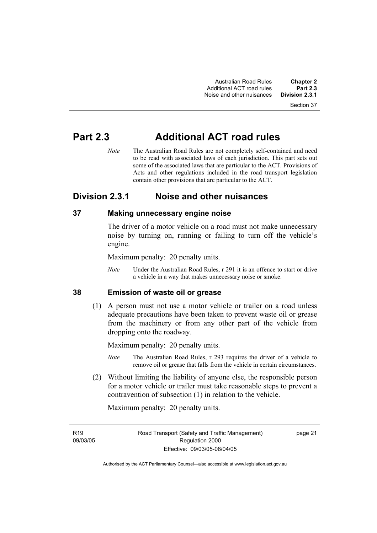# **Part 2.3 Additional ACT road rules**

*Note* The Australian Road Rules are not completely self-contained and need to be read with associated laws of each jurisdiction. This part sets out some of the associated laws that are particular to the ACT. Provisions of Acts and other regulations included in the road transport legislation contain other provisions that are particular to the ACT.

### **Division 2.3.1 Noise and other nuisances**

#### **37 Making unnecessary engine noise**

The driver of a motor vehicle on a road must not make unnecessary noise by turning on, running or failing to turn off the vehicle's engine.

Maximum penalty: 20 penalty units.

*Note* Under the Australian Road Rules, r 291 it is an offence to start or drive a vehicle in a way that makes unnecessary noise or smoke.

#### **38 Emission of waste oil or grease**

 (1) A person must not use a motor vehicle or trailer on a road unless adequate precautions have been taken to prevent waste oil or grease from the machinery or from any other part of the vehicle from dropping onto the roadway.

Maximum penalty: 20 penalty units.

- *Note* The Australian Road Rules, r 293 requires the driver of a vehicle to remove oil or grease that falls from the vehicle in certain circumstances.
- (2) Without limiting the liability of anyone else, the responsible person for a motor vehicle or trailer must take reasonable steps to prevent a contravention of subsection (1) in relation to the vehicle.

Maximum penalty: 20 penalty units.

09/03/05

**R19**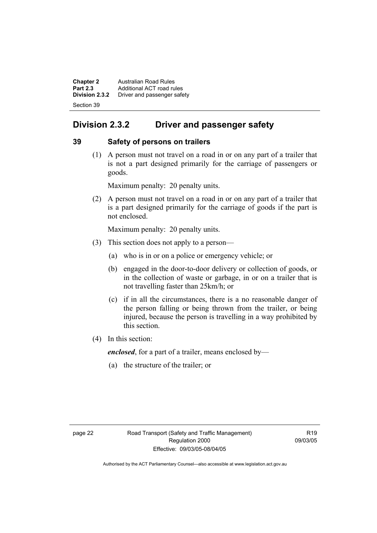**Chapter 2 Australian Road Rules**<br>**Part 2.3 Additional ACT road rules Part 2.3** Additional ACT road rules<br>**Division 2.3.2** Driver and passenger safe **Division 2.3.2** Driver and passenger safety Section 39

## **Division 2.3.2 Driver and passenger safety**

#### **39 Safety of persons on trailers**

 (1) A person must not travel on a road in or on any part of a trailer that is not a part designed primarily for the carriage of passengers or goods.

Maximum penalty: 20 penalty units.

 (2) A person must not travel on a road in or on any part of a trailer that is a part designed primarily for the carriage of goods if the part is not enclosed.

Maximum penalty: 20 penalty units.

- (3) This section does not apply to a person—
	- (a) who is in or on a police or emergency vehicle; or
	- (b) engaged in the door-to-door delivery or collection of goods, or in the collection of waste or garbage, in or on a trailer that is not travelling faster than 25km/h; or
	- (c) if in all the circumstances, there is a no reasonable danger of the person falling or being thrown from the trailer, or being injured, because the person is travelling in a way prohibited by this section.
- (4) In this section:

*enclosed*, for a part of a trailer, means enclosed by—

(a) the structure of the trailer; or

 $R<sub>10</sub>$ 09/03/05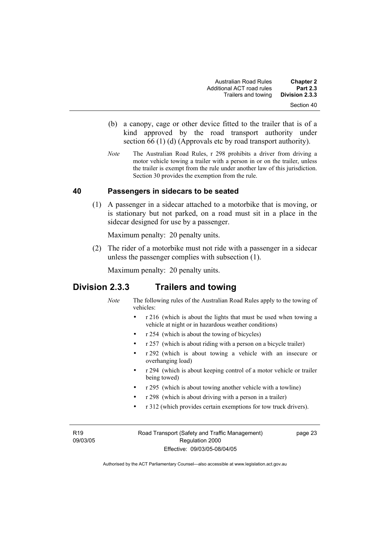- (b) a canopy, cage or other device fitted to the trailer that is of a kind approved by the road transport authority under section 66 (1) (d) (Approvals etc by road transport authority).
- *Note* The Australian Road Rules, r 298 prohibits a driver from driving a motor vehicle towing a trailer with a person in or on the trailer, unless the trailer is exempt from the rule under another law of this jurisdiction. Section 30 provides the exemption from the rule.

#### **40 Passengers in sidecars to be seated**

 (1) A passenger in a sidecar attached to a motorbike that is moving, or is stationary but not parked, on a road must sit in a place in the sidecar designed for use by a passenger.

Maximum penalty: 20 penalty units.

 (2) The rider of a motorbike must not ride with a passenger in a sidecar unless the passenger complies with subsection (1).

Maximum penalty: 20 penalty units.

### **Division 2.3.3 Trailers and towing**

- *Note* The following rules of the Australian Road Rules apply to the towing of vehicles:
	- r 216 (which is about the lights that must be used when towing a vehicle at night or in hazardous weather conditions)
	- r 254 (which is about the towing of bicycles)
	- r 257 (which is about riding with a person on a bicycle trailer)
	- r 292 (which is about towing a vehicle with an insecure or overhanging load)
	- r 294 (which is about keeping control of a motor vehicle or trailer being towed)
	- r 295 (which is about towing another vehicle with a towline)
	- r 298 (which is about driving with a person in a trailer)
	- r 312 (which provides certain exemptions for tow truck drivers).

R19 09/03/05 Road Transport (Safety and Traffic Management) Regulation 2000 Effective: 09/03/05-08/04/05

page 23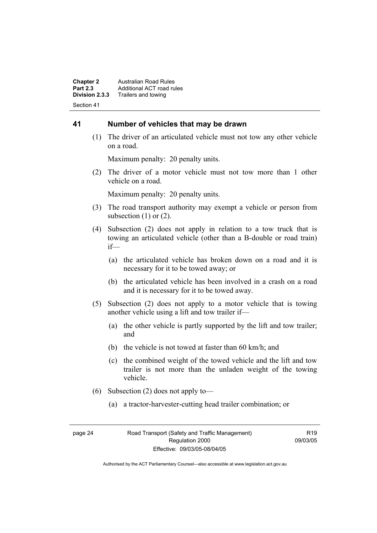**Chapter 2 Australian Road Rules**<br>**Part 2.3 Additional ACT road rules Part 2.3** Additional ACT road rules<br>**Division 2.3.3** Trailers and towing **Division 2.3.3** Trailers and towing Section 41

#### **41 Number of vehicles that may be drawn**

 (1) The driver of an articulated vehicle must not tow any other vehicle on a road.

Maximum penalty: 20 penalty units.

 (2) The driver of a motor vehicle must not tow more than 1 other vehicle on a road.

Maximum penalty: 20 penalty units.

- (3) The road transport authority may exempt a vehicle or person from subsection  $(1)$  or  $(2)$ .
- (4) Subsection (2) does not apply in relation to a tow truck that is towing an articulated vehicle (other than a B-double or road train) if—
	- (a) the articulated vehicle has broken down on a road and it is necessary for it to be towed away; or
	- (b) the articulated vehicle has been involved in a crash on a road and it is necessary for it to be towed away.
- (5) Subsection (2) does not apply to a motor vehicle that is towing another vehicle using a lift and tow trailer if—
	- (a) the other vehicle is partly supported by the lift and tow trailer; and
	- (b) the vehicle is not towed at faster than 60 km/h; and
	- (c) the combined weight of the towed vehicle and the lift and tow trailer is not more than the unladen weight of the towing vehicle.
- (6) Subsection (2) does not apply to—
	- (a) a tractor-harvester-cutting head trailer combination; or

R19 09/03/05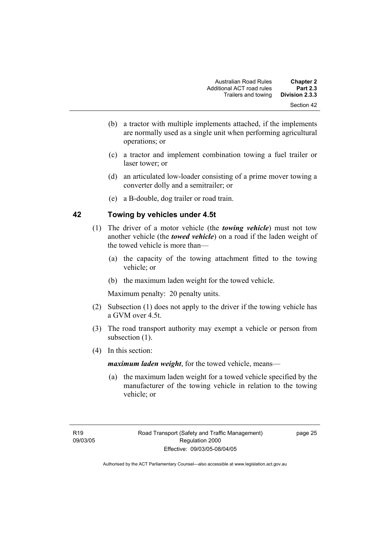- (b) a tractor with multiple implements attached, if the implements are normally used as a single unit when performing agricultural operations; or
- (c) a tractor and implement combination towing a fuel trailer or laser tower; or
- (d) an articulated low-loader consisting of a prime mover towing a converter dolly and a semitrailer; or
- (e) a B-double, dog trailer or road train.

#### **42 Towing by vehicles under 4.5t**

- (1) The driver of a motor vehicle (the *towing vehicle*) must not tow another vehicle (the *towed vehicle*) on a road if the laden weight of the towed vehicle is more than—
	- (a) the capacity of the towing attachment fitted to the towing vehicle; or
	- (b) the maximum laden weight for the towed vehicle.

Maximum penalty: 20 penalty units.

- (2) Subsection (1) does not apply to the driver if the towing vehicle has a GVM over 4.5t.
- (3) The road transport authority may exempt a vehicle or person from subsection  $(1)$ .
- (4) In this section:

*maximum laden weight*, for the towed vehicle, means—

 (a) the maximum laden weight for a towed vehicle specified by the manufacturer of the towing vehicle in relation to the towing vehicle; or

page 25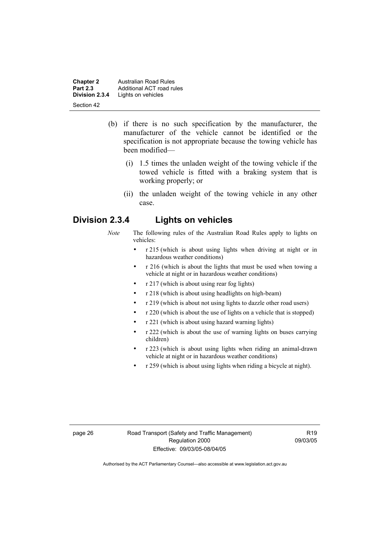**Chapter 2 Australian Road Rules**<br>**Part 2.3 Additional ACT road rules Part 2.3** Additional ACT road rules<br>**Division 2.3.4** Lights on vehicles Lights on vehicles Section 42

- (b) if there is no such specification by the manufacturer, the manufacturer of the vehicle cannot be identified or the specification is not appropriate because the towing vehicle has been modified—
	- (i) 1.5 times the unladen weight of the towing vehicle if the towed vehicle is fitted with a braking system that is working properly; or
	- (ii) the unladen weight of the towing vehicle in any other case.

### **Division 2.3.4 Lights on vehicles**

- *Note* The following rules of the Australian Road Rules apply to lights on vehicles:
	- r 215 (which is about using lights when driving at night or in hazardous weather conditions)
	- r 216 (which is about the lights that must be used when towing a vehicle at night or in hazardous weather conditions)
	- r 217 (which is about using rear fog lights)
	- r 218 (which is about using headlights on high-beam)
	- r 219 (which is about not using lights to dazzle other road users)
	- r 220 (which is about the use of lights on a vehicle that is stopped)
	- r 221 (which is about using hazard warning lights)
	- r 222 (which is about the use of warning lights on buses carrying children)
	- r 223 (which is about using lights when riding an animal-drawn vehicle at night or in hazardous weather conditions)
	- r 259 (which is about using lights when riding a bicycle at night).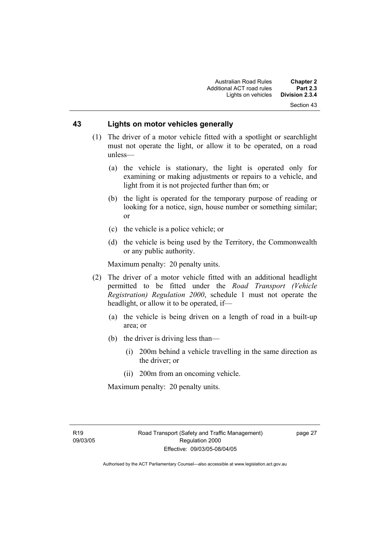# **43 Lights on motor vehicles generally**

- (1) The driver of a motor vehicle fitted with a spotlight or searchlight must not operate the light, or allow it to be operated, on a road unless—
	- (a) the vehicle is stationary, the light is operated only for examining or making adjustments or repairs to a vehicle, and light from it is not projected further than 6m; or
	- (b) the light is operated for the temporary purpose of reading or looking for a notice, sign, house number or something similar; or
	- (c) the vehicle is a police vehicle; or
	- (d) the vehicle is being used by the Territory, the Commonwealth or any public authority.

Maximum penalty: 20 penalty units.

- (2) The driver of a motor vehicle fitted with an additional headlight permitted to be fitted under the *Road Transport (Vehicle Registration) Regulation 2000*, schedule 1 must not operate the headlight, or allow it to be operated, if—
	- (a) the vehicle is being driven on a length of road in a built-up area; or
	- (b) the driver is driving less than—
		- (i) 200m behind a vehicle travelling in the same direction as the driver; or
		- (ii) 200m from an oncoming vehicle.

Maximum penalty: 20 penalty units.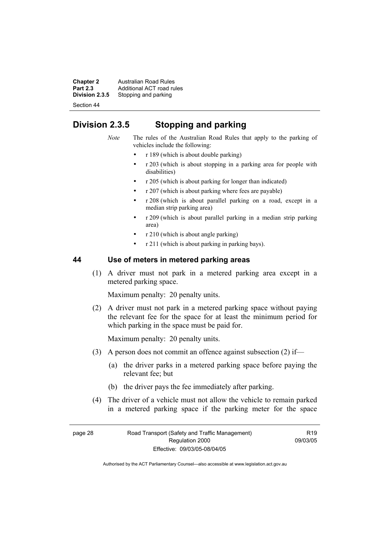**Chapter 2 Australian Road Rules**<br>**Part 2.3 Additional ACT road rules Part 2.3** Additional ACT road rules<br>**Division 2.3.5** Stopping and parking Stopping and parking

Section 44

# **Division 2.3.5 Stopping and parking**

*Note* The rules of the Australian Road Rules that apply to the parking of vehicles include the following:

- r 189 (which is about double parking)
- r 203 (which is about stopping in a parking area for people with disabilities)
- r 205 (which is about parking for longer than indicated)
- r 207 (which is about parking where fees are payable)
- r 208 (which is about parallel parking on a road, except in a median strip parking area)
- r 209 (which is about parallel parking in a median strip parking area)
- r 210 (which is about angle parking)
- r 211 (which is about parking in parking bays).

# **44 Use of meters in metered parking areas**

 (1) A driver must not park in a metered parking area except in a metered parking space.

Maximum penalty: 20 penalty units.

 (2) A driver must not park in a metered parking space without paying the relevant fee for the space for at least the minimum period for which parking in the space must be paid for.

Maximum penalty: 20 penalty units.

- (3) A person does not commit an offence against subsection (2) if—
	- (a) the driver parks in a metered parking space before paying the relevant fee; but
	- (b) the driver pays the fee immediately after parking.
- (4) The driver of a vehicle must not allow the vehicle to remain parked in a metered parking space if the parking meter for the space

 $R$ 19 09/03/05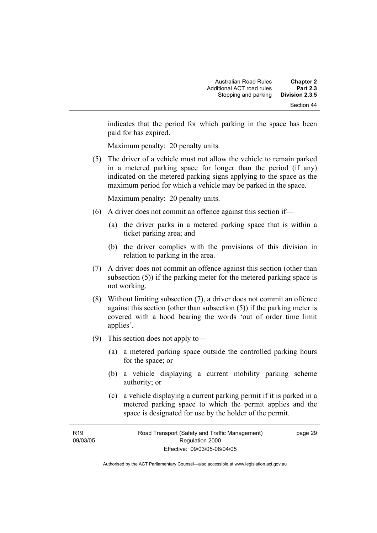indicates that the period for which parking in the space has been paid for has expired.

Maximum penalty: 20 penalty units.

 (5) The driver of a vehicle must not allow the vehicle to remain parked in a metered parking space for longer than the period (if any) indicated on the metered parking signs applying to the space as the maximum period for which a vehicle may be parked in the space.

Maximum penalty: 20 penalty units.

- (6) A driver does not commit an offence against this section if—
	- (a) the driver parks in a metered parking space that is within a ticket parking area; and
	- (b) the driver complies with the provisions of this division in relation to parking in the area.
- (7) A driver does not commit an offence against this section (other than subsection (5)) if the parking meter for the metered parking space is not working.
- (8) Without limiting subsection (7), a driver does not commit an offence against this section (other than subsection (5)) if the parking meter is covered with a hood bearing the words 'out of order time limit applies'.
- (9) This section does not apply to—
	- (a) a metered parking space outside the controlled parking hours for the space; or
	- (b) a vehicle displaying a current mobility parking scheme authority; or
	- (c) a vehicle displaying a current parking permit if it is parked in a metered parking space to which the permit applies and the space is designated for use by the holder of the permit.

page 29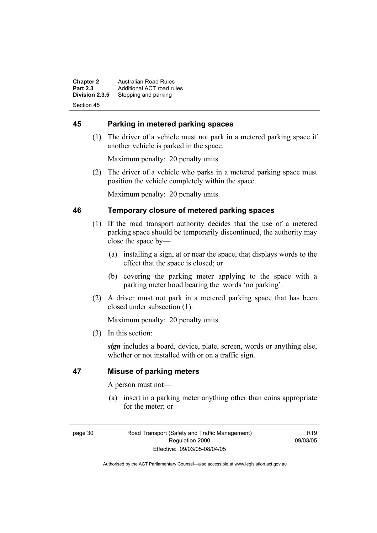**Chapter 2 Australian Road Rules**<br>**Part 2.3 Additional ACT road rules Part 2.3** Additional ACT road rules<br>**Division 2.3.5** Stopping and parking Stopping and parking Section 45

# **45 Parking in metered parking spaces**

 (1) The driver of a vehicle must not park in a metered parking space if another vehicle is parked in the space.

Maximum penalty: 20 penalty units.

 (2) The driver of a vehicle who parks in a metered parking space must position the vehicle completely within the space.

Maximum penalty: 20 penalty units.

# **46 Temporary closure of metered parking spaces**

- (1) If the road transport authority decides that the use of a metered parking space should be temporarily discontinued, the authority may close the space by—
	- (a) installing a sign, at or near the space, that displays words to the effect that the space is closed; or
	- (b) covering the parking meter applying to the space with a parking meter hood bearing the words 'no parking'.
- (2) A driver must not park in a metered parking space that has been closed under subsection (1).

Maximum penalty: 20 penalty units.

(3) In this section:

*sign* includes a board, device, plate, screen, words or anything else, whether or not installed with or on a traffic sign.

# **47 Misuse of parking meters**

A person must not—

 (a) insert in a parking meter anything other than coins appropriate for the meter; or

page 30 Road Transport (Safety and Traffic Management) Regulation 2000 Effective: 09/03/05-08/04/05

 $R$ 19 09/03/05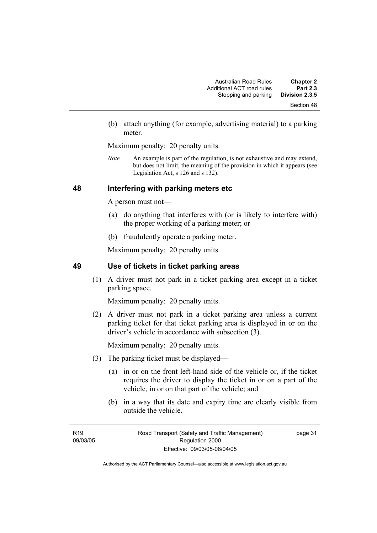(b) attach anything (for example, advertising material) to a parking meter.

Maximum penalty: 20 penalty units.

*Note* An example is part of the regulation, is not exhaustive and may extend, but does not limit, the meaning of the provision in which it appears (see Legislation Act, s 126 and s 132).

# **48 Interfering with parking meters etc**

A person must not—

- (a) do anything that interferes with (or is likely to interfere with) the proper working of a parking meter; or
- (b) fraudulently operate a parking meter.

Maximum penalty: 20 penalty units.

# **49 Use of tickets in ticket parking areas**

 (1) A driver must not park in a ticket parking area except in a ticket parking space.

Maximum penalty: 20 penalty units.

 (2) A driver must not park in a ticket parking area unless a current parking ticket for that ticket parking area is displayed in or on the driver's vehicle in accordance with subsection (3).

Maximum penalty: 20 penalty units.

- (3) The parking ticket must be displayed—
	- (a) in or on the front left-hand side of the vehicle or, if the ticket requires the driver to display the ticket in or on a part of the vehicle, in or on that part of the vehicle; and
	- (b) in a way that its date and expiry time are clearly visible from outside the vehicle.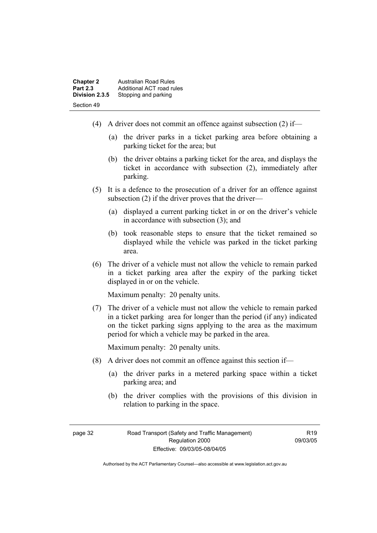| <b>Chapter 2</b> | Australian Road Rules     |
|------------------|---------------------------|
| <b>Part 2.3</b>  | Additional ACT road rules |
| Division 2.3.5   | Stopping and parking      |
| Section 49       |                           |

- (4) A driver does not commit an offence against subsection (2) if—
	- (a) the driver parks in a ticket parking area before obtaining a parking ticket for the area; but
	- (b) the driver obtains a parking ticket for the area, and displays the ticket in accordance with subsection (2), immediately after parking.
- (5) It is a defence to the prosecution of a driver for an offence against subsection (2) if the driver proves that the driver—
	- (a) displayed a current parking ticket in or on the driver's vehicle in accordance with subsection  $(3)$  and
	- (b) took reasonable steps to ensure that the ticket remained so displayed while the vehicle was parked in the ticket parking area.
- (6) The driver of a vehicle must not allow the vehicle to remain parked in a ticket parking area after the expiry of the parking ticket displayed in or on the vehicle.

Maximum penalty: 20 penalty units.

 (7) The driver of a vehicle must not allow the vehicle to remain parked in a ticket parking area for longer than the period (if any) indicated on the ticket parking signs applying to the area as the maximum period for which a vehicle may be parked in the area.

Maximum penalty: 20 penalty units.

- (8) A driver does not commit an offence against this section if—
	- (a) the driver parks in a metered parking space within a ticket parking area; and
	- (b) the driver complies with the provisions of this division in relation to parking in the space.

R19 09/03/05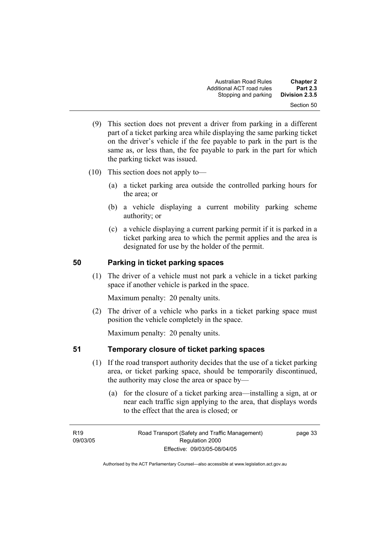- (9) This section does not prevent a driver from parking in a different part of a ticket parking area while displaying the same parking ticket on the driver's vehicle if the fee payable to park in the part is the same as, or less than, the fee payable to park in the part for which the parking ticket was issued.
- (10) This section does not apply to—
	- (a) a ticket parking area outside the controlled parking hours for the area; or
	- (b) a vehicle displaying a current mobility parking scheme authority; or
	- (c) a vehicle displaying a current parking permit if it is parked in a ticket parking area to which the permit applies and the area is designated for use by the holder of the permit.

# **50 Parking in ticket parking spaces**

 (1) The driver of a vehicle must not park a vehicle in a ticket parking space if another vehicle is parked in the space.

Maximum penalty: 20 penalty units.

 (2) The driver of a vehicle who parks in a ticket parking space must position the vehicle completely in the space.

Maximum penalty: 20 penalty units.

# **51 Temporary closure of ticket parking spaces**

- (1) If the road transport authority decides that the use of a ticket parking area, or ticket parking space, should be temporarily discontinued, the authority may close the area or space by—
	- (a) for the closure of a ticket parking area—installing a sign, at or near each traffic sign applying to the area, that displays words to the effect that the area is closed; or

**R19** 09/03/05 page 33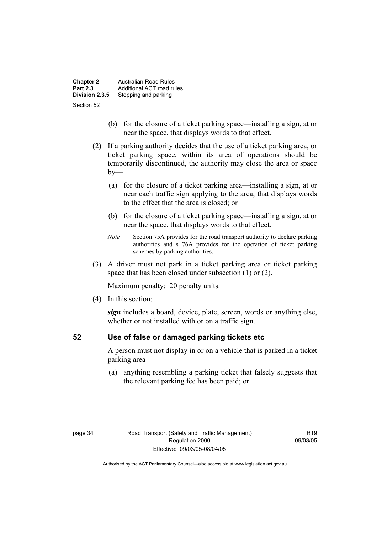| <b>Chapter 2</b> | Australian Road Rules     |
|------------------|---------------------------|
| <b>Part 2.3</b>  | Additional ACT road rules |
| Division 2.3.5   | Stopping and parking      |
| Section 52       |                           |

- (b) for the closure of a ticket parking space—installing a sign, at or near the space, that displays words to that effect.
- (2) If a parking authority decides that the use of a ticket parking area, or ticket parking space, within its area of operations should be temporarily discontinued, the authority may close the area or space  $by-$ 
	- (a) for the closure of a ticket parking area—installing a sign, at or near each traffic sign applying to the area, that displays words to the effect that the area is closed; or
	- (b) for the closure of a ticket parking space—installing a sign, at or near the space, that displays words to that effect.
	- *Note* Section 75A provides for the road transport authority to declare parking authorities and s 76A provides for the operation of ticket parking schemes by parking authorities.
- (3) A driver must not park in a ticket parking area or ticket parking space that has been closed under subsection (1) or (2).

Maximum penalty: 20 penalty units.

(4) In this section:

*sign* includes a board, device, plate, screen, words or anything else, whether or not installed with or on a traffic sign.

# **52 Use of false or damaged parking tickets etc**

A person must not display in or on a vehicle that is parked in a ticket parking area—

 (a) anything resembling a parking ticket that falsely suggests that the relevant parking fee has been paid; or

R19 09/03/05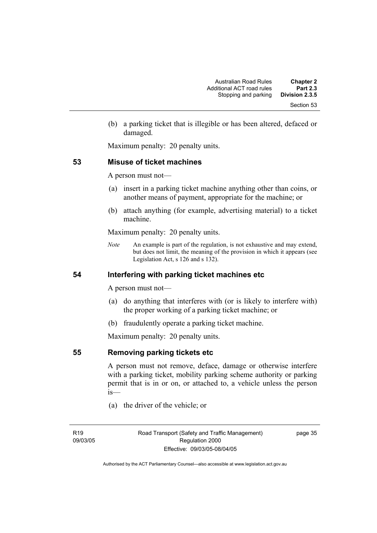(b) a parking ticket that is illegible or has been altered, defaced or damaged.

Maximum penalty: 20 penalty units.

# **53 Misuse of ticket machines**

A person must not—

- (a) insert in a parking ticket machine anything other than coins, or another means of payment, appropriate for the machine; or
- (b) attach anything (for example, advertising material) to a ticket machine.

Maximum penalty: 20 penalty units.

*Note* An example is part of the regulation, is not exhaustive and may extend, but does not limit, the meaning of the provision in which it appears (see Legislation Act, s 126 and s 132).

# **54 Interfering with parking ticket machines etc**

A person must not—

- (a) do anything that interferes with (or is likely to interfere with) the proper working of a parking ticket machine; or
- (b) fraudulently operate a parking ticket machine.

Maximum penalty: 20 penalty units.

**55 Removing parking tickets etc**

A person must not remove, deface, damage or otherwise interfere with a parking ticket, mobility parking scheme authority or parking permit that is in or on, or attached to, a vehicle unless the person is—

(a) the driver of the vehicle; or

page 35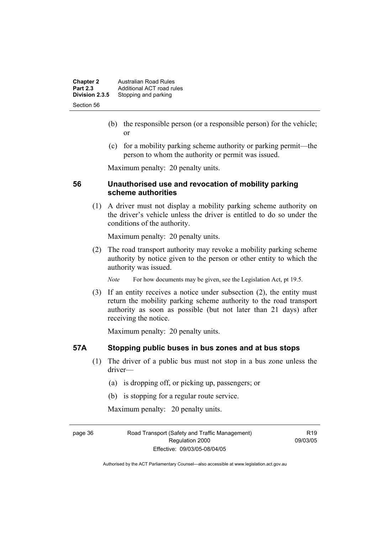| <b>Chapter 2</b> | <b>Australian Road Rules</b> |
|------------------|------------------------------|
| <b>Part 2.3</b>  | Additional ACT road rules    |
| Division 2.3.5   | Stopping and parking         |
| Section 56       |                              |

- (b) the responsible person (or a responsible person) for the vehicle; or
- (c) for a mobility parking scheme authority or parking permit—the person to whom the authority or permit was issued.

Maximum penalty: 20 penalty units.

# **56 Unauthorised use and revocation of mobility parking scheme authorities**

 (1) A driver must not display a mobility parking scheme authority on the driver's vehicle unless the driver is entitled to do so under the conditions of the authority.

Maximum penalty: 20 penalty units.

 (2) The road transport authority may revoke a mobility parking scheme authority by notice given to the person or other entity to which the authority was issued.

*Note* For how documents may be given, see the Legislation Act, pt 19.5.

 (3) If an entity receives a notice under subsection (2), the entity must return the mobility parking scheme authority to the road transport authority as soon as possible (but not later than 21 days) after receiving the notice.

Maximum penalty: 20 penalty units.

# **57A Stopping public buses in bus zones and at bus stops**

- (1) The driver of a public bus must not stop in a bus zone unless the driver—
	- (a) is dropping off, or picking up, passengers; or
	- (b) is stopping for a regular route service.

Maximum penalty: 20 penalty units.

page 36 Road Transport (Safety and Traffic Management) Regulation 2000 Effective: 09/03/05-08/04/05

 $R$ 19 09/03/05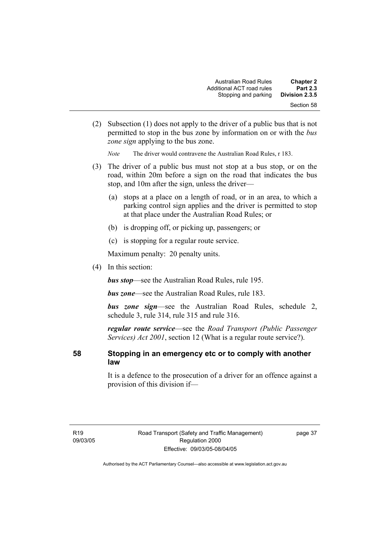| <b>Chapter 2</b><br><b>Part 2.3</b> | Australian Road Rules<br>Additional ACT road rules |
|-------------------------------------|----------------------------------------------------|
| Division 2.3.5                      | Stopping and parking                               |
| Section 58                          |                                                    |

 (2) Subsection (1) does not apply to the driver of a public bus that is not permitted to stop in the bus zone by information on or with the *bus zone sign* applying to the bus zone.

*Note* The driver would contravene the Australian Road Rules, r 183.

- (3) The driver of a public bus must not stop at a bus stop, or on the road, within 20m before a sign on the road that indicates the bus stop, and 10m after the sign, unless the driver—
	- (a) stops at a place on a length of road, or in an area, to which a parking control sign applies and the driver is permitted to stop at that place under the Australian Road Rules; or
	- (b) is dropping off, or picking up, passengers; or
	- (c) is stopping for a regular route service.

Maximum penalty: 20 penalty units.

(4) In this section:

*bus stop*—see the Australian Road Rules, rule 195.

*bus zone*—see the Australian Road Rules, rule 183.

*bus zone sign*—see the Australian Road Rules, schedule 2, schedule 3, rule 314, rule 315 and rule 316.

*regular route service*—see the *Road Transport (Public Passenger Services) Act 2001*, section 12 (What is a regular route service?).

# **58 Stopping in an emergency etc or to comply with another law**

It is a defence to the prosecution of a driver for an offence against a provision of this division if—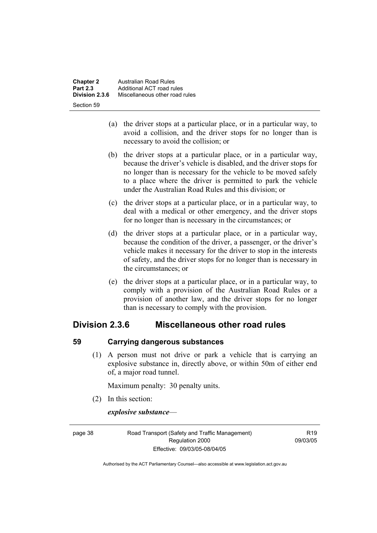- (a) the driver stops at a particular place, or in a particular way, to avoid a collision, and the driver stops for no longer than is necessary to avoid the collision; or
- (b) the driver stops at a particular place, or in a particular way, because the driver's vehicle is disabled, and the driver stops for no longer than is necessary for the vehicle to be moved safely to a place where the driver is permitted to park the vehicle under the Australian Road Rules and this division; or
- (c) the driver stops at a particular place, or in a particular way, to deal with a medical or other emergency, and the driver stops for no longer than is necessary in the circumstances; or
- (d) the driver stops at a particular place, or in a particular way, because the condition of the driver, a passenger, or the driver's vehicle makes it necessary for the driver to stop in the interests of safety, and the driver stops for no longer than is necessary in the circumstances; or
- (e) the driver stops at a particular place, or in a particular way, to comply with a provision of the Australian Road Rules or a provision of another law, and the driver stops for no longer than is necessary to comply with the provision.

# **Division 2.3.6 Miscellaneous other road rules**

# **59 Carrying dangerous substances**

 (1) A person must not drive or park a vehicle that is carrying an explosive substance in, directly above, or within 50m of either end of, a major road tunnel.

Maximum penalty: 30 penalty units.

(2) In this section:

*explosive substance*—

page 38 Road Transport (Safety and Traffic Management) Regulation 2000 Effective: 09/03/05-08/04/05

 $P10$ 09/03/05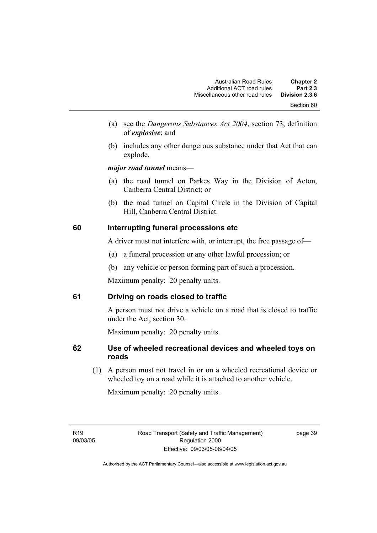- (a) see the *Dangerous Substances Act 2004*, section 73, definition of *explosive*; and
- (b) includes any other dangerous substance under that Act that can explode.

*major road tunnel* means—

- (a) the road tunnel on Parkes Way in the Division of Acton, Canberra Central District; or
- (b) the road tunnel on Capital Circle in the Division of Capital Hill, Canberra Central District.

# **60 Interrupting funeral processions etc**

A driver must not interfere with, or interrupt, the free passage of—

- (a) a funeral procession or any other lawful procession; or
- (b) any vehicle or person forming part of such a procession.

Maximum penalty: 20 penalty units.

# **61 Driving on roads closed to traffic**

A person must not drive a vehicle on a road that is closed to traffic under the Act, section 30.

Maximum penalty: 20 penalty units.

# **62 Use of wheeled recreational devices and wheeled toys on roads**

 (1) A person must not travel in or on a wheeled recreational device or wheeled toy on a road while it is attached to another vehicle.

Maximum penalty: 20 penalty units.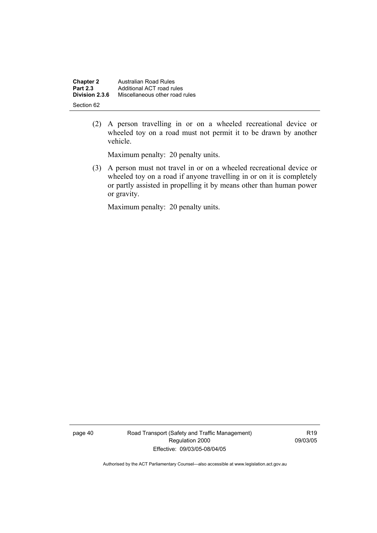| <b>Chapter 2</b> | <b>Australian Road Rules</b>   |
|------------------|--------------------------------|
| <b>Part 2.3</b>  | Additional ACT road rules      |
| Division 2.3.6   | Miscellaneous other road rules |
| Section 62       |                                |

 (2) A person travelling in or on a wheeled recreational device or wheeled toy on a road must not permit it to be drawn by another vehicle.

Maximum penalty: 20 penalty units.

 (3) A person must not travel in or on a wheeled recreational device or wheeled toy on a road if anyone travelling in or on it is completely or partly assisted in propelling it by means other than human power or gravity.

Maximum penalty: 20 penalty units.

page 40 Road Transport (Safety and Traffic Management) Regulation 2000 Effective: 09/03/05-08/04/05

R19 09/03/05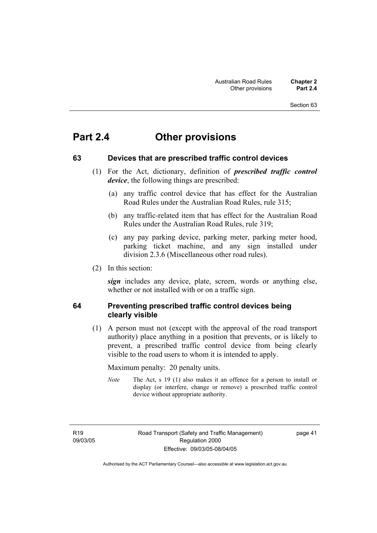# **Part 2.4 Other provisions**

# **63 Devices that are prescribed traffic control devices**

- (1) For the Act, dictionary, definition of *prescribed traffic control device*, the following things are prescribed:
	- (a) any traffic control device that has effect for the Australian Road Rules under the Australian Road Rules, rule 315;
	- (b) any traffic-related item that has effect for the Australian Road Rules under the Australian Road Rules, rule 319;
	- (c) any pay parking device, parking meter, parking meter hood, parking ticket machine, and any sign installed under division 2.3.6 (Miscellaneous other road rules).
- (2) In this section:

*sign* includes any device, plate, screen, words or anything else, whether or not installed with or on a traffic sign.

# **64 Preventing prescribed traffic control devices being clearly visible**

 (1) A person must not (except with the approval of the road transport authority) place anything in a position that prevents, or is likely to prevent, a prescribed traffic control device from being clearly visible to the road users to whom it is intended to apply.

Maximum penalty: 20 penalty units.

*Note* The Act, s 19 (1) also makes it an offence for a person to install or display (or interfere, change or remove) a prescribed traffic control device without appropriate authority.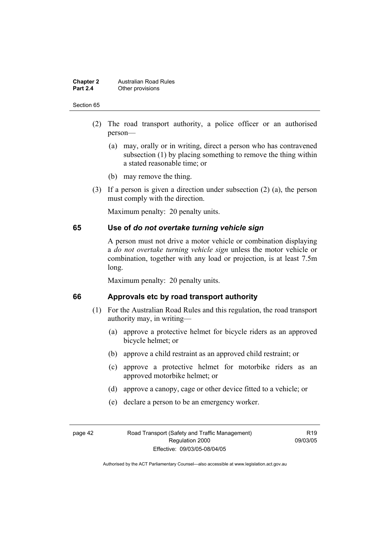#### **Chapter 2 Australian Road Rules**<br>**Part 2.4 Other provisions Other provisions**

#### Section 65

- (2) The road transport authority, a police officer or an authorised person—
	- (a) may, orally or in writing, direct a person who has contravened subsection (1) by placing something to remove the thing within a stated reasonable time; or
	- (b) may remove the thing.
- (3) If a person is given a direction under subsection (2) (a), the person must comply with the direction.

Maximum penalty: 20 penalty units.

## **65 Use of** *do not overtake turning vehicle sign*

A person must not drive a motor vehicle or combination displaying a *do not overtake turning vehicle sign* unless the motor vehicle or combination, together with any load or projection, is at least 7.5m long.

Maximum penalty: 20 penalty units.

## **66 Approvals etc by road transport authority**

- (1) For the Australian Road Rules and this regulation, the road transport authority may, in writing—
	- (a) approve a protective helmet for bicycle riders as an approved bicycle helmet; or
	- (b) approve a child restraint as an approved child restraint; or
	- (c) approve a protective helmet for motorbike riders as an approved motorbike helmet; or
	- (d) approve a canopy, cage or other device fitted to a vehicle; or
	- (e) declare a person to be an emergency worker.

page 42 Road Transport (Safety and Traffic Management) Regulation 2000 Effective: 09/03/05-08/04/05

 $P10$ 09/03/05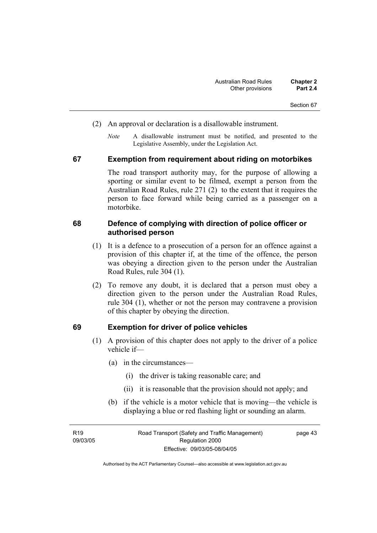- (2) An approval or declaration is a disallowable instrument.
	- *Note* A disallowable instrument must be notified, and presented to the Legislative Assembly, under the Legislation Act.

### **67 Exemption from requirement about riding on motorbikes**

The road transport authority may, for the purpose of allowing a sporting or similar event to be filmed, exempt a person from the Australian Road Rules, rule 271 (2) to the extent that it requires the person to face forward while being carried as a passenger on a motorbike.

### **68 Defence of complying with direction of police officer or authorised person**

- (1) It is a defence to a prosecution of a person for an offence against a provision of this chapter if, at the time of the offence, the person was obeying a direction given to the person under the Australian Road Rules, rule 304 (1).
- (2) To remove any doubt, it is declared that a person must obey a direction given to the person under the Australian Road Rules, rule 304 (1), whether or not the person may contravene a provision of this chapter by obeying the direction.

### **69 Exemption for driver of police vehicles**

- (1) A provision of this chapter does not apply to the driver of a police vehicle if—
	- (a) in the circumstances—
		- (i) the driver is taking reasonable care; and
		- (ii) it is reasonable that the provision should not apply; and
	- (b) if the vehicle is a motor vehicle that is moving—the vehicle is displaying a blue or red flashing light or sounding an alarm.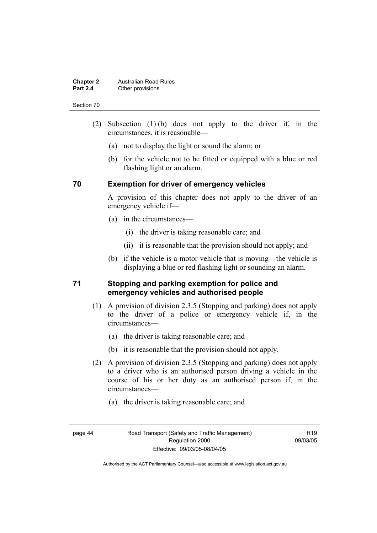#### **Chapter 2 Australian Road Rules**<br>**Part 2.4 Other provisions Other provisions**

#### Section 70

- (2) Subsection (1) (b) does not apply to the driver if, in the circumstances, it is reasonable—
	- (a) not to display the light or sound the alarm; or
	- (b) for the vehicle not to be fitted or equipped with a blue or red flashing light or an alarm.

# **70 Exemption for driver of emergency vehicles**

A provision of this chapter does not apply to the driver of an emergency vehicle if—

- (a) in the circumstances—
	- (i) the driver is taking reasonable care; and
	- (ii) it is reasonable that the provision should not apply; and
- (b) if the vehicle is a motor vehicle that is moving—the vehicle is displaying a blue or red flashing light or sounding an alarm.

# **71 Stopping and parking exemption for police and emergency vehicles and authorised people**

- (1) A provision of division 2.3.5 (Stopping and parking) does not apply to the driver of a police or emergency vehicle if, in the circumstances—
	- (a) the driver is taking reasonable care; and
	- (b) it is reasonable that the provision should not apply.
- (2) A provision of division 2.3.5 (Stopping and parking) does not apply to a driver who is an authorised person driving a vehicle in the course of his or her duty as an authorised person if, in the circumstances—
	- (a) the driver is taking reasonable care; and
- 

 $P10$ 09/03/05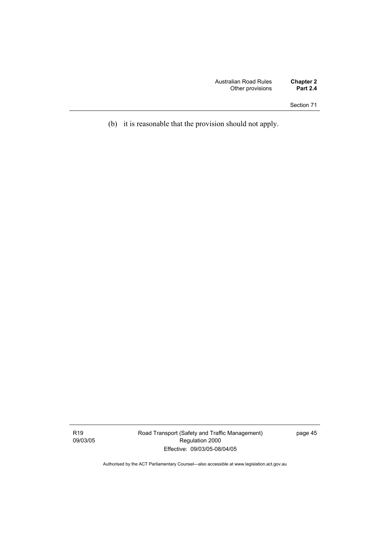(b) it is reasonable that the provision should not apply.

Road Transport (Safety and Traffic Management) Regulation 2000 Effective: 09/03/05-08/04/05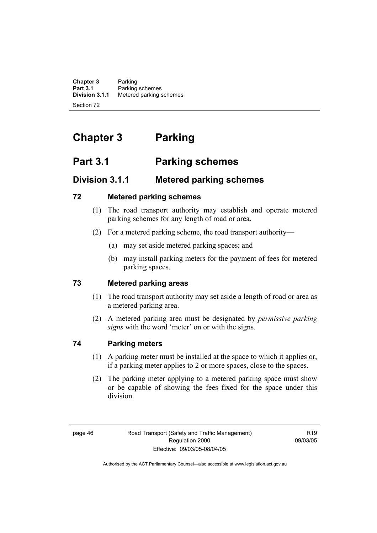**Chapter 3** Parking<br>**Part 3.1** Parking **Part 3.1** Parking schemes<br>**Division 3.1.1** Metered parking s **Division 3.1.1** Metered parking schemes Section 72

# **Chapter 3 Parking**

# **Part 3.1 Parking schemes**

# **Division 3.1.1 Metered parking schemes**

# **72 Metered parking schemes**

- (1) The road transport authority may establish and operate metered parking schemes for any length of road or area.
- (2) For a metered parking scheme, the road transport authority—
	- (a) may set aside metered parking spaces; and
	- (b) may install parking meters for the payment of fees for metered parking spaces.

# **73 Metered parking areas**

- (1) The road transport authority may set aside a length of road or area as a metered parking area.
- (2) A metered parking area must be designated by *permissive parking signs* with the word 'meter' on or with the signs.

# **74 Parking meters**

- (1) A parking meter must be installed at the space to which it applies or, if a parking meter applies to 2 or more spaces, close to the spaces.
- (2) The parking meter applying to a metered parking space must show or be capable of showing the fees fixed for the space under this division.

 $R$ 19 09/03/05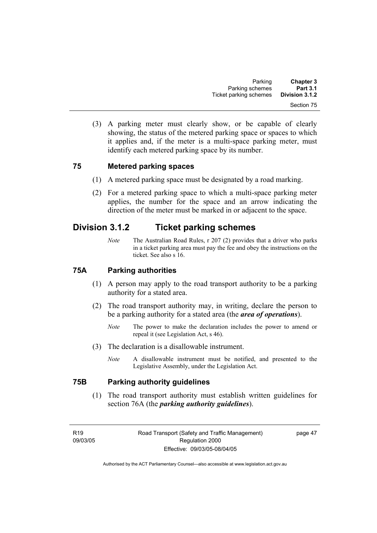(3) A parking meter must clearly show, or be capable of clearly showing, the status of the metered parking space or spaces to which it applies and, if the meter is a multi-space parking meter, must identify each metered parking space by its number.

# **75 Metered parking spaces**

- (1) A metered parking space must be designated by a road marking.
- (2) For a metered parking space to which a multi-space parking meter applies, the number for the space and an arrow indicating the direction of the meter must be marked in or adjacent to the space.

# **Division 3.1.2 Ticket parking schemes**

*Note* The Australian Road Rules, r 207 (2) provides that a driver who parks in a ticket parking area must pay the fee and obey the instructions on the ticket. See also s 16.

# **75A Parking authorities**

- (1) A person may apply to the road transport authority to be a parking authority for a stated area.
- (2) The road transport authority may, in writing, declare the person to be a parking authority for a stated area (the *area of operations*).
	- *Note* The power to make the declaration includes the power to amend or repeal it (see Legislation Act, s 46).
- (3) The declaration is a disallowable instrument.
	- *Note* A disallowable instrument must be notified, and presented to the Legislative Assembly, under the Legislation Act.

# **75B Parking authority guidelines**

 (1) The road transport authority must establish written guidelines for section 76A (the *parking authority guidelines*).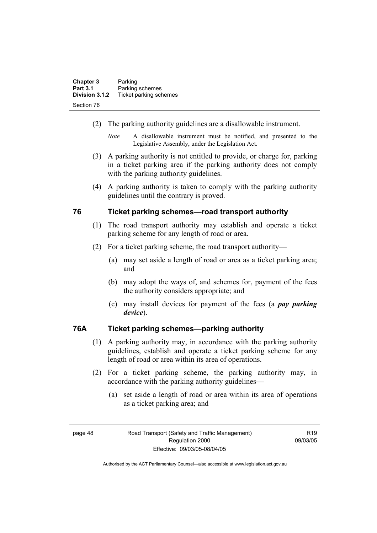| <b>Chapter 3</b> | Parking                |
|------------------|------------------------|
| <b>Part 3.1</b>  | Parking schemes        |
| Division 3.1.2   | Ticket parking schemes |
| Section 76       |                        |

- (2) The parking authority guidelines are a disallowable instrument.
	- *Note* A disallowable instrument must be notified, and presented to the Legislative Assembly, under the Legislation Act.
- (3) A parking authority is not entitled to provide, or charge for, parking in a ticket parking area if the parking authority does not comply with the parking authority guidelines.
- (4) A parking authority is taken to comply with the parking authority guidelines until the contrary is proved.

# **76 Ticket parking schemes—road transport authority**

- (1) The road transport authority may establish and operate a ticket parking scheme for any length of road or area.
- (2) For a ticket parking scheme, the road transport authority—
	- (a) may set aside a length of road or area as a ticket parking area; and
	- (b) may adopt the ways of, and schemes for, payment of the fees the authority considers appropriate; and
	- (c) may install devices for payment of the fees (a *pay parking device*).

# **76A Ticket parking schemes—parking authority**

- (1) A parking authority may, in accordance with the parking authority guidelines, establish and operate a ticket parking scheme for any length of road or area within its area of operations.
- (2) For a ticket parking scheme, the parking authority may, in accordance with the parking authority guidelines—
	- (a) set aside a length of road or area within its area of operations as a ticket parking area; and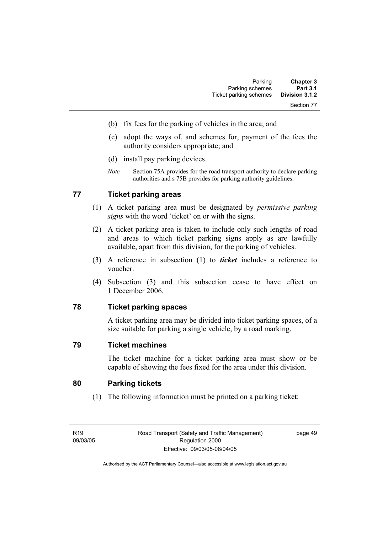- (b) fix fees for the parking of vehicles in the area; and
- (c) adopt the ways of, and schemes for, payment of the fees the authority considers appropriate; and
- (d) install pay parking devices.
- *Note* Section 75A provides for the road transport authority to declare parking authorities and s 75B provides for parking authority guidelines.

# **77 Ticket parking areas**

- (1) A ticket parking area must be designated by *permissive parking signs* with the word 'ticket' on or with the signs.
- (2) A ticket parking area is taken to include only such lengths of road and areas to which ticket parking signs apply as are lawfully available, apart from this division, for the parking of vehicles.
- (3) A reference in subsection (1) to *ticket* includes a reference to voucher.
- (4) Subsection (3) and this subsection cease to have effect on 1 December 2006.

# **78 Ticket parking spaces**

A ticket parking area may be divided into ticket parking spaces, of a size suitable for parking a single vehicle, by a road marking.

## **79 Ticket machines**

The ticket machine for a ticket parking area must show or be capable of showing the fees fixed for the area under this division.

# **80 Parking tickets**

(1) The following information must be printed on a parking ticket: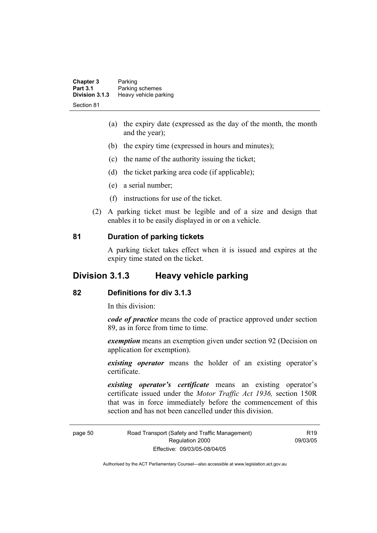| <b>Chapter 3</b><br><b>Part 3.1</b> | Parking<br>Parking schemes |  |
|-------------------------------------|----------------------------|--|
| Division 3.1.3                      | Heavy vehicle parking      |  |
| Section 81                          |                            |  |

- (a) the expiry date (expressed as the day of the month, the month and the year);
- (b) the expiry time (expressed in hours and minutes);
- (c) the name of the authority issuing the ticket;
- (d) the ticket parking area code (if applicable);
- (e) a serial number;
- (f) instructions for use of the ticket.
- (2) A parking ticket must be legible and of a size and design that enables it to be easily displayed in or on a vehicle.

### **81 Duration of parking tickets**

A parking ticket takes effect when it is issued and expires at the expiry time stated on the ticket.

# **Division 3.1.3 Heavy vehicle parking**

### **82 Definitions for div 3.1.3**

In this division:

*code of practice* means the code of practice approved under section 89, as in force from time to time.

*exemption* means an exemption given under section 92 (Decision on application for exemption).

*existing operator* means the holder of an existing operator's certificate.

*existing operator's certificate* means an existing operator's certificate issued under the *Motor Traffic Act 1936,* section 150R that was in force immediately before the commencement of this section and has not been cancelled under this division.

page 50 Road Transport (Safety and Traffic Management) Regulation 2000 Effective: 09/03/05-08/04/05

R19 09/03/05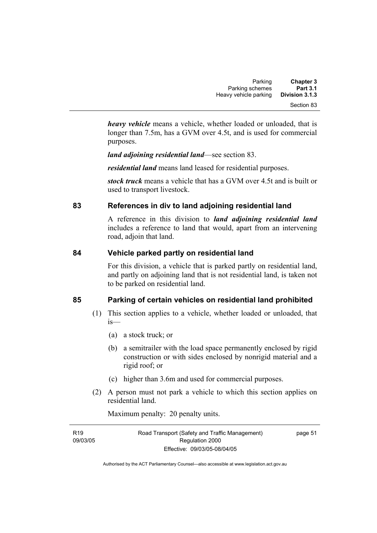| <b>Chapter 3</b> | Parking               |
|------------------|-----------------------|
| <b>Part 3.1</b>  | Parking schemes       |
| Division 3.1.3   | Heavy vehicle parking |
| Section 83       |                       |

*heavy vehicle* means a vehicle, whether loaded or unloaded, that is longer than 7.5m, has a GVM over 4.5t, and is used for commercial purposes.

*land adjoining residential land*—see section 83.

*residential land* means land leased for residential purposes.

*stock truck* means a vehicle that has a GVM over 4.5t and is built or used to transport livestock.

# **83 References in div to land adjoining residential land**

A reference in this division to *land adjoining residential land* includes a reference to land that would, apart from an intervening road, adjoin that land.

# **84 Vehicle parked partly on residential land**

For this division, a vehicle that is parked partly on residential land, and partly on adjoining land that is not residential land, is taken not to be parked on residential land.

# **85 Parking of certain vehicles on residential land prohibited**

- (1) This section applies to a vehicle, whether loaded or unloaded, that is—
	- (a) a stock truck; or
	- (b) a semitrailer with the load space permanently enclosed by rigid construction or with sides enclosed by nonrigid material and a rigid roof; or
	- (c) higher than 3.6m and used for commercial purposes.
- (2) A person must not park a vehicle to which this section applies on residential land.

Maximum penalty: 20 penalty units.

| R <sub>19</sub> | Road Transport (Safety and Traffic Management) | page 51 |
|-----------------|------------------------------------------------|---------|
| 09/03/05        | Regulation 2000                                |         |
|                 | Effective: 09/03/05-08/04/05                   |         |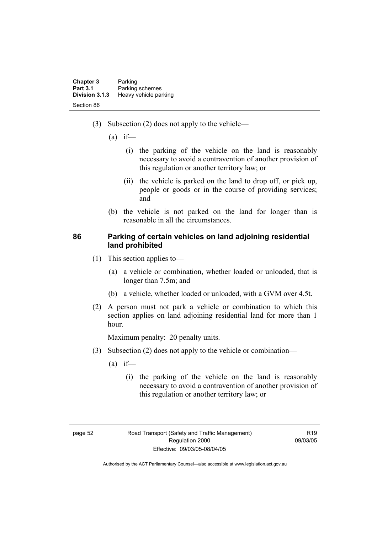| <b>Chapter 3</b> | Parking               |
|------------------|-----------------------|
| <b>Part 3.1</b>  | Parking schemes       |
| Division 3.1.3   | Heavy vehicle parking |
| Section 86       |                       |

- (3) Subsection (2) does not apply to the vehicle—
	- $(a)$  if—
		- (i) the parking of the vehicle on the land is reasonably necessary to avoid a contravention of another provision of this regulation or another territory law; or
		- (ii) the vehicle is parked on the land to drop off, or pick up, people or goods or in the course of providing services; and
	- (b) the vehicle is not parked on the land for longer than is reasonable in all the circumstances.

# **86 Parking of certain vehicles on land adjoining residential land prohibited**

- (1) This section applies to—
	- (a) a vehicle or combination, whether loaded or unloaded, that is longer than 7.5m; and
	- (b) a vehicle, whether loaded or unloaded, with a GVM over 4.5t.
- (2) A person must not park a vehicle or combination to which this section applies on land adjoining residential land for more than 1 hour.

Maximum penalty: 20 penalty units.

- (3) Subsection (2) does not apply to the vehicle or combination—
	- $(a)$  if—
		- (i) the parking of the vehicle on the land is reasonably necessary to avoid a contravention of another provision of this regulation or another territory law; or

 $P10$ 09/03/05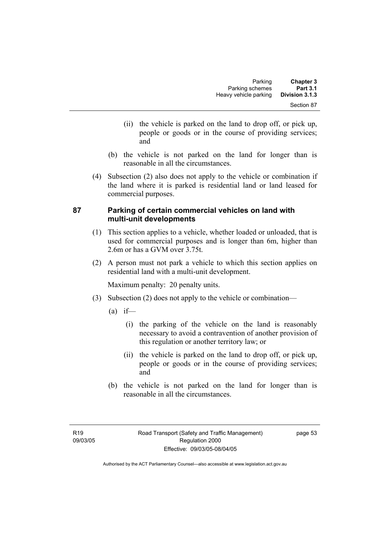- (ii) the vehicle is parked on the land to drop off, or pick up, people or goods or in the course of providing services; and
- (b) the vehicle is not parked on the land for longer than is reasonable in all the circumstances.
- (4) Subsection (2) also does not apply to the vehicle or combination if the land where it is parked is residential land or land leased for commercial purposes.

# **87 Parking of certain commercial vehicles on land with multi-unit developments**

- (1) This section applies to a vehicle, whether loaded or unloaded, that is used for commercial purposes and is longer than 6m, higher than 2.6m or has a GVM over 3.75t.
- (2) A person must not park a vehicle to which this section applies on residential land with a multi-unit development.

Maximum penalty: 20 penalty units.

- (3) Subsection (2) does not apply to the vehicle or combination—
	- $(a)$  if—
		- (i) the parking of the vehicle on the land is reasonably necessary to avoid a contravention of another provision of this regulation or another territory law; or
		- (ii) the vehicle is parked on the land to drop off, or pick up, people or goods or in the course of providing services; and
	- (b) the vehicle is not parked on the land for longer than is reasonable in all the circumstances.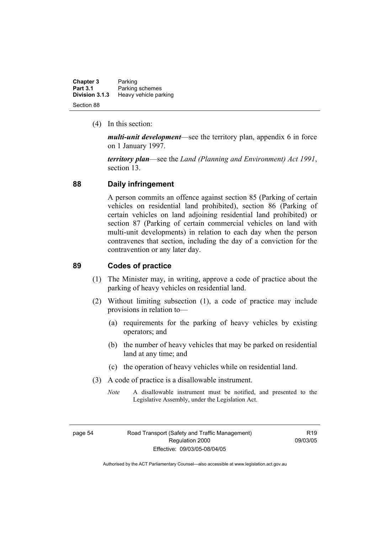| <b>Chapter 3</b> | Parking               |
|------------------|-----------------------|
| <b>Part 3.1</b>  | Parking schemes       |
| Division 3.1.3   | Heavy vehicle parking |
| Section 88       |                       |

(4) In this section:

*multi-unit development*—see the territory plan, appendix 6 in force on 1 January 1997.

*territory plan*—see the *Land (Planning and Environment) Act 1991*, section 13.

## **88 Daily infringement**

A person commits an offence against section 85 (Parking of certain vehicles on residential land prohibited), section 86 (Parking of certain vehicles on land adjoining residential land prohibited) or section 87 (Parking of certain commercial vehicles on land with multi-unit developments) in relation to each day when the person contravenes that section, including the day of a conviction for the contravention or any later day.

# **89 Codes of practice**

- (1) The Minister may, in writing, approve a code of practice about the parking of heavy vehicles on residential land.
- (2) Without limiting subsection (1), a code of practice may include provisions in relation to—
	- (a) requirements for the parking of heavy vehicles by existing operators; and
	- (b) the number of heavy vehicles that may be parked on residential land at any time; and
	- (c) the operation of heavy vehicles while on residential land.
- (3) A code of practice is a disallowable instrument.
	- *Note* A disallowable instrument must be notified, and presented to the Legislative Assembly, under the Legislation Act.

R19 09/03/05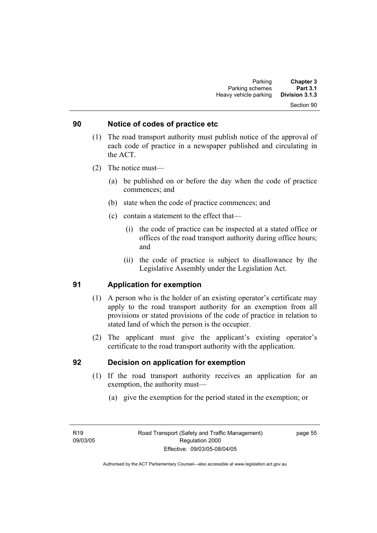#### Section 90

### **90 Notice of codes of practice etc**

- (1) The road transport authority must publish notice of the approval of each code of practice in a newspaper published and circulating in the ACT.
- (2) The notice must—
	- (a) be published on or before the day when the code of practice commences; and
	- (b) state when the code of practice commences; and
	- (c) contain a statement to the effect that—
		- (i) the code of practice can be inspected at a stated office or offices of the road transport authority during office hours; and
		- (ii) the code of practice is subject to disallowance by the Legislative Assembly under the Legislation Act.

# **91 Application for exemption**

- (1) A person who is the holder of an existing operator's certificate may apply to the road transport authority for an exemption from all provisions or stated provisions of the code of practice in relation to stated land of which the person is the occupier.
- (2) The applicant must give the applicant's existing operator's certificate to the road transport authority with the application.

### **92 Decision on application for exemption**

- (1) If the road transport authority receives an application for an exemption, the authority must—
	- (a) give the exemption for the period stated in the exemption; or

page 55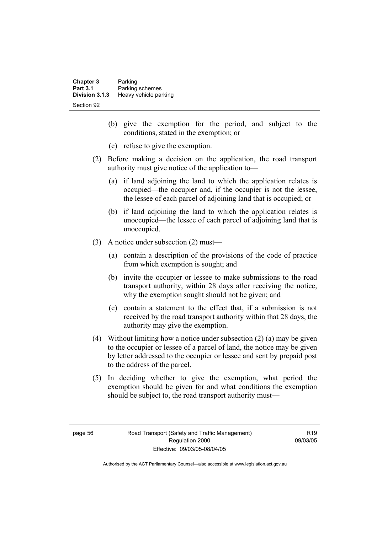| <b>Chapter 3</b><br><b>Part 3.1</b> | Parking<br>Parking schemes |  |
|-------------------------------------|----------------------------|--|
| Division 3.1.3                      | Heavy vehicle parking      |  |
| Section 92                          |                            |  |

- (b) give the exemption for the period, and subject to the conditions, stated in the exemption; or
- (c) refuse to give the exemption.
- (2) Before making a decision on the application, the road transport authority must give notice of the application to—
	- (a) if land adjoining the land to which the application relates is occupied—the occupier and, if the occupier is not the lessee, the lessee of each parcel of adjoining land that is occupied; or
	- (b) if land adjoining the land to which the application relates is unoccupied—the lessee of each parcel of adjoining land that is unoccupied.
- (3) A notice under subsection (2) must—
	- (a) contain a description of the provisions of the code of practice from which exemption is sought; and
	- (b) invite the occupier or lessee to make submissions to the road transport authority, within 28 days after receiving the notice, why the exemption sought should not be given; and
	- (c) contain a statement to the effect that, if a submission is not received by the road transport authority within that 28 days, the authority may give the exemption.
- (4) Without limiting how a notice under subsection (2) (a) may be given to the occupier or lessee of a parcel of land, the notice may be given by letter addressed to the occupier or lessee and sent by prepaid post to the address of the parcel.
- (5) In deciding whether to give the exemption, what period the exemption should be given for and what conditions the exemption should be subject to, the road transport authority must—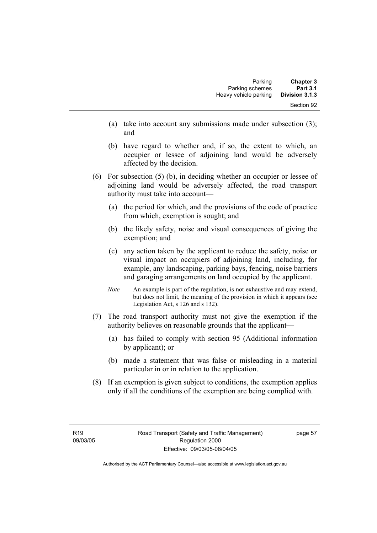- (a) take into account any submissions made under subsection (3); and
- (b) have regard to whether and, if so, the extent to which, an occupier or lessee of adjoining land would be adversely affected by the decision.
- (6) For subsection (5) (b), in deciding whether an occupier or lessee of adjoining land would be adversely affected, the road transport authority must take into account—
	- (a) the period for which, and the provisions of the code of practice from which, exemption is sought; and
	- (b) the likely safety, noise and visual consequences of giving the exemption; and
	- (c) any action taken by the applicant to reduce the safety, noise or visual impact on occupiers of adjoining land, including, for example, any landscaping, parking bays, fencing, noise barriers and garaging arrangements on land occupied by the applicant.
	- *Note* An example is part of the regulation, is not exhaustive and may extend, but does not limit, the meaning of the provision in which it appears (see Legislation Act, s 126 and s 132).
- (7) The road transport authority must not give the exemption if the authority believes on reasonable grounds that the applicant—
	- (a) has failed to comply with section 95 (Additional information by applicant); or
	- (b) made a statement that was false or misleading in a material particular in or in relation to the application.
- (8) If an exemption is given subject to conditions, the exemption applies only if all the conditions of the exemption are being complied with.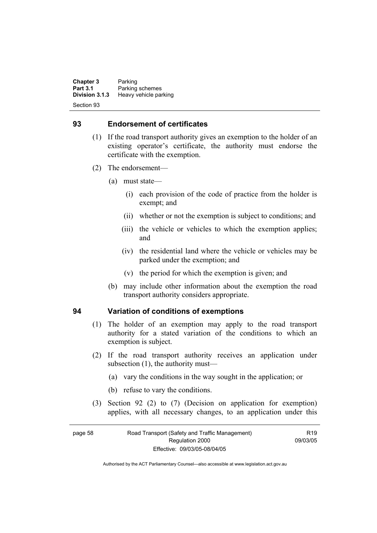**Chapter 3** Parking<br>**Part 3.1** Parking **Part 3.1** Parking schemes<br>Division 3.1.3 Heavy vehicle part **Division 3.1.3** Heavy vehicle parking Section 93

### **93 Endorsement of certificates**

- (1) If the road transport authority gives an exemption to the holder of an existing operator's certificate, the authority must endorse the certificate with the exemption.
- (2) The endorsement—
	- (a) must state—
		- (i) each provision of the code of practice from the holder is exempt; and
		- (ii) whether or not the exemption is subject to conditions; and
		- (iii) the vehicle or vehicles to which the exemption applies; and
		- (iv) the residential land where the vehicle or vehicles may be parked under the exemption; and
		- (v) the period for which the exemption is given; and
	- (b) may include other information about the exemption the road transport authority considers appropriate.

### **94 Variation of conditions of exemptions**

- (1) The holder of an exemption may apply to the road transport authority for a stated variation of the conditions to which an exemption is subject.
- (2) If the road transport authority receives an application under subsection (1), the authority must—
	- (a) vary the conditions in the way sought in the application; or
	- (b) refuse to vary the conditions.
- (3) Section 92 (2) to (7) (Decision on application for exemption) applies, with all necessary changes, to an application under this

### page 58 Road Transport (Safety and Traffic Management) Regulation 2000 Effective: 09/03/05-08/04/05

 $R$ 19 09/03/05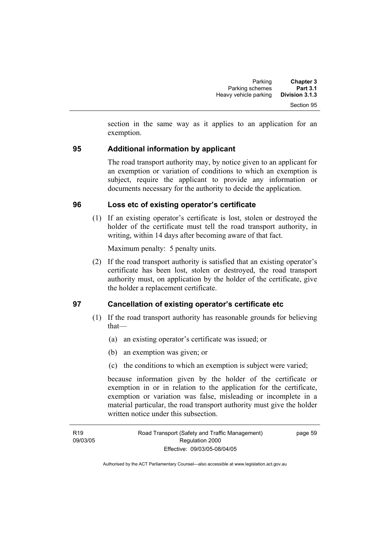section in the same way as it applies to an application for an exemption.

# **95 Additional information by applicant**

The road transport authority may, by notice given to an applicant for an exemption or variation of conditions to which an exemption is subject, require the applicant to provide any information or documents necessary for the authority to decide the application.

# **96 Loss etc of existing operator's certificate**

 (1) If an existing operator's certificate is lost, stolen or destroyed the holder of the certificate must tell the road transport authority, in writing, within 14 days after becoming aware of that fact.

Maximum penalty: 5 penalty units.

 (2) If the road transport authority is satisfied that an existing operator's certificate has been lost, stolen or destroyed, the road transport authority must, on application by the holder of the certificate, give the holder a replacement certificate.

# **97 Cancellation of existing operator's certificate etc**

- (1) If the road transport authority has reasonable grounds for believing that—
	- (a) an existing operator's certificate was issued; or
	- (b) an exemption was given; or
	- (c) the conditions to which an exemption is subject were varied;

because information given by the holder of the certificate or exemption in or in relation to the application for the certificate, exemption or variation was false, misleading or incomplete in a material particular, the road transport authority must give the holder written notice under this subsection.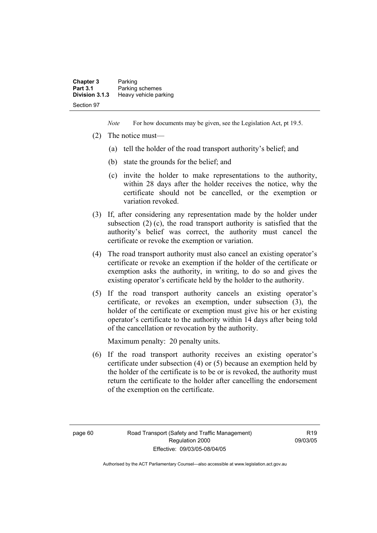| <b>Chapter 3</b> | Parking               |
|------------------|-----------------------|
| <b>Part 3.1</b>  | Parking schemes       |
| Division 3.1.3   | Heavy vehicle parking |
| Section 97       |                       |

*Note* For how documents may be given, see the Legislation Act, pt 19.5.

- (2) The notice must—
	- (a) tell the holder of the road transport authority's belief; and
	- (b) state the grounds for the belief; and
	- (c) invite the holder to make representations to the authority, within 28 days after the holder receives the notice, why the certificate should not be cancelled, or the exemption or variation revoked.
- (3) If, after considering any representation made by the holder under subsection (2) (c), the road transport authority is satisfied that the authority's belief was correct, the authority must cancel the certificate or revoke the exemption or variation.
- (4) The road transport authority must also cancel an existing operator's certificate or revoke an exemption if the holder of the certificate or exemption asks the authority, in writing, to do so and gives the existing operator's certificate held by the holder to the authority.
- (5) If the road transport authority cancels an existing operator's certificate, or revokes an exemption, under subsection (3), the holder of the certificate or exemption must give his or her existing operator's certificate to the authority within 14 days after being told of the cancellation or revocation by the authority.

Maximum penalty: 20 penalty units.

 (6) If the road transport authority receives an existing operator's certificate under subsection (4) or (5) because an exemption held by the holder of the certificate is to be or is revoked, the authority must return the certificate to the holder after cancelling the endorsement of the exemption on the certificate.

 $P10$ 09/03/05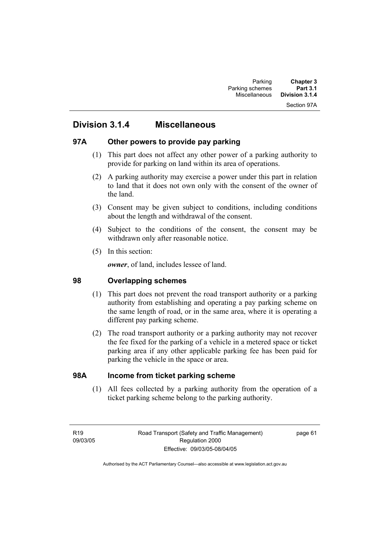### Section 97A

# **Division 3.1.4 Miscellaneous**

## **97A Other powers to provide pay parking**

- (1) This part does not affect any other power of a parking authority to provide for parking on land within its area of operations.
- (2) A parking authority may exercise a power under this part in relation to land that it does not own only with the consent of the owner of the land.
- (3) Consent may be given subject to conditions, including conditions about the length and withdrawal of the consent.
- (4) Subject to the conditions of the consent, the consent may be withdrawn only after reasonable notice.
- (5) In this section:

*owner*, of land, includes lessee of land.

# **98 Overlapping schemes**

- (1) This part does not prevent the road transport authority or a parking authority from establishing and operating a pay parking scheme on the same length of road, or in the same area, where it is operating a different pay parking scheme.
- (2) The road transport authority or a parking authority may not recover the fee fixed for the parking of a vehicle in a metered space or ticket parking area if any other applicable parking fee has been paid for parking the vehicle in the space or area.

## **98A Income from ticket parking scheme**

 (1) All fees collected by a parking authority from the operation of a ticket parking scheme belong to the parking authority.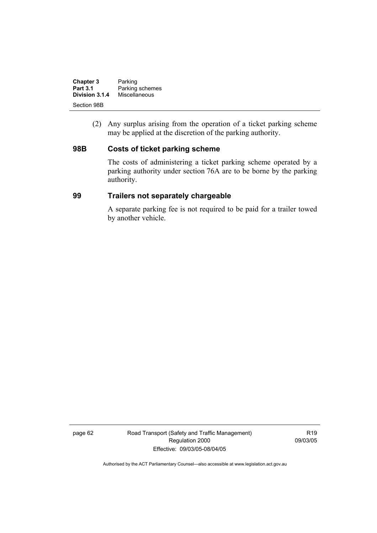| <b>Chapter 3</b> | Parking         |
|------------------|-----------------|
| <b>Part 3.1</b>  | Parking schemes |
| Division 3.1.4   | Miscellaneous   |
| Section 98B      |                 |

 (2) Any surplus arising from the operation of a ticket parking scheme may be applied at the discretion of the parking authority.

## **98B Costs of ticket parking scheme**

The costs of administering a ticket parking scheme operated by a parking authority under section 76A are to be borne by the parking authority.

### **99 Trailers not separately chargeable**

A separate parking fee is not required to be paid for a trailer towed by another vehicle.

page 62 Road Transport (Safety and Traffic Management) Regulation 2000 Effective: 09/03/05-08/04/05

R19 09/03/05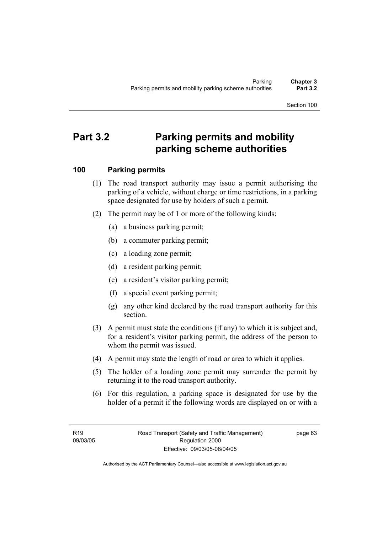Section 100

# **Part 3.2 Parking permits and mobility parking scheme authorities**

# **100 Parking permits**

- (1) The road transport authority may issue a permit authorising the parking of a vehicle, without charge or time restrictions, in a parking space designated for use by holders of such a permit.
- (2) The permit may be of 1 or more of the following kinds:
	- (a) a business parking permit;
	- (b) a commuter parking permit;
	- (c) a loading zone permit;
	- (d) a resident parking permit;
	- (e) a resident's visitor parking permit;
	- (f) a special event parking permit;
	- (g) any other kind declared by the road transport authority for this section.
- (3) A permit must state the conditions (if any) to which it is subject and, for a resident's visitor parking permit, the address of the person to whom the permit was issued.
- (4) A permit may state the length of road or area to which it applies.
- (5) The holder of a loading zone permit may surrender the permit by returning it to the road transport authority.
- (6) For this regulation, a parking space is designated for use by the holder of a permit if the following words are displayed on or with a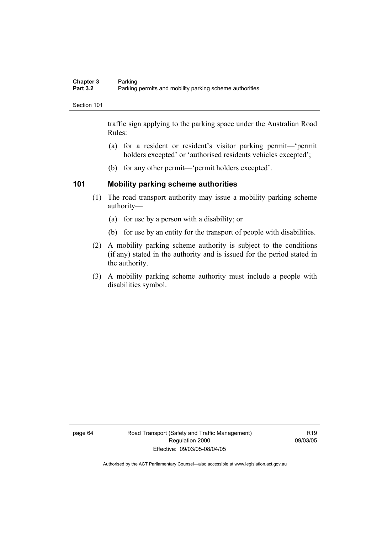#### Section 101

traffic sign applying to the parking space under the Australian Road Rules:

- (a) for a resident or resident's visitor parking permit—'permit holders excepted' or 'authorised residents vehicles excepted';
- (b) for any other permit—'permit holders excepted'.

# **101 Mobility parking scheme authorities**

- (1) The road transport authority may issue a mobility parking scheme authority—
	- (a) for use by a person with a disability; or
	- (b) for use by an entity for the transport of people with disabilities.
- (2) A mobility parking scheme authority is subject to the conditions (if any) stated in the authority and is issued for the period stated in the authority.
- (3) A mobility parking scheme authority must include a people with disabilities symbol.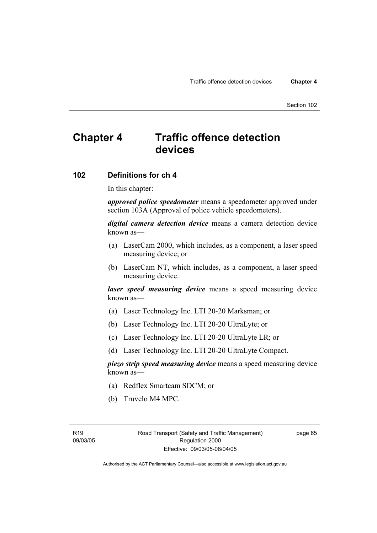Section 102

# **Chapter 4 Traffic offence detection devices**

# **102 Definitions for ch 4**

In this chapter:

*approved police speedometer* means a speedometer approved under section 103A (Approval of police vehicle speedometers).

*digital camera detection device* means a camera detection device known as—

- (a) LaserCam 2000, which includes, as a component, a laser speed measuring device; or
- (b) LaserCam NT, which includes, as a component, a laser speed measuring device.

*laser speed measuring device* means a speed measuring device known as—

- (a) Laser Technology Inc. LTI 20-20 Marksman; or
- (b) Laser Technology Inc. LTI 20-20 UltraLyte; or
- (c) Laser Technology Inc. LTI 20-20 UltraLyte LR; or
- (d) Laser Technology Inc. LTI 20-20 UltraLyte Compact.

*piezo strip speed measuring device* means a speed measuring device known as—

- (a) Redflex Smartcam SDCM; or
- (b) Truvelo M4 MPC.

page 65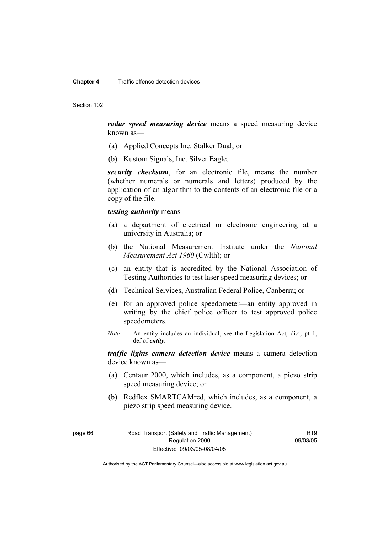#### **Chapter 4** Traffic offence detection devices

Section 102

*radar speed measuring device* means a speed measuring device known as—

- (a) Applied Concepts Inc. Stalker Dual; or
- (b) Kustom Signals, Inc. Silver Eagle.

*security checksum*, for an electronic file, means the number (whether numerals or numerals and letters) produced by the application of an algorithm to the contents of an electronic file or a copy of the file.

### *testing authority* means—

- (a) a department of electrical or electronic engineering at a university in Australia; or
- (b) the National Measurement Institute under the *National Measurement Act 1960* (Cwlth); or
- (c) an entity that is accredited by the National Association of Testing Authorities to test laser speed measuring devices; or
- (d) Technical Services, Australian Federal Police, Canberra; or
- (e) for an approved police speedometer—an entity approved in writing by the chief police officer to test approved police speedometers.
- *Note* An entity includes an individual, see the Legislation Act, dict, pt 1, def of *entity*.

*traffic lights camera detection device* means a camera detection device known as—

- (a) Centaur 2000, which includes, as a component, a piezo strip speed measuring device; or
- (b) Redflex SMARTCAMred, which includes, as a component, a piezo strip speed measuring device.

page 66 Road Transport (Safety and Traffic Management) Regulation 2000 Effective: 09/03/05-08/04/05

R19 09/03/05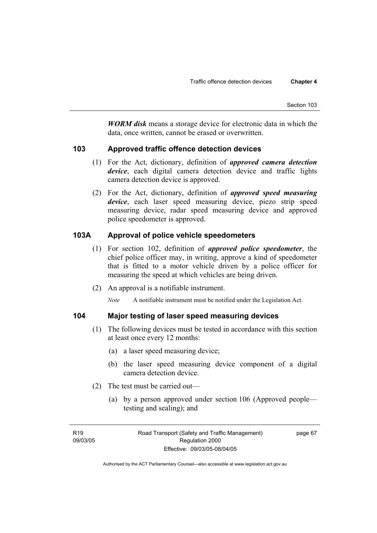*WORM disk* means a storage device for electronic data in which the data, once written, cannot be erased or overwritten.

# **103 Approved traffic offence detection devices**

- (1) For the Act, dictionary, definition of *approved camera detection device*, each digital camera detection device and traffic lights camera detection device is approved.
- (2) For the Act, dictionary, definition of *approved speed measuring device*, each laser speed measuring device, piezo strip speed measuring device, radar speed measuring device and approved police speedometer is approved.

# **103A Approval of police vehicle speedometers**

- (1) For section 102, definition of *approved police speedometer*, the chief police officer may, in writing, approve a kind of speedometer that is fitted to a motor vehicle driven by a police officer for measuring the speed at which vehicles are being driven.
- (2) An approval is a notifiable instrument.

*Note* A notifiable instrument must be notified under the Legislation Act.

# **104 Major testing of laser speed measuring devices**

- (1) The following devices must be tested in accordance with this section at least once every 12 months:
	- (a) a laser speed measuring device;
	- (b) the laser speed measuring device component of a digital camera detection device.
- (2) The test must be carried out—
	- (a) by a person approved under section 106 (Approved people testing and sealing); and

page 67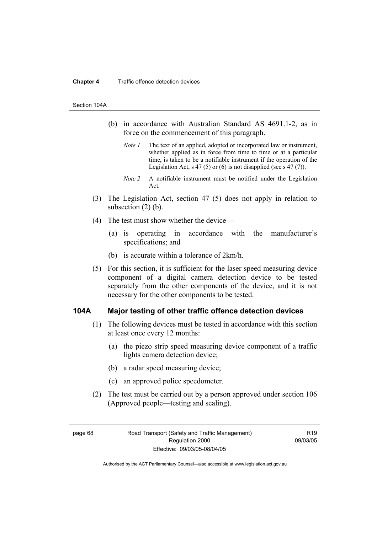#### **Chapter 4** Traffic offence detection devices

#### Section 104A

- (b) in accordance with Australian Standard AS 4691.1-2, as in force on the commencement of this paragraph.
	- *Note 1* The text of an applied, adopted or incorporated law or instrument, whether applied as in force from time to time or at a particular time, is taken to be a notifiable instrument if the operation of the Legislation Act, s 47 (5) or (6) is not disapplied (see s 47 (7)).
	- *Note 2* A notifiable instrument must be notified under the Legislation Act.
- (3) The Legislation Act, section 47 (5) does not apply in relation to subsection  $(2)$  (b).
- (4) The test must show whether the device—
	- (a) is operating in accordance with the manufacturer's specifications; and
	- (b) is accurate within a tolerance of 2km/h.
- (5) For this section, it is sufficient for the laser speed measuring device component of a digital camera detection device to be tested separately from the other components of the device, and it is not necessary for the other components to be tested.

### **104A Major testing of other traffic offence detection devices**

- (1) The following devices must be tested in accordance with this section at least once every 12 months:
	- (a) the piezo strip speed measuring device component of a traffic lights camera detection device;
	- (b) a radar speed measuring device;
	- (c) an approved police speedometer.
- (2) The test must be carried out by a person approved under section 106 (Approved people—testing and sealing).

page 68 Road Transport (Safety and Traffic Management) Regulation 2000 Effective: 09/03/05-08/04/05

R19 09/03/05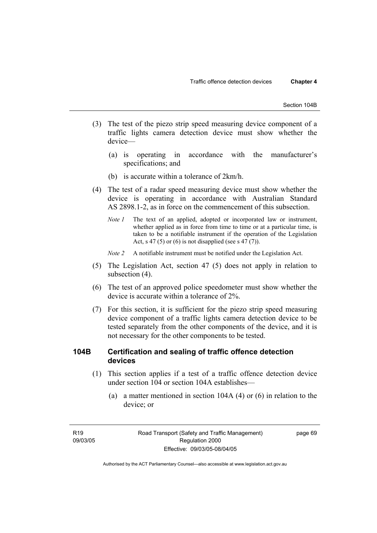- (3) The test of the piezo strip speed measuring device component of a traffic lights camera detection device must show whether the device—
	- (a) is operating in accordance with the manufacturer's specifications; and
	- (b) is accurate within a tolerance of 2km/h.
- (4) The test of a radar speed measuring device must show whether the device is operating in accordance with Australian Standard AS 2898.1-2, as in force on the commencement of this subsection.
	- *Note 1* The text of an applied, adopted or incorporated law or instrument, whether applied as in force from time to time or at a particular time, is taken to be a notifiable instrument if the operation of the Legislation Act, s 47 (5) or (6) is not disapplied (see s 47 (7)).
	- *Note 2* A notifiable instrument must be notified under the Legislation Act.
- (5) The Legislation Act, section 47 (5) does not apply in relation to subsection (4).
- (6) The test of an approved police speedometer must show whether the device is accurate within a tolerance of 2%.
- (7) For this section, it is sufficient for the piezo strip speed measuring device component of a traffic lights camera detection device to be tested separately from the other components of the device, and it is not necessary for the other components to be tested.

# **104B Certification and sealing of traffic offence detection devices**

- (1) This section applies if a test of a traffic offence detection device under section 104 or section 104A establishes—
	- (a) a matter mentioned in section 104A (4) or (6) in relation to the device; or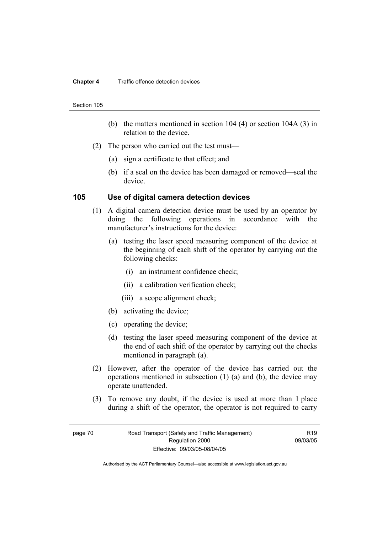#### **Chapter 4** Traffic offence detection devices

#### Section 105

- (b) the matters mentioned in section 104 (4) or section 104A (3) in relation to the device.
- (2) The person who carried out the test must—
	- (a) sign a certificate to that effect; and
	- (b) if a seal on the device has been damaged or removed—seal the device.

### **105 Use of digital camera detection devices**

- (1) A digital camera detection device must be used by an operator by doing the following operations in accordance with the manufacturer's instructions for the device:
	- (a) testing the laser speed measuring component of the device at the beginning of each shift of the operator by carrying out the following checks:
		- (i) an instrument confidence check;
		- (ii) a calibration verification check;
		- (iii) a scope alignment check;
	- (b) activating the device;
	- (c) operating the device;
	- (d) testing the laser speed measuring component of the device at the end of each shift of the operator by carrying out the checks mentioned in paragraph (a).
- (2) However, after the operator of the device has carried out the operations mentioned in subsection (1) (a) and (b), the device may operate unattended.
- (3) To remove any doubt, if the device is used at more than 1 place during a shift of the operator, the operator is not required to carry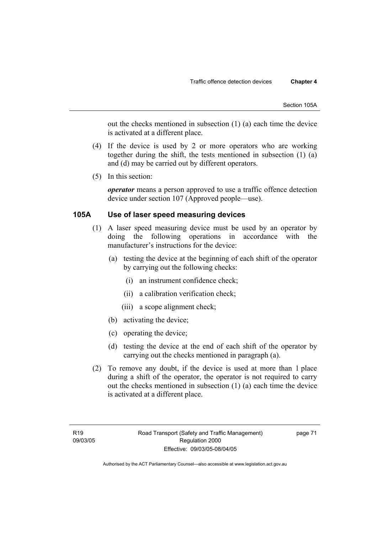out the checks mentioned in subsection (1) (a) each time the device is activated at a different place.

- (4) If the device is used by 2 or more operators who are working together during the shift, the tests mentioned in subsection (1) (a) and (d) may be carried out by different operators.
- (5) In this section:

*operator* means a person approved to use a traffic offence detection device under section 107 (Approved people—use).

# **105A Use of laser speed measuring devices**

- (1) A laser speed measuring device must be used by an operator by doing the following operations in accordance with the manufacturer's instructions for the device:
	- (a) testing the device at the beginning of each shift of the operator by carrying out the following checks:
		- (i) an instrument confidence check;
		- (ii) a calibration verification check;
		- (iii) a scope alignment check;
	- (b) activating the device;
	- (c) operating the device;
	- (d) testing the device at the end of each shift of the operator by carrying out the checks mentioned in paragraph (a).
- (2) To remove any doubt, if the device is used at more than 1 place during a shift of the operator, the operator is not required to carry out the checks mentioned in subsection (1) (a) each time the device is activated at a different place.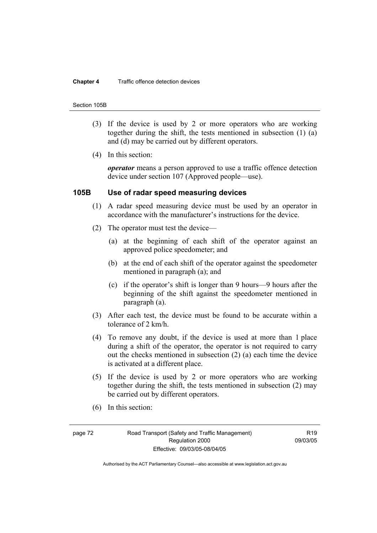#### **Chapter 4** Traffic offence detection devices

#### Section 105B

- (3) If the device is used by 2 or more operators who are working together during the shift, the tests mentioned in subsection (1) (a) and (d) may be carried out by different operators.
- (4) In this section:

*operator* means a person approved to use a traffic offence detection device under section 107 (Approved people—use).

### **105B Use of radar speed measuring devices**

- (1) A radar speed measuring device must be used by an operator in accordance with the manufacturer's instructions for the device.
- (2) The operator must test the device—
	- (a) at the beginning of each shift of the operator against an approved police speedometer; and
	- (b) at the end of each shift of the operator against the speedometer mentioned in paragraph (a); and
	- (c) if the operator's shift is longer than 9 hours—9 hours after the beginning of the shift against the speedometer mentioned in paragraph (a).
- (3) After each test, the device must be found to be accurate within a tolerance of 2 km/h.
- (4) To remove any doubt, if the device is used at more than 1 place during a shift of the operator, the operator is not required to carry out the checks mentioned in subsection (2) (a) each time the device is activated at a different place.
- (5) If the device is used by 2 or more operators who are working together during the shift, the tests mentioned in subsection (2) may be carried out by different operators.
- (6) In this section:

page 72 Road Transport (Safety and Traffic Management) Regulation 2000 Effective: 09/03/05-08/04/05

**R19** 09/03/05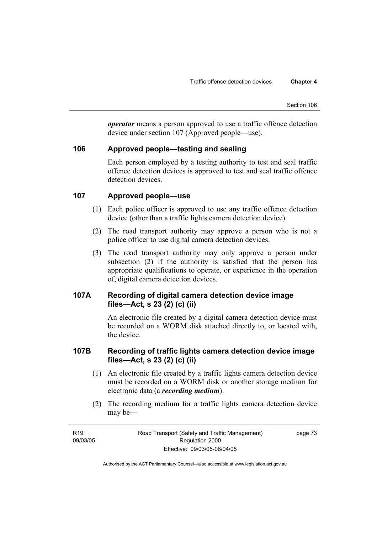*operator* means a person approved to use a traffic offence detection device under section 107 (Approved people—use).

# **106 Approved people—testing and sealing**

Each person employed by a testing authority to test and seal traffic offence detection devices is approved to test and seal traffic offence detection devices.

# **107 Approved people—use**

- (1) Each police officer is approved to use any traffic offence detection device (other than a traffic lights camera detection device).
- (2) The road transport authority may approve a person who is not a police officer to use digital camera detection devices.
- (3) The road transport authority may only approve a person under subsection (2) if the authority is satisfied that the person has appropriate qualifications to operate, or experience in the operation of, digital camera detection devices.

# **107A Recording of digital camera detection device image files—Act, s 23 (2) (c) (ii)**

An electronic file created by a digital camera detection device must be recorded on a WORM disk attached directly to, or located with, the device.

# **107B Recording of traffic lights camera detection device image files—Act, s 23 (2) (c) (ii)**

- (1) An electronic file created by a traffic lights camera detection device must be recorded on a WORM disk or another storage medium for electronic data (a *recording medium*).
- (2) The recording medium for a traffic lights camera detection device may be—

page 73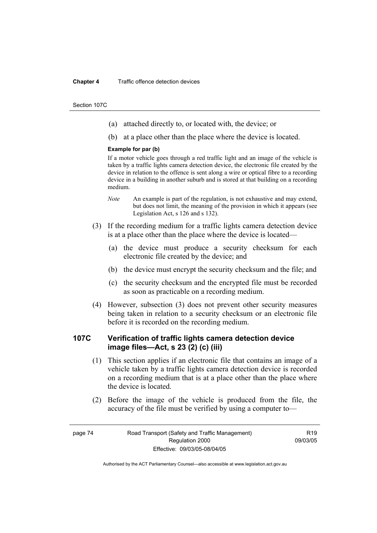#### **Chapter 4** Traffic offence detection devices

Section 107C

- (a) attached directly to, or located with, the device; or
- (b) at a place other than the place where the device is located.

#### **Example for par (b)**

If a motor vehicle goes through a red traffic light and an image of the vehicle is taken by a traffic lights camera detection device, the electronic file created by the device in relation to the offence is sent along a wire or optical fibre to a recording device in a building in another suburb and is stored at that building on a recording medium.

- *Note* An example is part of the regulation, is not exhaustive and may extend, but does not limit, the meaning of the provision in which it appears (see Legislation Act, s 126 and s 132).
- (3) If the recording medium for a traffic lights camera detection device is at a place other than the place where the device is located—
	- (a) the device must produce a security checksum for each electronic file created by the device; and
	- (b) the device must encrypt the security checksum and the file; and
	- (c) the security checksum and the encrypted file must be recorded as soon as practicable on a recording medium.
- (4) However, subsection (3) does not prevent other security measures being taken in relation to a security checksum or an electronic file before it is recorded on the recording medium.

# **107C Verification of traffic lights camera detection device image files—Act, s 23 (2) (c) (iii)**

- (1) This section applies if an electronic file that contains an image of a vehicle taken by a traffic lights camera detection device is recorded on a recording medium that is at a place other than the place where the device is located.
- (2) Before the image of the vehicle is produced from the file, the accuracy of the file must be verified by using a computer to—

R19 09/03/05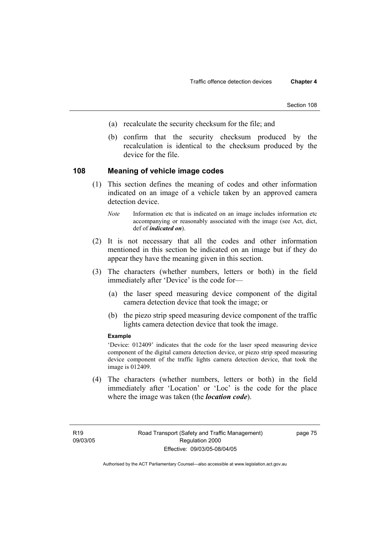- (a) recalculate the security checksum for the file; and
- (b) confirm that the security checksum produced by the recalculation is identical to the checksum produced by the device for the file.

# **108 Meaning of vehicle image codes**

- (1) This section defines the meaning of codes and other information indicated on an image of a vehicle taken by an approved camera detection device.
	- *Note* Information etc that is indicated on an image includes information etc accompanying or reasonably associated with the image (see Act, dict, def of *indicated on*).
- (2) It is not necessary that all the codes and other information mentioned in this section be indicated on an image but if they do appear they have the meaning given in this section.
- (3) The characters (whether numbers, letters or both) in the field immediately after 'Device' is the code for—
	- (a) the laser speed measuring device component of the digital camera detection device that took the image; or
	- (b) the piezo strip speed measuring device component of the traffic lights camera detection device that took the image.

### **Example**

'Device: 012409' indicates that the code for the laser speed measuring device component of the digital camera detection device, or piezo strip speed measuring device component of the traffic lights camera detection device, that took the image is 012409.

 (4) The characters (whether numbers, letters or both) in the field immediately after 'Location' or 'Loc' is the code for the place where the image was taken (the *location code*).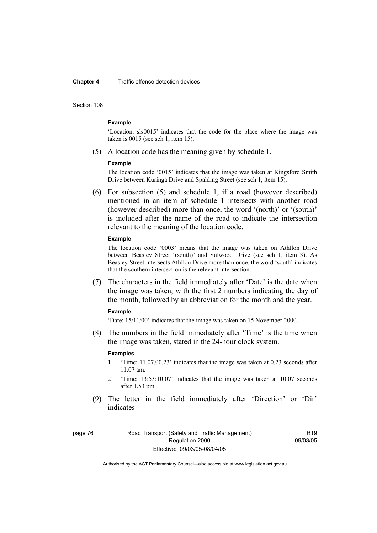#### **Chapter 4** Traffic offence detection devices

Section 108

#### **Example**

'Location: sls0015' indicates that the code for the place where the image was taken is 0015 (see sch 1, item 15).

(5) A location code has the meaning given by schedule 1.

#### **Example**

The location code '0015' indicates that the image was taken at Kingsford Smith Drive between Kuringa Drive and Spalding Street (see sch 1, item 15).

 (6) For subsection (5) and schedule 1, if a road (however described) mentioned in an item of schedule 1 intersects with another road (however described) more than once, the word '(north)' or '(south)' is included after the name of the road to indicate the intersection relevant to the meaning of the location code.

#### **Example**

The location code '0003' means that the image was taken on Athllon Drive between Beasley Street '(south)' and Sulwood Drive (see sch 1, item 3). As Beasley Street intersects Athllon Drive more than once, the word 'south' indicates that the southern intersection is the relevant intersection.

 (7) The characters in the field immediately after 'Date' is the date when the image was taken, with the first 2 numbers indicating the day of the month, followed by an abbreviation for the month and the year.

#### **Example**

'Date: 15/11/00' indicates that the image was taken on 15 November 2000.

 (8) The numbers in the field immediately after 'Time' is the time when the image was taken, stated in the 24-hour clock system.

#### **Examples**

- 1 'Time: 11.07.00.23' indicates that the image was taken at 0.23 seconds after 11.07 am.
- 2 'Time: 13:53:10:07' indicates that the image was taken at 10.07 seconds after 1.53 pm.
- (9) The letter in the field immediately after 'Direction' or 'Dir' indicates—

page 76 Road Transport (Safety and Traffic Management) Regulation 2000 Effective: 09/03/05-08/04/05

R19 09/03/05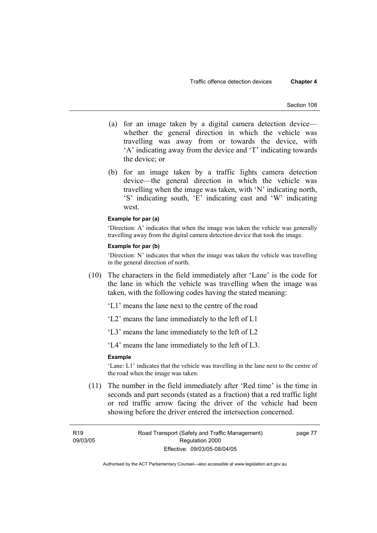- (a) for an image taken by a digital camera detection device whether the general direction in which the vehicle was travelling was away from or towards the device, with 'A' indicating away from the device and 'T' indicating towards the device; or
- (b) for an image taken by a traffic lights camera detection device—the general direction in which the vehicle was travelling when the image was taken, with 'N' indicating north, 'S' indicating south, 'E' indicating east and 'W' indicating west.

#### **Example for par (a)**

'Direction: A' indicates that when the image was taken the vehicle was generally travelling away from the digital camera detection device that took the image.

### **Example for par (b)**

'Direction: N' indicates that when the image was taken the vehicle was travelling in the general direction of north.

 (10) The characters in the field immediately after 'Lane' is the code for the lane in which the vehicle was travelling when the image was taken, with the following codes having the stated meaning:

'L1' means the lane next to the centre of the road

- 'L2' means the lane immediately to the left of L1
- 'L3' means the lane immediately to the left of L2

'L4' means the lane immediately to the left of L3.

### **Example**

'Lane: L1' indicates that the vehicle was travelling in the lane next to the centre of the road when the image was taken.

 (11) The number in the field immediately after 'Red time' is the time in seconds and part seconds (stated as a fraction) that a red traffic light or red traffic arrow facing the driver of the vehicle had been showing before the driver entered the intersection concerned.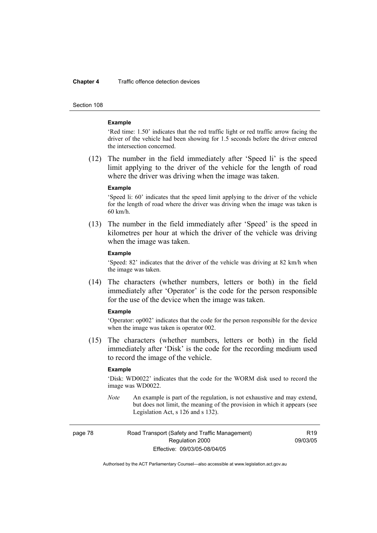#### **Chapter 4** Traffic offence detection devices

Section 108

#### **Example**

'Red time: 1.50' indicates that the red traffic light or red traffic arrow facing the driver of the vehicle had been showing for 1.5 seconds before the driver entered the intersection concerned.

 (12) The number in the field immediately after 'Speed li' is the speed limit applying to the driver of the vehicle for the length of road where the driver was driving when the image was taken.

#### **Example**

'Speed li: 60' indicates that the speed limit applying to the driver of the vehicle for the length of road where the driver was driving when the image was taken is 60 km/h.

 (13) The number in the field immediately after 'Speed' is the speed in kilometres per hour at which the driver of the vehicle was driving when the image was taken.

#### **Example**

'Speed: 82' indicates that the driver of the vehicle was driving at 82 km/h when the image was taken.

 (14) The characters (whether numbers, letters or both) in the field immediately after 'Operator' is the code for the person responsible for the use of the device when the image was taken.

#### **Example**

'Operator: op002' indicates that the code for the person responsible for the device when the image was taken is operator 002.

 (15) The characters (whether numbers, letters or both) in the field immediately after 'Disk' is the code for the recording medium used to record the image of the vehicle.

#### **Example**

'Disk: WD0022' indicates that the code for the WORM disk used to record the image was WD0022.

*Note* An example is part of the regulation, is not exhaustive and may extend, but does not limit, the meaning of the provision in which it appears (see Legislation Act, s 126 and s 132).

page 78 Road Transport (Safety and Traffic Management) Regulation 2000 Effective: 09/03/05-08/04/05

R19 09/03/05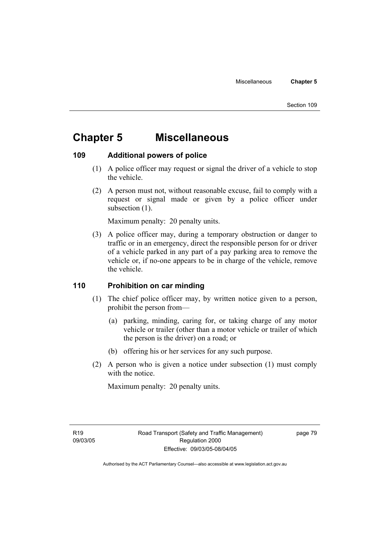# **Chapter 5 Miscellaneous**

# **109 Additional powers of police**

- (1) A police officer may request or signal the driver of a vehicle to stop the vehicle.
- (2) A person must not, without reasonable excuse, fail to comply with a request or signal made or given by a police officer under subsection  $(1)$ .

Maximum penalty: 20 penalty units.

 (3) A police officer may, during a temporary obstruction or danger to traffic or in an emergency, direct the responsible person for or driver of a vehicle parked in any part of a pay parking area to remove the vehicle or, if no-one appears to be in charge of the vehicle, remove the vehicle.

# **110 Prohibition on car minding**

- (1) The chief police officer may, by written notice given to a person, prohibit the person from—
	- (a) parking, minding, caring for, or taking charge of any motor vehicle or trailer (other than a motor vehicle or trailer of which the person is the driver) on a road; or
	- (b) offering his or her services for any such purpose.
- (2) A person who is given a notice under subsection (1) must comply with the notice.

Maximum penalty: 20 penalty units.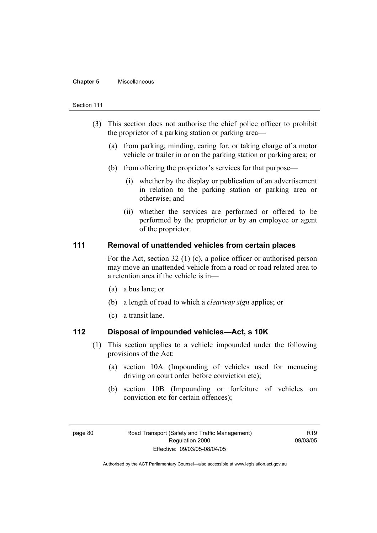#### **Chapter 5** Miscellaneous

#### Section 111

- (3) This section does not authorise the chief police officer to prohibit the proprietor of a parking station or parking area—
	- (a) from parking, minding, caring for, or taking charge of a motor vehicle or trailer in or on the parking station or parking area; or
	- (b) from offering the proprietor's services for that purpose—
		- (i) whether by the display or publication of an advertisement in relation to the parking station or parking area or otherwise; and
		- (ii) whether the services are performed or offered to be performed by the proprietor or by an employee or agent of the proprietor.

# **111 Removal of unattended vehicles from certain places**

For the Act, section 32 (1) (c), a police officer or authorised person may move an unattended vehicle from a road or road related area to a retention area if the vehicle is in—

- (a) a bus lane; or
- (b) a length of road to which a *clearway sign* applies; or
- (c) a transit lane.

# **112 Disposal of impounded vehicles—Act, s 10K**

- (1) This section applies to a vehicle impounded under the following provisions of the Act:
	- (a) section 10A (Impounding of vehicles used for menacing driving on court order before conviction etc);
	- (b) section 10B (Impounding or forfeiture of vehicles on conviction etc for certain offences);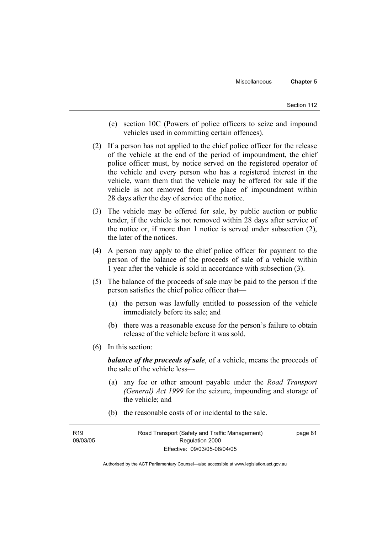- (c) section 10C (Powers of police officers to seize and impound vehicles used in committing certain offences).
- (2) If a person has not applied to the chief police officer for the release of the vehicle at the end of the period of impoundment, the chief police officer must, by notice served on the registered operator of the vehicle and every person who has a registered interest in the vehicle, warn them that the vehicle may be offered for sale if the vehicle is not removed from the place of impoundment within 28 days after the day of service of the notice.
- (3) The vehicle may be offered for sale, by public auction or public tender, if the vehicle is not removed within 28 days after service of the notice or, if more than 1 notice is served under subsection (2), the later of the notices.
- (4) A person may apply to the chief police officer for payment to the person of the balance of the proceeds of sale of a vehicle within 1 year after the vehicle is sold in accordance with subsection (3).
- (5) The balance of the proceeds of sale may be paid to the person if the person satisfies the chief police officer that—
	- (a) the person was lawfully entitled to possession of the vehicle immediately before its sale; and
	- (b) there was a reasonable excuse for the person's failure to obtain release of the vehicle before it was sold.
- (6) In this section:

*balance of the proceeds of sale*, of a vehicle, means the proceeds of the sale of the vehicle less—

- (a) any fee or other amount payable under the *Road Transport (General) Act 1999* for the seizure, impounding and storage of the vehicle; and
- (b) the reasonable costs of or incidental to the sale.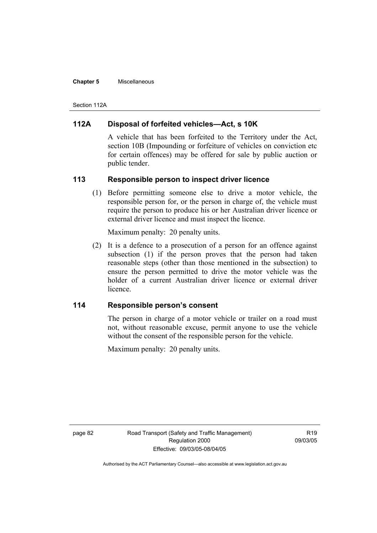#### **Chapter 5** Miscellaneous

Section 112A

# **112A Disposal of forfeited vehicles—Act, s 10K**

A vehicle that has been forfeited to the Territory under the Act, section 10B (Impounding or forfeiture of vehicles on conviction etc for certain offences) may be offered for sale by public auction or public tender.

# **113 Responsible person to inspect driver licence**

 (1) Before permitting someone else to drive a motor vehicle, the responsible person for, or the person in charge of, the vehicle must require the person to produce his or her Australian driver licence or external driver licence and must inspect the licence.

Maximum penalty: 20 penalty units.

 (2) It is a defence to a prosecution of a person for an offence against subsection (1) if the person proves that the person had taken reasonable steps (other than those mentioned in the subsection) to ensure the person permitted to drive the motor vehicle was the holder of a current Australian driver licence or external driver licence.

# **114 Responsible person's consent**

The person in charge of a motor vehicle or trailer on a road must not, without reasonable excuse, permit anyone to use the vehicle without the consent of the responsible person for the vehicle.

Maximum penalty: 20 penalty units.

page 82 Road Transport (Safety and Traffic Management) Regulation 2000 Effective: 09/03/05-08/04/05

**R19** 09/03/05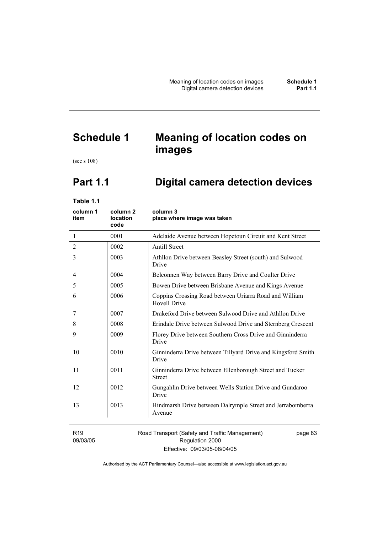# **Schedule 1 Meaning of location codes on images**

(see s 108)

# **Part 1.1 Digital camera detection devices**

**Table 1.1** 

| column 1<br>item            | column <sub>2</sub><br>location<br>code | column 3<br>place where image was taken                                       |
|-----------------------------|-----------------------------------------|-------------------------------------------------------------------------------|
| -1                          | 0001                                    | Adelaide Avenue between Hopetoun Circuit and Kent Street                      |
| $\overline{2}$              | 0002                                    | <b>Antill Street</b>                                                          |
| 3                           | 0003                                    | Athllon Drive between Beasley Street (south) and Sulwood<br>Drive             |
| 4                           | 0004                                    | Belconnen Way between Barry Drive and Coulter Drive                           |
| 5                           | 0005                                    | Bowen Drive between Brisbane Avenue and Kings Avenue                          |
| 6                           | 0006                                    | Coppins Crossing Road between Uriarra Road and William<br><b>Hovell Drive</b> |
| 7                           | 0007                                    | Drakeford Drive between Sulwood Drive and Athllon Drive                       |
| 8                           | 0008                                    | Erindale Drive between Sulwood Drive and Sternberg Crescent                   |
| 9                           | 0009                                    | Florey Drive between Southern Cross Drive and Ginninderra<br>Drive            |
| 10                          | 0010                                    | Ginninderra Drive between Tillyard Drive and Kingsford Smith<br>Drive         |
| 11                          | 0011                                    | Ginninderra Drive between Ellenborough Street and Tucker<br><b>Street</b>     |
| 12                          | 0012                                    | Gungahlin Drive between Wells Station Drive and Gundaroo<br>Drive             |
| 13                          | 0013                                    | Hindmarsh Drive between Dalrymple Street and Jerrabomberra<br>Avenue          |
| R <sub>19</sub><br>09/03/05 |                                         | Road Transport (Safety and Traffic Management)<br>page 83<br>Regulation 2000  |

Effective: 09/03/05-08/04/05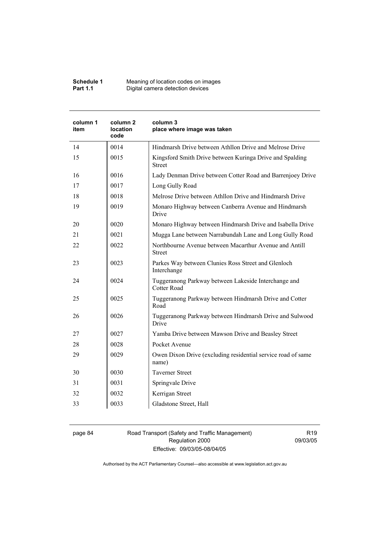| Schedule 1      | Meaning of location codes on images |
|-----------------|-------------------------------------|
| <b>Part 1.1</b> | Digital camera detection devices    |

| column 1<br>item | column 2<br><b>location</b><br>code | column 3<br>place where image was taken                                   |
|------------------|-------------------------------------|---------------------------------------------------------------------------|
| 14               | 0014                                | Hindmarsh Drive between Athllon Drive and Melrose Drive                   |
| 15               | 0015                                | Kingsford Smith Drive between Kuringa Drive and Spalding<br><b>Street</b> |
| 16               | 0016                                | Lady Denman Drive between Cotter Road and Barrenjoey Drive                |
| 17               | 0017                                | Long Gully Road                                                           |
| 18               | 0018                                | Melrose Drive between Athllon Drive and Hindmarsh Drive                   |
| 19               | 0019                                | Monaro Highway between Canberra Avenue and Hindmarsh<br>Drive             |
| 20               | 0020                                | Monaro Highway between Hindmarsh Drive and Isabella Drive                 |
| 21               | 0021                                | Mugga Lane between Narrabundah Lane and Long Gully Road                   |
| 22               | 0022                                | Northbourne Avenue between Macarthur Avenue and Antill<br><b>Street</b>   |
| 23               | 0023                                | Parkes Way between Clunies Ross Street and Glenloch<br>Interchange        |
| 24               | 0024                                | Tuggeranong Parkway between Lakeside Interchange and<br>Cotter Road       |
| 25               | 0025                                | Tuggeranong Parkway between Hindmarsh Drive and Cotter<br>Road            |
| 26               | 0026                                | Tuggeranong Parkway between Hindmarsh Drive and Sulwood<br>Drive          |
| 27               | 0027                                | Yamba Drive between Mawson Drive and Beasley Street                       |
| 28               | 0028                                | Pocket Avenue                                                             |
| 29               | 0029                                | Owen Dixon Drive (excluding residential service road of same<br>name)     |
| 30               | 0030                                | <b>Taverner Street</b>                                                    |
| 31               | 0031                                | Springvale Drive                                                          |
| 32               | 0032                                | Kerrigan Street                                                           |
| 33               | 0033                                | Gladstone Street, Hall                                                    |

page 84 Road Transport (Safety and Traffic Management) Regulation 2000 Effective: 09/03/05-08/04/05

R19 09/03/05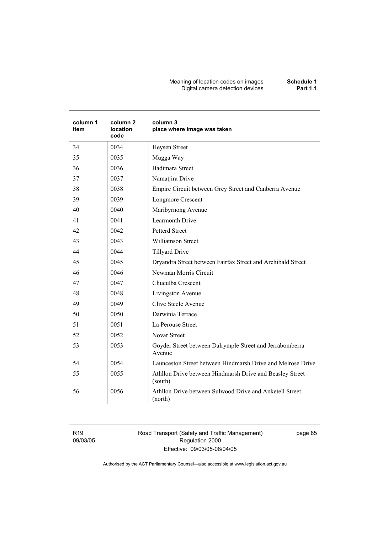#### Meaning of location codes on images **Schedule 1**  Digital camera detection devices **Part 1.1**

| column 1<br>item | column <sub>2</sub><br>location<br>code | column 3<br>place where image was taken                             |
|------------------|-----------------------------------------|---------------------------------------------------------------------|
| 34               | 0034                                    | Heysen Street                                                       |
| 35               | 0035                                    | Mugga Way                                                           |
| 36               | 0036                                    | <b>Badimara Street</b>                                              |
| 37               | 0037                                    | Namatjira Drive                                                     |
| 38               | 0038                                    | Empire Circuit between Grey Street and Canberra Avenue              |
| 39               | 0039                                    | Longmore Crescent                                                   |
| 40               | 0040                                    | Maribyrnong Avenue                                                  |
| 41               | 0041                                    | <b>Learmonth Drive</b>                                              |
| 42               | 0042                                    | <b>Petterd Street</b>                                               |
| 43               | 0043                                    | <b>Williamson Street</b>                                            |
| 44               | 0044                                    | <b>Tillyard Drive</b>                                               |
| 45               | 0045                                    | Dryandra Street between Fairfax Street and Archibald Street         |
| 46               | 0046                                    | Newman Morris Circuit                                               |
| 47               | 0047                                    | Chuculba Crescent                                                   |
| 48               | 0048                                    | Livingston Avenue                                                   |
| 49               | 0049                                    | Clive Steele Avenue                                                 |
| 50               | 0050                                    | Darwinia Terrace                                                    |
| 51               | 0051                                    | La Perouse Street                                                   |
| 52               | 0052                                    | <b>Novar Street</b>                                                 |
| 53               | 0053                                    | Goyder Street between Dalrymple Street and Jerrabomberra<br>Avenue  |
| 54               | 0054                                    | Launceston Street between Hindmarsh Drive and Melrose Drive         |
| 55               | 0055                                    | Athllon Drive between Hindmarsh Drive and Beasley Street<br>(south) |
| 56               | 0056                                    | Athllon Drive between Sulwood Drive and Anketell Street<br>(north)  |

R19 09/03/05 Road Transport (Safety and Traffic Management) Regulation 2000 Effective: 09/03/05-08/04/05

page 85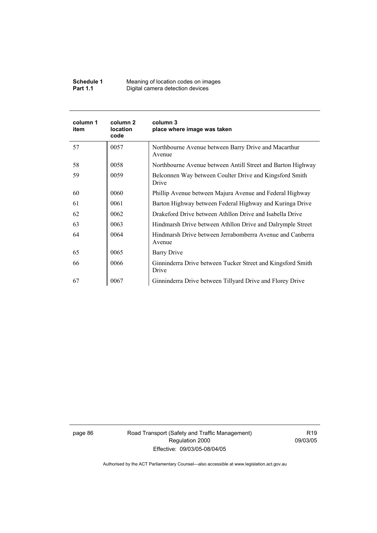| Schedule 1      | Meaning of location codes on images |
|-----------------|-------------------------------------|
| <b>Part 1.1</b> | Digital camera detection devices    |

| column 1<br>item | column 2<br><b>location</b><br>code | column 3<br>place where image was taken                              |
|------------------|-------------------------------------|----------------------------------------------------------------------|
| 57               | 0057                                | Northbourne Avenue between Barry Drive and Macarthur<br>Avenue       |
| 58               | 0058                                | Northbourne Avenue between Antill Street and Barton Highway          |
| 59               | 0059                                | Belconnen Way between Coulter Drive and Kingsford Smith<br>Drive     |
| 60               | 0060                                | Phillip Avenue between Majura Avenue and Federal Highway             |
| 61               | 0061                                | Barton Highway between Federal Highway and Kuringa Drive             |
| 62               | 0062                                | Drakeford Drive between Athllon Drive and Isabella Drive             |
| 63               | 0063                                | Hindmarsh Drive between Athllon Drive and Dalrymple Street           |
| 64               | 0064                                | Hindmarsh Drive between Jerrabomberra Avenue and Canberra<br>Avenue  |
| 65               | 0065                                | Barry Drive                                                          |
| 66               | 0066                                | Ginninderra Drive between Tucker Street and Kingsford Smith<br>Drive |
| 67               | 0067                                | Ginninderra Drive between Tillyard Drive and Florey Drive            |

page 86 Road Transport (Safety and Traffic Management) Regulation 2000 Effective: 09/03/05-08/04/05

R19 09/03/05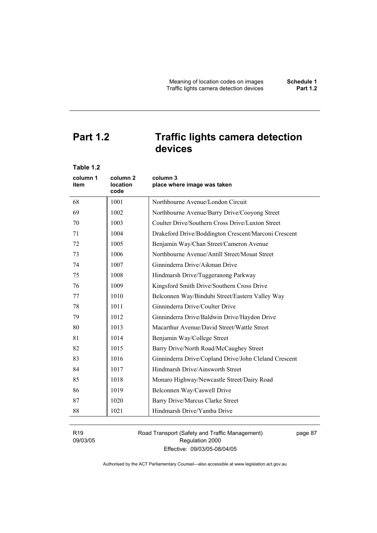# **Part 1.2 Traffic lights camera detection devices**

| Table 1.2        |                                                |                                                       |
|------------------|------------------------------------------------|-------------------------------------------------------|
| column 1<br>item | column <sub>2</sub><br><b>location</b><br>code | column 3<br>place where image was taken               |
| 68               | 1001                                           | Northbourne Avenue/London Circuit                     |
| 69               | 1002                                           | Northbourne Avenue/Barry Drive/Cooyong Street         |
| 70               | 1003                                           | Coulter Drive/Southern Cross Drive/Luxton Street      |
| 71               | 1004                                           | Drakeford Drive/Boddington Crescent/Marconi Crescent  |
| 72               | 1005                                           | Benjamin Way/Chan Street/Cameron Avenue               |
| 73               | 1006                                           | Northbourne Avenue/Antill Street/Mouat Street         |
| 74               | 1007                                           | Ginninderra Drive/Aikman Drive                        |
| 75               | 1008                                           | Hindmarsh Drive/Tuggeranong Parkway                   |
| 76               | 1009                                           | Kingsford Smith Drive/Southern Cross Drive            |
| 77               | 1010                                           | Belconnen Way/Bindubi Street/Eastern Valley Way       |
| 78               | 1011                                           | Ginninderra Drive/Coulter Drive                       |
| 79               | 1012                                           | Ginninderra Drive/Baldwin Drive/Haydon Drive          |
| 80               | 1013                                           | Macarthur Avenue/David Street/Wattle Street           |
| 81               | 1014                                           | Benjamin Way/College Street                           |
| 82               | 1015                                           | Barry Drive/North Road/McCaughey Street               |
| 83               | 1016                                           | Ginninderra Drive/Copland Drive/John Cleland Crescent |
| 84               | 1017                                           | Hindmarsh Drive/Ainsworth Street                      |
| 85               | 1018                                           | Monaro Highway/Newcastle Street/Dairy Road            |
| 86               | 1019                                           | Belconnen Way/Caswell Drive                           |
| 87               | 1020                                           | Barry Drive/Marcus Clarke Street                      |
| 88               | 1021                                           | Hindmarsh Drive/Yamba Drive                           |
|                  |                                                |                                                       |

R19 09/03/05 Road Transport (Safety and Traffic Management) Regulation 2000 Effective: 09/03/05-08/04/05

page 87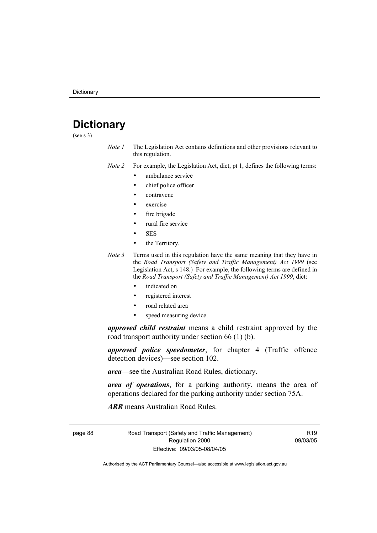# **Dictionary**

(see s 3)

*Note 1* The Legislation Act contains definitions and other provisions relevant to this regulation.

*Note 2* For example, the Legislation Act, dict, pt 1, defines the following terms:

- ambulance service
	- chief police officer
- contravene
- exercise
- fire brigade
- rural fire service
- SES
- the Territory.
- *Note 3* Terms used in this regulation have the same meaning that they have in the *Road Transport (Safety and Traffic Management) Act 1999* (see Legislation Act, s 148.) For example, the following terms are defined in the *Road Transport (Safety and Traffic Management) Act 1999*, dict:
	- indicated on
	- registered interest
	- road related area
	- speed measuring device.

*approved child restraint* means a child restraint approved by the road transport authority under section 66 (1) (b).

*approved police speedometer*, for chapter 4 (Traffic offence detection devices)—see section 102.

*area*—see the Australian Road Rules, dictionary.

*area of operations*, for a parking authority, means the area of operations declared for the parking authority under section 75A.

*ARR* means Australian Road Rules.

page 88 Road Transport (Safety and Traffic Management) Regulation 2000 Effective: 09/03/05-08/04/05

R19 09/03/05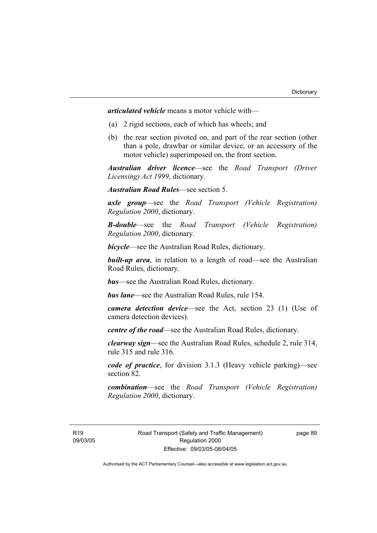*articulated vehicle* means a motor vehicle with—

- (a) 2 rigid sections, each of which has wheels; and
- (b) the rear section pivoted on, and part of the rear section (other than a pole, drawbar or similar device, or an accessory of the motor vehicle) superimposed on, the front section.

*Australian driver licence*—see the *Road Transport (Driver Licensing) Act 1999*, dictionary.

*Australian Road Rules*—see section 5.

*axle group*—see the *Road Transport (Vehicle Registration) Regulation 2000*, dictionary.

*B-double*—see the *Road Transport (Vehicle Registration) Regulation 2000*, dictionary.

*bicycle*—see the Australian Road Rules, dictionary.

**built-up area**, in relation to a length of road—see the Australian Road Rules, dictionary.

*bus*—see the Australian Road Rules, dictionary.

*bus lane*—see the Australian Road Rules, rule 154.

*camera detection device*—see the Act, section 23 (1) (Use of camera detection devices).

*centre of the road*—see the Australian Road Rules, dictionary.

*clearway sign*—see the Australian Road Rules, schedule 2, rule 314, rule 315 and rule 316.

*code of practice*, for division 3.1.3 (Heavy vehicle parking)—see section 82.

*combination*—see the *Road Transport (Vehicle Registration) Regulation 2000*, dictionary.

R19 09/03/05 page 89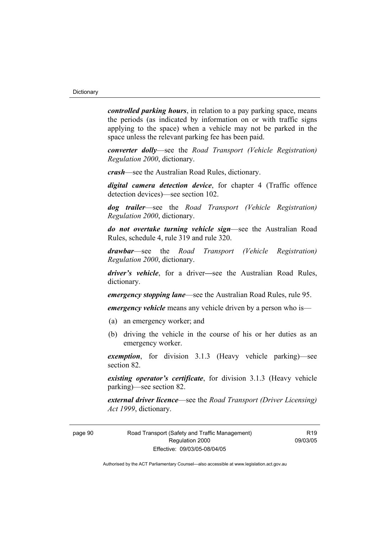*controlled parking hours*, in relation to a pay parking space, means the periods (as indicated by information on or with traffic signs applying to the space) when a vehicle may not be parked in the space unless the relevant parking fee has been paid.

*converter dolly*—see the *Road Transport (Vehicle Registration) Regulation 2000*, dictionary.

*crash*—see the Australian Road Rules, dictionary.

*digital camera detection device*, for chapter 4 (Traffic offence detection devices)—see section 102.

*dog trailer*—see the *Road Transport (Vehicle Registration) Regulation 2000*, dictionary.

*do not overtake turning vehicle sign*—see the Australian Road Rules, schedule 4, rule 319 and rule 320.

*drawbar*—see the *Road Transport (Vehicle Registration) Regulation 2000*, dictionary.

*driver's vehicle*, for a driver*—*see the Australian Road Rules, dictionary.

*emergency stopping lane*—see the Australian Road Rules, rule 95.

*emergency vehicle* means any vehicle driven by a person who is—

- (a) an emergency worker; and
- (b) driving the vehicle in the course of his or her duties as an emergency worker.

*exemption*, for division 3.1.3 (Heavy vehicle parking)—see section 82.

*existing operator's certificate*, for division 3.1.3 (Heavy vehicle parking)—see section 82.

*external driver licence*—see the *Road Transport (Driver Licensing) Act 1999*, dictionary.

page 90 Road Transport (Safety and Traffic Management) Regulation 2000 Effective: 09/03/05-08/04/05

 $P10$ 09/03/05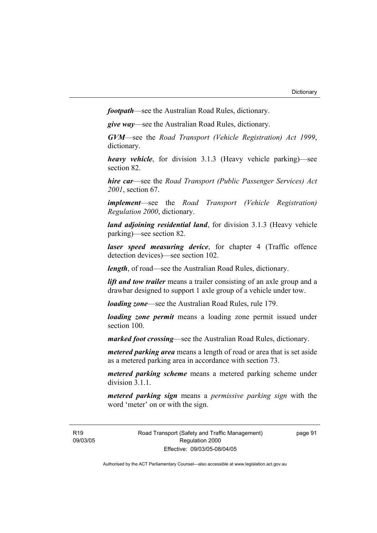*footpath*—see the Australian Road Rules, dictionary.

*give way*—see the Australian Road Rules, dictionary.

*GVM*—see the *Road Transport (Vehicle Registration) Act 1999*, dictionary.

*heavy vehicle*, for division 3.1.3 (Heavy vehicle parking)—see section 82.

*hire car*—see the *Road Transport (Public Passenger Services) Act 2001*, section 67.

*implement*—see the *Road Transport (Vehicle Registration) Regulation 2000*, dictionary.

*land adjoining residential land*, for division 3.1.3 (Heavy vehicle parking)—see section 82.

*laser speed measuring device*, for chapter 4 (Traffic offence detection devices)—see section 102.

*length*, of road—see the Australian Road Rules, dictionary.

*lift and tow trailer* means a trailer consisting of an axle group and a drawbar designed to support 1 axle group of a vehicle under tow.

*loading zone*—see the Australian Road Rules, rule 179.

*loading zone permit* means a loading zone permit issued under section 100.

*marked foot crossing*—see the Australian Road Rules, dictionary.

*metered parking area* means a length of road or area that is set aside as a metered parking area in accordance with section 73.

*metered parking scheme* means a metered parking scheme under division 3.1.1

*metered parking sign* means a *permissive parking sign* with the word 'meter' on or with the sign.

R19 09/03/05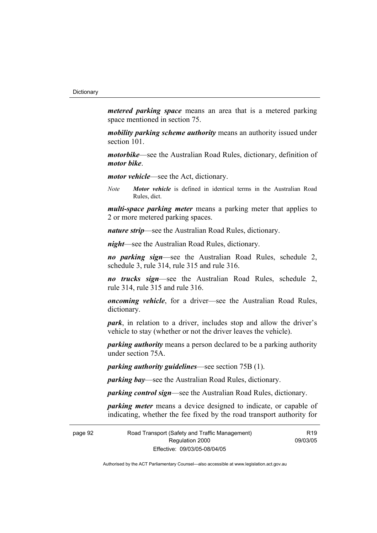*metered parking space* means an area that is a metered parking space mentioned in section 75.

*mobility parking scheme authority* means an authority issued under section 101.

*motorbike*—see the Australian Road Rules, dictionary, definition of *motor bike*.

*motor vehicle*—see the Act, dictionary.

*Note Motor vehicle* is defined in identical terms in the Australian Road Rules, dict.

*multi-space parking meter* means a parking meter that applies to 2 or more metered parking spaces.

*nature strip*—see the Australian Road Rules, dictionary.

*night*—see the Australian Road Rules, dictionary.

*no parking sign*—see the Australian Road Rules, schedule 2, schedule 3, rule 314, rule 315 and rule 316.

*no trucks sign*—see the Australian Road Rules, schedule 2, rule 314, rule 315 and rule 316.

*oncoming vehicle*, for a driver—see the Australian Road Rules, dictionary.

*park*, in relation to a driver, includes stop and allow the driver's vehicle to stay (whether or not the driver leaves the vehicle).

*parking authority* means a person declared to be a parking authority under section 75A.

*parking authority guidelines*—see section 75B (1).

*parking bay*—see the Australian Road Rules, dictionary.

*parking control sign*—see the Australian Road Rules, dictionary.

*parking meter* means a device designed to indicate, or capable of indicating, whether the fee fixed by the road transport authority for

page 92 Road Transport (Safety and Traffic Management) Regulation 2000 Effective: 09/03/05-08/04/05

R19 09/03/05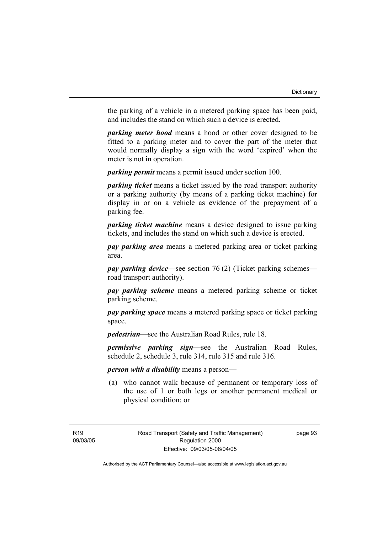the parking of a vehicle in a metered parking space has been paid, and includes the stand on which such a device is erected.

*parking meter hood* means a hood or other cover designed to be fitted to a parking meter and to cover the part of the meter that would normally display a sign with the word 'expired' when the meter is not in operation.

*parking permit* means a permit issued under section 100.

*parking ticket* means a ticket issued by the road transport authority or a parking authority (by means of a parking ticket machine) for display in or on a vehicle as evidence of the prepayment of a parking fee.

*parking ticket machine* means a device designed to issue parking tickets, and includes the stand on which such a device is erected.

*pay parking area* means a metered parking area or ticket parking area.

*pay parking device*—see section 76 (2) (Ticket parking schemes road transport authority).

*pay parking scheme* means a metered parking scheme or ticket parking scheme.

*pay parking space* means a metered parking space or ticket parking space.

*pedestrian*—see the Australian Road Rules, rule 18.

*permissive parking sign*—see the Australian Road Rules, schedule 2, schedule 3, rule 314, rule 315 and rule 316.

*person with a disability* means a person—

 (a) who cannot walk because of permanent or temporary loss of the use of 1 or both legs or another permanent medical or physical condition; or

page 93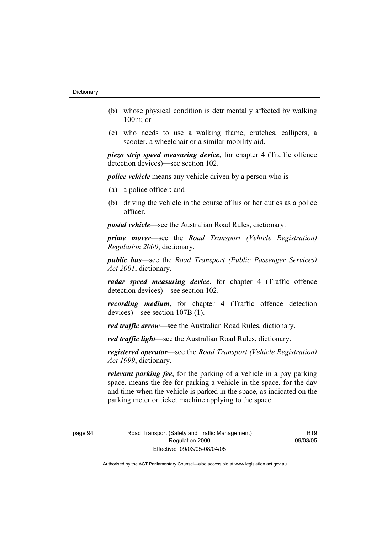- (b) whose physical condition is detrimentally affected by walking 100m; or
- (c) who needs to use a walking frame, crutches, callipers, a scooter, a wheelchair or a similar mobility aid.

*piezo strip speed measuring device*, for chapter 4 (Traffic offence detection devices)—see section 102.

*police vehicle* means any vehicle driven by a person who is—

- (a) a police officer; and
- (b) driving the vehicle in the course of his or her duties as a police officer.

*postal vehicle*—see the Australian Road Rules, dictionary.

*prime mover*—see the *Road Transport (Vehicle Registration) Regulation 2000*, dictionary.

*public bus*—see the *Road Transport (Public Passenger Services) Act 2001*, dictionary.

*radar speed measuring device*, for chapter 4 (Traffic offence detection devices)—see section 102.

*recording medium*, for chapter 4 (Traffic offence detection devices)—see section 107B (1).

*red traffic arrow*—see the Australian Road Rules, dictionary.

*red traffic light*—see the Australian Road Rules, dictionary.

*registered operator*—see the *Road Transport (Vehicle Registration) Act 1999*, dictionary.

*relevant parking fee*, for the parking of a vehicle in a pay parking space, means the fee for parking a vehicle in the space, for the day and time when the vehicle is parked in the space, as indicated on the parking meter or ticket machine applying to the space.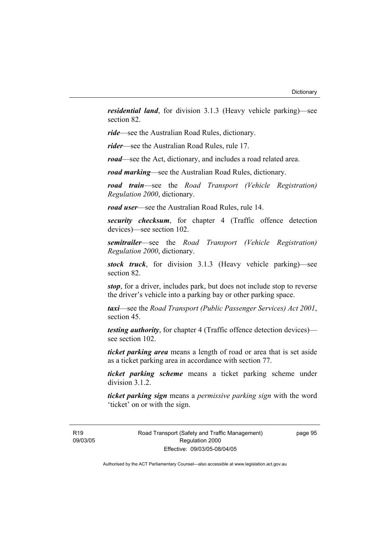*residential land*, for division 3.1.3 (Heavy vehicle parking)—see section 82.

*ride*—see the Australian Road Rules, dictionary.

*rider*—see the Australian Road Rules, rule 17.

*road*—see the Act, dictionary, and includes a road related area.

*road marking*—see the Australian Road Rules, dictionary.

*road train*—see the *Road Transport (Vehicle Registration) Regulation 2000*, dictionary.

*road user*—see the Australian Road Rules, rule 14.

*security checksum*, for chapter 4 (Traffic offence detection devices)—see section 102.

*semitrailer*—see the *Road Transport (Vehicle Registration) Regulation 2000*, dictionary.

*stock truck*, for division 3.1.3 (Heavy vehicle parking)—see section 82.

*stop*, for a driver, includes park, but does not include stop to reverse the driver's vehicle into a parking bay or other parking space.

*taxi*—see the *Road Transport (Public Passenger Services) Act 2001*, section 45.

*testing authority*, for chapter 4 (Traffic offence detection devices) see section 102.

*ticket parking area* means a length of road or area that is set aside as a ticket parking area in accordance with section 77.

*ticket parking scheme* means a ticket parking scheme under division 3.1.2.

*ticket parking sign* means a *permissive parking sign* with the word 'ticket' on or with the sign.

R19 09/03/05 Road Transport (Safety and Traffic Management) Regulation 2000 Effective: 09/03/05-08/04/05

page 95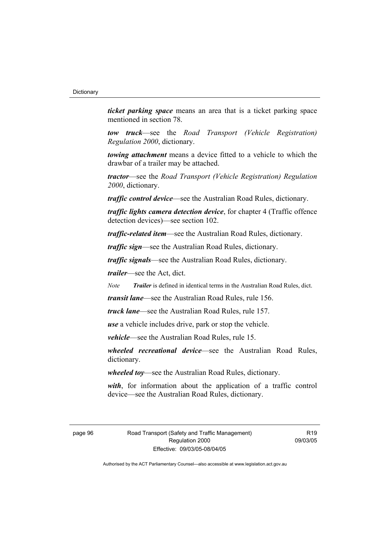*ticket parking space* means an area that is a ticket parking space mentioned in section 78.

*tow truck*—see the *Road Transport (Vehicle Registration) Regulation 2000*, dictionary.

*towing attachment* means a device fitted to a vehicle to which the drawbar of a trailer may be attached.

*tractor*—see the *Road Transport (Vehicle Registration) Regulation 2000*, dictionary.

*traffic control device*—see the Australian Road Rules, dictionary.

*traffic lights camera detection device*, for chapter 4 (Traffic offence detection devices)—see section 102.

*traffic-related item*—see the Australian Road Rules, dictionary.

*traffic sign*—see the Australian Road Rules, dictionary.

*traffic signals*—see the Australian Road Rules, dictionary.

*trailer*—see the Act, dict.

*Note Trailer* is defined in identical terms in the Australian Road Rules, dict.

*transit lane*—see the Australian Road Rules, rule 156.

*truck lane*—see the Australian Road Rules, rule 157.

*use* a vehicle includes drive, park or stop the vehicle.

*vehicle*—see the Australian Road Rules, rule 15.

*wheeled recreational device*—see the Australian Road Rules, dictionary.

*wheeled toy*—see the Australian Road Rules, dictionary.

*with*, for information about the application of a traffic control device—see the Australian Road Rules, dictionary.

page 96 Road Transport (Safety and Traffic Management) Regulation 2000 Effective: 09/03/05-08/04/05

 $P10$ 09/03/05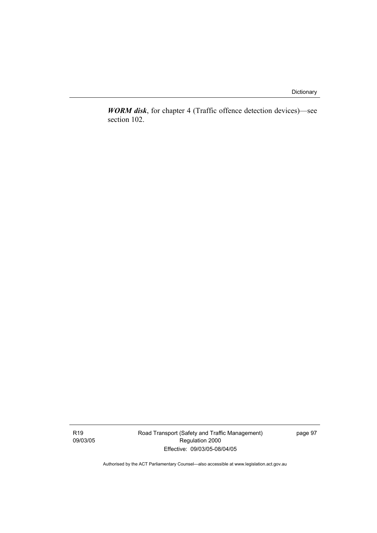Dictionary

*WORM disk*, for chapter 4 (Traffic offence detection devices)—see section 102.

R19 09/03/05 Road Transport (Safety and Traffic Management) Regulation 2000 Effective: 09/03/05-08/04/05

page 97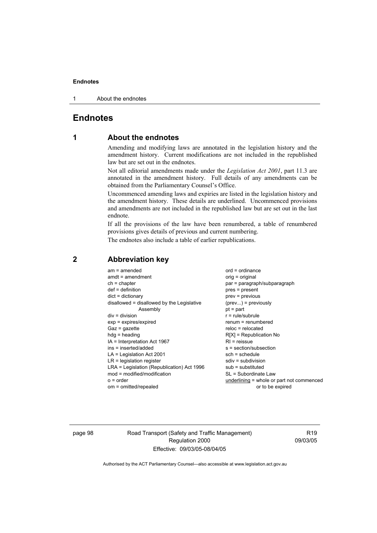#### **Endnotes**

1 About the endnotes

# **Endnotes**

# **1 About the endnotes**

Amending and modifying laws are annotated in the legislation history and the amendment history. Current modifications are not included in the republished law but are set out in the endnotes.

Not all editorial amendments made under the *Legislation Act 2001*, part 11.3 are annotated in the amendment history. Full details of any amendments can be obtained from the Parliamentary Counsel's Office.

Uncommenced amending laws and expiries are listed in the legislation history and the amendment history. These details are underlined. Uncommenced provisions and amendments are not included in the republished law but are set out in the last endnote.

If all the provisions of the law have been renumbered, a table of renumbered provisions gives details of previous and current numbering.

The endnotes also include a table of earlier republications.

| $am = amended$                             | $ord = ordinance$                         |
|--------------------------------------------|-------------------------------------------|
| $amdt = amendment$                         | orig = original                           |
| $ch = chapter$                             | par = paragraph/subparagraph              |
| $def = definition$                         | $pres = present$                          |
| $dict = dictionary$                        | $prev = previous$                         |
| disallowed = disallowed by the Legislative | $(\text{prev}) = \text{previously}$       |
| Assembly                                   | $pt = part$                               |
| $div = division$                           | $r = rule/subrule$                        |
| $exp = expires/expired$                    | renum = renumbered                        |
| $Gaz = gazette$                            | $reloc = relocated$                       |
| $hdg =$ heading                            | $R[X]$ = Republication No                 |
| IA = Interpretation Act 1967               | $RI = reissue$                            |
| ins = inserted/added                       | $s = section/subsection$                  |
| $LA =$ Legislation Act 2001                | $sch = schedule$                          |
| $LR =$ legislation register                | sdiv = subdivision                        |
| LRA = Legislation (Republication) Act 1996 | $sub =$ substituted                       |
| $mod = modified/modification$              | SL = Subordinate Law                      |
| $o = order$                                | underlining = whole or part not commenced |
| om = omitted/repealed                      | or to be expired                          |
|                                            |                                           |

### **2 Abbreviation key**

page 98 Road Transport (Safety and Traffic Management) Regulation 2000 Effective: 09/03/05-08/04/05

R19 09/03/05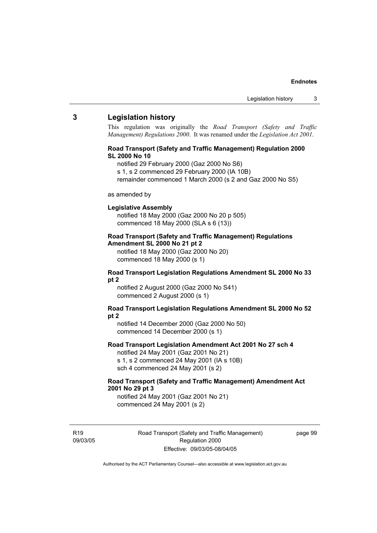## **3 Legislation history**

This regulation was originally the *Road Transport (Safety and Traffic Management) Regulations 2000*. It was renamed under the *Legislation Act 2001*.

### **Road Transport (Safety and Traffic Management) Regulation 2000 SL 2000 No 10**

- notified 29 February 2000 (Gaz 2000 No S6)
- s 1, s 2 commenced 29 February 2000 (IA 10B)
- remainder commenced 1 March 2000 (s 2 and Gaz 2000 No S5)

#### as amended by

#### **Legislative Assembly**

notified 18 May 2000 (Gaz 2000 No 20 p 505) commenced 18 May 2000 (SLA s 6 (13))

#### **Road Transport (Safety and Traffic Management) Regulations Amendment SL 2000 No 21 pt 2**

notified 18 May 2000 (Gaz 2000 No 20) commenced 18 May 2000 (s 1)

#### **Road Transport Legislation Regulations Amendment SL 2000 No 33 pt 2**

notified 2 August 2000 (Gaz 2000 No S41) commenced 2 August 2000 (s 1)

#### **Road Transport Legislation Regulations Amendment SL 2000 No 52 pt 2**

notified 14 December 2000 (Gaz 2000 No 50) commenced 14 December 2000 (s 1)

## **Road Transport Legislation Amendment Act 2001 No 27 sch 4**

notified 24 May 2001 (Gaz 2001 No 21) s 1, s 2 commenced 24 May 2001 (IA s 10B) sch 4 commenced 24 May 2001 (s 2)

## **Road Transport (Safety and Traffic Management) Amendment Act 2001 No 29 pt 3**

notified 24 May 2001 (Gaz 2001 No 21) commenced 24 May 2001 (s 2)

R19 09/03/05 Road Transport (Safety and Traffic Management) Regulation 2000 Effective: 09/03/05-08/04/05

page 99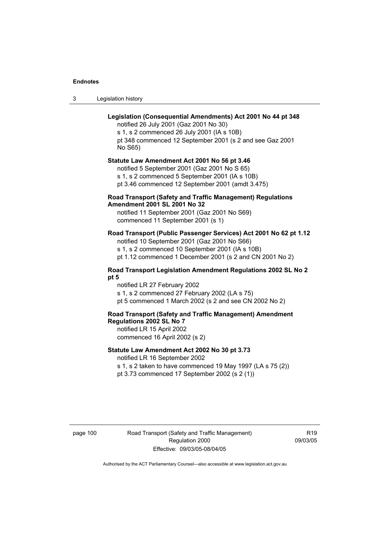3 Legislation history

## **Legislation (Consequential Amendments) Act 2001 No 44 pt 348**

notified 26 July 2001 (Gaz 2001 No 30) s 1, s 2 commenced 26 July 2001 (IA s 10B) pt 348 commenced 12 September 2001 (s 2 and see Gaz 2001 No S65)

## **Statute Law Amendment Act 2001 No 56 pt 3.46**

notified 5 September 2001 (Gaz 2001 No S 65) s 1, s 2 commenced 5 September 2001 (IA s 10B) pt 3.46 commenced 12 September 2001 (amdt 3.475)

## **Road Transport (Safety and Traffic Management) Regulations Amendment 2001 SL 2001 No 32**

notified 11 September 2001 (Gaz 2001 No S69) commenced 11 September 2001 (s 1)

## **Road Transport (Public Passenger Services) Act 2001 No 62 pt 1.12**

notified 10 September 2001 (Gaz 2001 No S66) s 1, s 2 commenced 10 September 2001 (IA s 10B)

pt 1.12 commenced 1 December 2001 (s 2 and CN 2001 No 2)

## **Road Transport Legislation Amendment Regulations 2002 SL No 2 pt 5**

notified LR 27 February 2002 s 1, s 2 commenced 27 February 2002 (LA s 75) pt 5 commenced 1 March 2002 (s 2 and see CN 2002 No 2)

# **Road Transport (Safety and Traffic Management) Amendment Regulations 2002 SL No 7**

notified LR 15 April 2002 commenced 16 April 2002 (s 2)

## **Statute Law Amendment Act 2002 No 30 pt 3.73**

notified LR 16 September 2002

s 1, s 2 taken to have commenced 19 May 1997 (LA s 75 (2)) pt 3.73 commenced 17 September 2002 (s 2 (1))

page 100 Road Transport (Safety and Traffic Management) Regulation 2000 Effective: 09/03/05-08/04/05

R19 09/03/05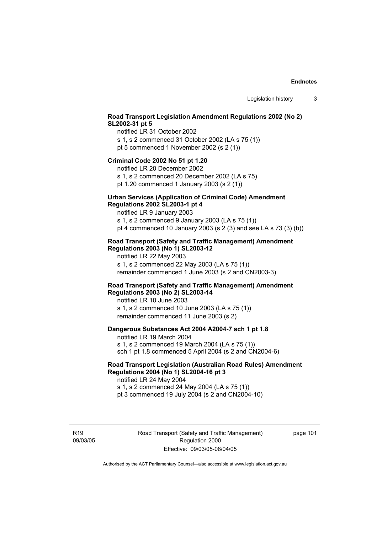# **Road Transport Legislation Amendment Regulations 2002 (No 2) SL2002-31 pt 5**

notified LR 31 October 2002 s 1, s 2 commenced 31 October 2002 (LA s 75 (1)) pt 5 commenced 1 November 2002 (s 2 (1))

#### **Criminal Code 2002 No 51 pt 1.20**

notified LR 20 December 2002

s 1, s 2 commenced 20 December 2002 (LA s 75) pt 1.20 commenced 1 January 2003 (s 2 (1))

#### **Urban Services (Application of Criminal Code) Amendment Regulations 2002 SL2003-1 pt 4**

notified LR 9 January 2003

s 1, s 2 commenced 9 January 2003 (LA s 75 (1)) pt 4 commenced 10 January 2003 (s 2 (3) and see LA s 73 (3) (b))

## **Road Transport (Safety and Traffic Management) Amendment Regulations 2003 (No 1) SL2003-12**

notified LR 22 May 2003 s 1, s 2 commenced 22 May 2003 (LA s 75 (1)) remainder commenced 1 June 2003 (s 2 and CN2003-3)

## **Road Transport (Safety and Traffic Management) Amendment Regulations 2003 (No 2) SL2003-14**

notified LR 10 June 2003 s 1, s 2 commenced 10 June 2003 (LA s 75 (1)) remainder commenced 11 June 2003 (s 2)

## **Dangerous Substances Act 2004 A2004-7 sch 1 pt 1.8**

notified LR 19 March 2004 s 1, s 2 commenced 19 March 2004 (LA s 75 (1)) sch 1 pt 1.8 commenced 5 April 2004 (s 2 and CN2004-6)

## **Road Transport Legislation (Australian Road Rules) Amendment Regulations 2004 (No 1) SL2004-16 pt 3**

notified LR 24 May 2004 s 1, s 2 commenced 24 May 2004 (LA s 75 (1)) pt 3 commenced 19 July 2004 (s 2 and CN2004-10)

R19 09/03/05 Road Transport (Safety and Traffic Management) Regulation 2000 Effective: 09/03/05-08/04/05

page 101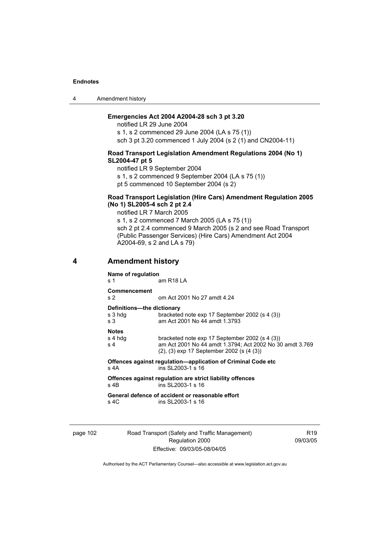4 Amendment history

# **Emergencies Act 2004 A2004-28 sch 3 pt 3.20**

notified LR 29 June 2004 s 1, s 2 commenced 29 June 2004 (LA s 75 (1)) sch 3 pt 3.20 commenced 1 July 2004 (s 2 (1) and CN2004-11)

#### **Road Transport Legislation Amendment Regulations 2004 (No 1) SL2004-47 pt 5**

notified LR 9 September 2004

s 1, s 2 commenced 9 September 2004 (LA s 75 (1))

pt 5 commenced 10 September 2004 (s 2)

## **Road Transport Legislation (Hire Cars) Amendment Regulation 2005 (No 1) SL2005-4 sch 2 pt 2.4**

notified LR 7 March 2005

s 1, s 2 commenced 7 March 2005 (LA s 75 (1)) sch 2 pt 2.4 commenced 9 March 2005 (s 2 and see Road Transport (Public Passenger Services) (Hire Cars) Amendment Act 2004 A2004-69, s 2 and LA s 79)

# **4 Amendment history**

| Name of regulation                           |                                                                                                                                                                  |  |  |
|----------------------------------------------|------------------------------------------------------------------------------------------------------------------------------------------------------------------|--|--|
| s 1                                          | am R18 LA                                                                                                                                                        |  |  |
| Commencement<br>s <sub>2</sub>               | om Act 2001 No 27 amdt 4.24                                                                                                                                      |  |  |
| Definitions-the dictionary<br>s 3 hda<br>s 3 | bracketed note exp 17 September 2002 (s 4 (3))<br>am Act 2001 No 44 amdt 1.3793                                                                                  |  |  |
| <b>Notes</b><br>s 4 hdg<br>s 4               | bracketed note exp 17 September 2002 (s 4 (3))<br>am Act 2001 No 44 amdt 1.3794; Act 2002 No 30 amdt 3.769<br>$(2)$ , $(3)$ exp 17 September 2002 (s $(4 \ (3))$ |  |  |
| s 4A                                         | Offences against regulation-application of Criminal Code etc<br>ins SI 2003-1 s 16                                                                               |  |  |
| s 4B                                         | Offences against regulation are strict liability offences<br>ins SL2003-1 s 16                                                                                   |  |  |
| s 4C                                         | General defence of accident or reasonable effort<br>ins SI 2003-1 s 16                                                                                           |  |  |

page 102 Road Transport (Safety and Traffic Management) Regulation 2000 Effective: 09/03/05-08/04/05

R19 09/03/05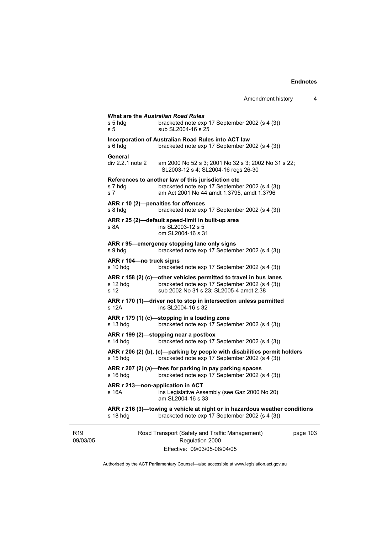|                             | s 5 hdg<br>s 5                       | <b>What are the Australian Road Rules</b><br>bracketed note exp 17 September 2002 (s 4 (3))<br>sub SL2004-16 s 25                                              |         |
|-----------------------------|--------------------------------------|----------------------------------------------------------------------------------------------------------------------------------------------------------------|---------|
|                             | s 6 hdg                              | Incorporation of Australian Road Rules into ACT law<br>bracketed note exp 17 September 2002 (s 4 (3))                                                          |         |
|                             | General<br>div 2.2.1 note 2          | am 2000 No 52 s 3; 2001 No 32 s 3; 2002 No 31 s 22;<br>SL2003-12 s 4; SL2004-16 regs 26-30                                                                     |         |
|                             | s 7 hdg<br>s <sub>7</sub>            | References to another law of this jurisdiction etc<br>bracketed note exp 17 September 2002 (s 4 (3))<br>am Act 2001 No 44 amdt 1.3795, amdt 1.3796             |         |
|                             | s 8 hdg                              | ARR r 10 (2)-penalties for offences<br>bracketed note exp 17 September 2002 (s 4 (3))                                                                          |         |
|                             | s 8A                                 | ARR r 25 (2)-default speed-limit in built-up area<br>ins SL2003-12 s 5<br>om SL2004-16 s 31                                                                    |         |
|                             | s 9 hdg                              | ARR r 95-emergency stopping lane only signs<br>bracketed note exp 17 September 2002 (s 4 (3))                                                                  |         |
|                             | ARR r 104-no truck signs<br>s 10 hda | bracketed note exp 17 September 2002 (s 4 (3))                                                                                                                 |         |
|                             | s 12 hdg<br>s 12                     | ARR r 158 (2) (c)-other vehicles permitted to travel in bus lanes<br>bracketed note exp 17 September 2002 (s 4 (3))<br>sub 2002 No 31 s 23; SL2005-4 amdt 2.38 |         |
|                             | s 12A                                | ARR r 170 (1)-driver not to stop in intersection unless permitted<br>ins SL2004-16 s 32                                                                        |         |
|                             | s 13 hdg                             | ARR r 179 (1) (c)-stopping in a loading zone<br>bracketed note exp 17 September 2002 (s 4 (3))                                                                 |         |
|                             | s 14 hdg                             | ARR r 199 (2)-stopping near a postbox<br>bracketed note exp 17 September 2002 (s 4 (3))                                                                        |         |
|                             | $s$ 15 hdg                           | ARR r 206 (2) (b), (c)-parking by people with disabilities permit holders<br>bracketed note exp 17 September 2002 (s 4 (3))                                    |         |
|                             | s 16 hdg                             | ARR r 207 (2) (a)—fees for parking in pay parking spaces<br>bracketed note exp 17 September 2002 (s 4 (3))                                                     |         |
|                             | s 16A                                | ARR r 213-non-application in ACT<br>ins Legislative Assembly (see Gaz 2000 No 20)<br>am SL2004-16 s 33                                                         |         |
|                             | s 18 hdg                             | ARR r 216 (3)—towing a vehicle at night or in hazardous weather conditions<br>bracketed note exp 17 September 2002 (s 4 (3))                                   |         |
| R <sub>19</sub><br>09/03/05 |                                      | Road Transport (Safety and Traffic Management)<br>Regulation 2000                                                                                              | page 10 |

Effective: 09/03/05-08/04/05

03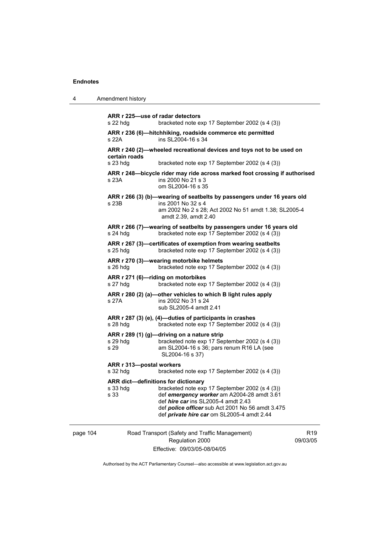**ARR r 225—use of radar detectors**  s 22 hdg bracketed note exp 17 September 2002 (s 4 (3)) **ARR r 236 (6)—hitchhiking, roadside commerce etc permitted**  s 22A **ins SL2004-16 s** 34 **ARR r 240 (2)—wheeled recreational devices and toys not to be used on certain roads**  s 23 hdg bracketed note exp 17 September 2002 (s 4 (3)) **ARR r 248—bicycle rider may ride across marked foot crossing if authorised**  s 23A ins 2000 No 21 s 3 om SL2004-16 s 35 **ARR r 266 (3) (b)—wearing of seatbelts by passengers under 16 years old**  s 23B ins 2001 No 32 s 4 am 2002 No 2 s 28; Act 2002 No 51 amdt 1.38; SL2005-4 amdt 2.39, amdt 2.40 **ARR r 266 (7)—wearing of seatbelts by passengers under 16 years old**  s 24 hdg bracketed note exp 17 September 2002 (s 4 (3)) **ARR r 267 (3)—certificates of exemption from wearing seatbelts**  s 25 hdg bracketed note exp 17 September 2002 (s 4 (3)) **ARR r 270 (3)—wearing motorbike helmets**  s 26 hdg bracketed note exp 17 September 2002 (s 4 (3)) **ARR r 271 (6)—riding on motorbikes**  s 27 hdg bracketed note exp 17 September 2002 (s 4 (3)) **ARR r 280 (2) (a)—other vehicles to which B light rules apply**  s 27A ins 2002 No 31 s 24 sub SL2005-4 amdt 2.41 **ARR r 287 (3) (e), (4)—duties of participants in crashes**  s 28 hdg bracketed note exp 17 September 2002 (s 4 (3)) **ARR r 289 (1) (g)—driving on a nature strip**  s 29 hdg bracketed note exp 17 September 2002 (s 4 (3)) s 29 am SL2004-16 s 36; pars renum R16 LA (see SL2004-16 s 37) **ARR r 313—postal workers**  s 32 hdg bracketed note exp 17 September 2002 (s 4 (3)) **ARR dict—definitions for dictionary**  bracketed note exp 17 September 2002 (s 4 (3)) s 33 def *emergency worker* am A2004-28 amdt 3.61 def *hire car* ins SL2005-4 amdt 2.43 def *police officer* sub Act 2001 No 56 amdt 3.475 def *private hire car* om SL2005-4 amdt 2.44

## page 104 Road Transport (Safety and Traffic Management) Regulation 2000 Effective: 09/03/05-08/04/05

 $P10$ 09/03/05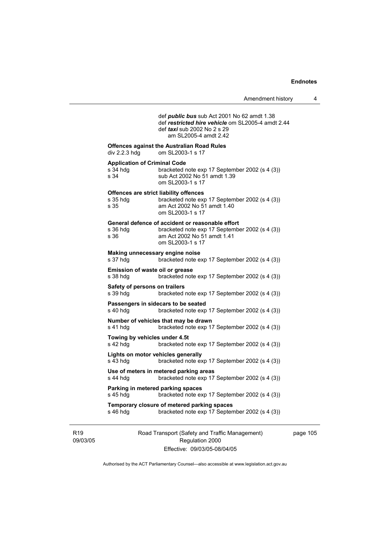def *public bus* sub Act 2001 No 62 amdt 1.38 def *restricted hire vehicle* om SL2005-4 amdt 2.44 def *taxi* sub 2002 No 2 s 29 am SL2005-4 amdt 2.42 **Offences against the Australian Road Rules**  div 2.2.3 hdg om SL2003-1 s 17 **Application of Criminal Code**  s 34 hdg bracketed note exp 17 September 2002 (s 4 (3))<br>s 34 sub Act 2002 No 51 amdt 1.39 sub Act 2002 No 51 amdt 1.39 om SL2003-1 s 17 **Offences are strict liability offences**  s 35 hdg bracketed note exp 17 September 2002 (s 4 (3))<br>s 35 am Act 2002 No 51 amdt 1.40 am Act 2002 No 51 amdt 1.40 om SL2003-1 s 17 **General defence of accident or reasonable effort**  s 36 hdg bracketed note exp 17 September 2002 (s 4 (3))

| s 36 | am Act 2002 No 51 amdt 1.41 |  |
|------|-----------------------------|--|
|      | om SL2003-1 s 17            |  |
|      |                             |  |

# **Making unnecessary engine noise**  bracketed note exp 17 September 2002 (s 4 (3)) **Emission of waste oil or grease**  s 38 hdg bracketed note exp 17 September 2002 (s 4 (3)) **Safety of persons on trailers**  s 39 hdg bracketed note exp 17 September 2002 (s 4 (3)) **Passengers in sidecars to be seated**

s 40 hdg bracketed note exp 17 September 2002 (s 4 (3))

# **Number of vehicles that may be drawn**

s 41 hdg bracketed note exp 17 September 2002 (s 4 (3))

#### **Towing by vehicles under 4.5t**

s 42 hdg bracketed note exp 17 September 2002 (s 4 (3))

#### **Lights on motor vehicles generally**  s 43 hdg bracketed note exp 17 September 2002 (s 4 (3))

#### **Use of meters in metered parking areas**  s 44 hdg bracketed note exp 17 September 2002 (s 4 (3))

#### **Parking in metered parking spaces**  s 45 hdg bracketed note exp 17 September 2002 (s 4 (3))

**Temporary closure of metered parking spaces**  s 46 hdg bracketed note exp 17 September 2002 (s 4 (3))

R19 09/03/05 Road Transport (Safety and Traffic Management) Regulation 2000 Effective: 09/03/05-08/04/05

page 105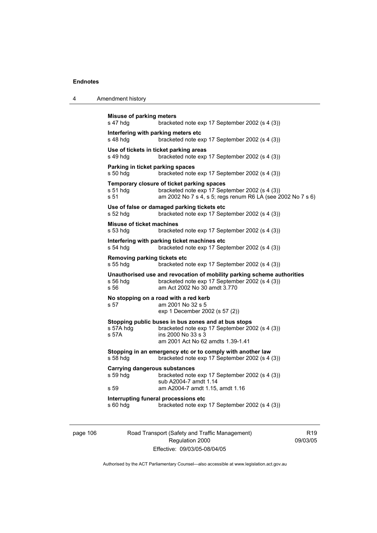| $\overline{4}$ | Amendment history |
|----------------|-------------------|
|----------------|-------------------|

```
Misuse of parking meters 
s 47 hdg bracketed note exp 17 September 2002 (s 4 (3))
Interfering with parking meters etc 
s 48 hdg bracketed note exp 17 September 2002 (s 4 (3)) 
Use of tickets in ticket parking areas 
s 49 hdg bracketed note exp 17 September 2002 (s 4 (3)) 
Parking in ticket parking spaces 
s 50 hdg bracketed note exp 17 September 2002 (s 4 (3)) 
Temporary closure of ticket parking spaces 
s 51 hdg bracketed note exp 17 September 2002 (s 4 (3))
s 51 am 2002 No 7 s 4, s 5; regs renum R6 LA (see 2002 No 7 s 6) 
Use of false or damaged parking tickets etc 
s 52 hdg bracketed note exp 17 September 2002 (s 4 (3)) 
Misuse of ticket machines 
s 53 hdg bracketed note exp 17 September 2002 (s 4 (3)) 
Interfering with parking ticket machines etc 
s 54 hdg bracketed note exp 17 September 2002 (s 4 (3))
Removing parking tickets etc 
s 55 hdg bracketed note exp 17 September 2002 (s 4 (3))
Unauthorised use and revocation of mobility parking scheme authorities 
s 56 hdg bracketed note exp 17 September 2002 (s 4 (3)) 
                 am Act 2002 No 30 amdt 3.770
No stopping on a road with a red kerb 
s 57 am 2001 No 32 s 5 
                  exp 1 December 2002 (s 57 (2)) 
Stopping public buses in bus zones and at bus stops 
s 57A hdg bracketed note exp 17 September 2002 (s 4 (3)) 
s 57A ins 2000 No 33 s 3 
                  am 2001 Act No 62 amdts 1.39-1.41 
Stopping in an emergency etc or to comply with another law 
s 58 hdg bracketed note exp 17 September 2002 (s 4 (3))
Carrying dangerous substances 
s 59 hdg bracketed note exp 17 September 2002 (s 4 (3)) 
                  sub A2004-7 amdt 1.14 
s 59 am A2004-7 amdt 1.15, amdt 1.16 
Interrupting funeral processions etc 
s 60 hdg bracketed note exp 17 September 2002 (s 4 (3))
```
page 106 Road Transport (Safety and Traffic Management) Regulation 2000 Effective: 09/03/05-08/04/05

R19 09/03/05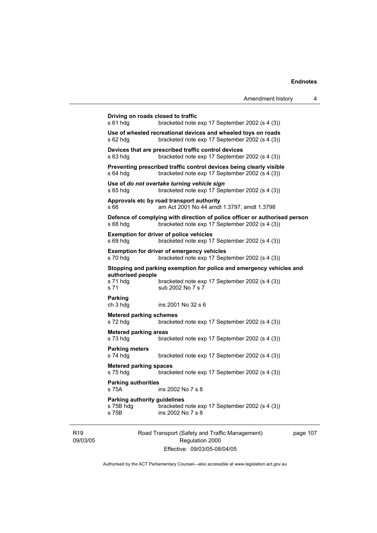```
Driving on roads closed to traffic 
s 61 hdg bracketed note exp 17 September 2002 (s 4 (3)) 
Use of wheeled recreational devices and wheeled toys on roads 
s 62 hdg bracketed note exp 17 September 2002 (s 4 (3)) 
Devices that are prescribed traffic control devices 
s 63 hdg bracketed note exp 17 September 2002 (s 4 (3)) 
Preventing prescribed traffic control devices being clearly visible 
s 64 hdg bracketed note exp 17 September 2002 (s 4 (3)) 
Use of do not overtake turning vehicle sign 
s 65 hdg bracketed note exp 17 September 2002 (s 4 (3)) 
Approvals etc by road transport authority 
s 66 am Act 2001 No 44 amdt 1.3797, amdt 1.3798 
Defence of complying with direction of police officer or authorised person 
s 68 hdg bracketed note exp 17 September 2002 (s 4 (3)) 
Exemption for driver of police vehicles 
s 69 hdg bracketed note exp 17 September 2002 (s 4 (3)) 
Exemption for driver of emergency vehicles 
s 70 hdg bracketed note exp 17 September 2002 (s 4 (3)) 
Stopping and parking exemption for police and emergency vehicles and 
authorised people 
s 71 hdg bracketed note exp 17 September 2002 (s 4 (3))<br>s 71 sub 2002 No 7 s 7
                  sub 2002 No 7 s 7
Parking 
ch 3 hdg ins 2001 No 32 s 6 
Metered parking schemes 
s 72 hdg bracketed note exp 17 September 2002 (s 4 (3))
Metered parking areas 
s 73 hdg bracketed note exp 17 September 2002 (s 4 (3)) 
Parking meters 
s 74 hdg bracketed note exp 17 September 2002 (s 4 (3)) 
Metered parking spaces 
s 75 hdg bracketed note exp 17 September 2002 (s 4 (3)) 
Parking authorities 
s 75A ins 2002 No 7 s 8 
Parking authority guidelines 
s 75B hdg bracketed note exp 17 September 2002 (s 4 (3))<br>s 75B bracketed note \overline{P} s 8
                  ins 2002 No 7 s 8
```
R19 09/03/05 Road Transport (Safety and Traffic Management) Regulation 2000 Effective: 09/03/05-08/04/05

page 107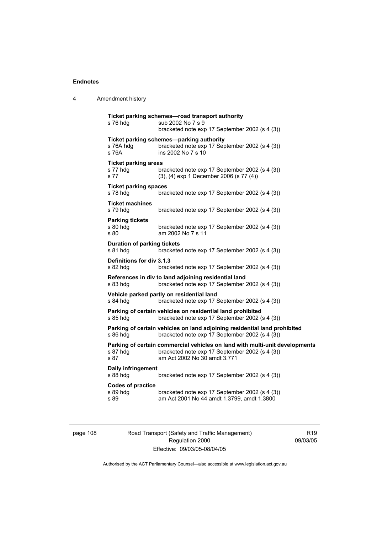| 4 | Amendment history |
|---|-------------------|
|---|-------------------|

| s 76 hdg                                        | Ticket parking schemes-road transport authority<br>sub 2002 No 7 s 9<br>bracketed note exp 17 September 2002 (s 4 (3))                                        |
|-------------------------------------------------|---------------------------------------------------------------------------------------------------------------------------------------------------------------|
| s 76A hdg<br>s 76A                              | Ticket parking schemes-parking authority<br>bracketed note exp 17 September 2002 (s 4 (3))<br>ins 2002 No 7 s 10                                              |
| <b>Ticket parking areas</b><br>s 77 hdg<br>s 77 | bracketed note exp 17 September 2002 (s 4 (3))<br>$(3)$ , $(4)$ exp 1 December 2006 (s 77 $(4)$ )                                                             |
| <b>Ticket parking spaces</b><br>s 78 hdg        | bracketed note exp 17 September 2002 (s 4 (3))                                                                                                                |
| <b>Ticket machines</b><br>s 79 hdg              | bracketed note exp 17 September 2002 (s 4 (3))                                                                                                                |
| <b>Parking tickets</b><br>s 80 hdg<br>s 80      | bracketed note exp 17 September 2002 (s 4 (3))<br>am 2002 No 7 s 11                                                                                           |
| <b>Duration of parking tickets</b><br>s 81 hdg  | bracketed note exp 17 September 2002 (s 4 (3))                                                                                                                |
| Definitions for div 3.1.3<br>s 82 hdg           | bracketed note exp 17 September 2002 (s 4 (3))                                                                                                                |
| s 83 hdg                                        | References in div to land adjoining residential land<br>bracketed note exp 17 September 2002 (s 4 (3))                                                        |
| s 84 hda                                        | Vehicle parked partly on residential land<br>bracketed note exp 17 September 2002 (s 4 (3))                                                                   |
| s 85 hdg                                        | Parking of certain vehicles on residential land prohibited<br>bracketed note exp 17 September 2002 (s 4 (3))                                                  |
| s 86 hdg                                        | Parking of certain vehicles on land adjoining residential land prohibited<br>bracketed note exp 17 September 2002 (s 4 (3))                                   |
| s 87 hdg<br>s 87                                | Parking of certain commercial vehicles on land with multi-unit developments<br>bracketed note exp 17 September 2002 (s 4 (3))<br>am Act 2002 No 30 amdt 3.771 |
| Daily infringement<br>s 88 hdg                  | bracketed note exp 17 September 2002 (s 4 (3))                                                                                                                |
| <b>Codes of practice</b><br>s 89 hdg<br>s 89    | bracketed note exp 17 September 2002 (s 4 (3))<br>am Act 2001 No 44 amdt 1.3799, amdt 1.3800                                                                  |

page 108 Road Transport (Safety and Traffic Management) Regulation 2000 Effective: 09/03/05-08/04/05

R19 09/03/05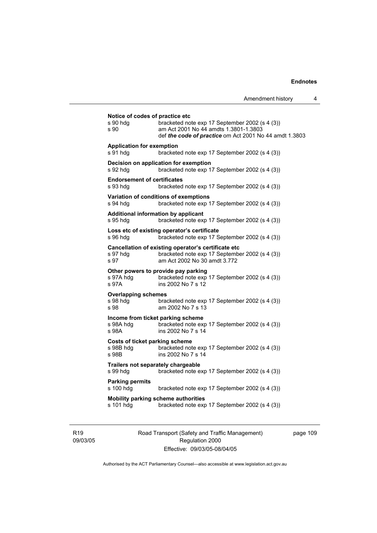| s 90 hda<br>s 90                                     | bracketed note exp 17 September 2002 (s 4 (3))<br>am Act 2001 No 44 amdts 1.3801-1.3803<br>def <i>the code of practice</i> om Act 2001 No 44 amdt 1.3803 |
|------------------------------------------------------|----------------------------------------------------------------------------------------------------------------------------------------------------------|
| <b>Application for exemption</b><br>s 91 hda         | bracketed note exp 17 September 2002 (s 4 (3))                                                                                                           |
| s 92 hdg                                             | Decision on application for exemption<br>bracketed note exp 17 September 2002 (s 4 (3))                                                                  |
| <b>Endorsement of certificates</b><br>s 93 hdg       | bracketed note exp 17 September 2002 (s 4 (3))                                                                                                           |
| s 94 hdg                                             | Variation of conditions of exemptions<br>bracketed note exp 17 September 2002 (s 4 (3))                                                                  |
| s 95 hdg                                             | Additional information by applicant<br>bracketed note exp 17 September 2002 (s 4 (3))                                                                    |
| s 96 hdg                                             | Loss etc of existing operator's certificate<br>bracketed note exp 17 September 2002 (s 4 (3))                                                            |
| s 97 hdq<br>s 97                                     | Cancellation of existing operator's certificate etc<br>bracketed note exp 17 September 2002 (s 4 (3))<br>am Act 2002 No 30 amdt 3.772                    |
| s 97A hdg<br>s 97A                                   | Other powers to provide pay parking<br>bracketed note exp 17 September 2002 (s 4 (3))<br>ins 2002 No 7 s 12                                              |
| <b>Overlapping schemes</b><br>s 98 hda<br>s 98       | bracketed note exp 17 September 2002 (s 4 (3))<br>am 2002 No 7 s 13                                                                                      |
| s 98A hdg<br>s 98A                                   | Income from ticket parking scheme<br>bracketed note exp 17 September 2002 (s 4 (3))<br>ins 2002 No 7 s 14                                                |
| Costs of ticket parking scheme<br>s 98B hdg<br>s 98B | bracketed note exp 17 September 2002 (s 4 (3))<br>ins 2002 No 7 s 14                                                                                     |
| s 99 hdg                                             | Trailers not separately chargeable<br>bracketed note exp 17 September 2002 (s 4 (3))                                                                     |
| <b>Parking permits</b><br>s 100 hdg                  | bracketed note exp 17 September 2002 (s 4 (3))                                                                                                           |
| s 101 hdg                                            | Mobility parking scheme authorities<br>bracketed note exp 17 September 2002 (s 4 (3))                                                                    |

R19 09/03/05 Road Transport (Safety and Traffic Management) Regulation 2000 Effective: 09/03/05-08/04/05

page 109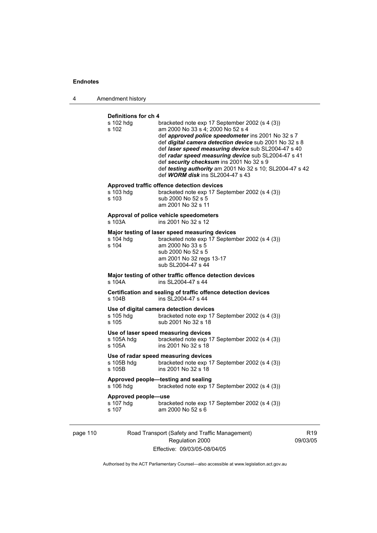4 Amendment history

#### **Definitions for ch 4**

| s 102 hdg<br>s 102                        | bracketed note exp 17 September 2002 (s 4 (3))<br>am 2000 No 33 s 4; 2000 No 52 s 4<br>def approved police speedometer ins 2001 No 32 s 7<br>def digital camera detection device sub 2001 No 32 s 8<br>def laser speed measuring device sub SL2004-47 s 40<br>def radar speed measuring device sub SL2004-47 s 41<br>def security checksum ins 2001 No 32 s 9<br>def testing authority am 2001 No 32 s 10; SL2004-47 s 42<br>def WORM disk ins SL2004-47 s 43 |
|-------------------------------------------|---------------------------------------------------------------------------------------------------------------------------------------------------------------------------------------------------------------------------------------------------------------------------------------------------------------------------------------------------------------------------------------------------------------------------------------------------------------|
|                                           | Approved traffic offence detection devices                                                                                                                                                                                                                                                                                                                                                                                                                    |
| s 103 hdg<br>s 103                        | bracketed note exp 17 September 2002 (s 4 (3))<br>sub 2000 No 52 s 5<br>am 2001 No 32 s 11                                                                                                                                                                                                                                                                                                                                                                    |
| s 103A                                    | Approval of police vehicle speedometers<br>ins 2001 No 32 s 12                                                                                                                                                                                                                                                                                                                                                                                                |
| s 104 hdg<br>s 104                        | Major testing of laser speed measuring devices<br>bracketed note exp 17 September 2002 (s 4 (3))<br>am 2000 No 33 s 5<br>sub 2000 No 52 s 5<br>am 2001 No 32 regs 13-17<br>sub SL2004-47 s 44                                                                                                                                                                                                                                                                 |
| s 104A                                    | Major testing of other traffic offence detection devices<br>ins SL2004-47 s 44                                                                                                                                                                                                                                                                                                                                                                                |
| s 104B                                    | Certification and sealing of traffic offence detection devices<br>ins SL2004-47 s 44                                                                                                                                                                                                                                                                                                                                                                          |
| s 105 hdg<br>s 105                        | Use of digital camera detection devices<br>bracketed note exp 17 September 2002 (s 4 (3))<br>sub 2001 No 32 s 18                                                                                                                                                                                                                                                                                                                                              |
| s 105A hdg<br>s 105A                      | Use of laser speed measuring devices<br>bracketed note exp 17 September 2002 (s 4 (3))<br>ins 2001 No 32 s 18                                                                                                                                                                                                                                                                                                                                                 |
| s 105B hdg<br>s 105B                      | Use of radar speed measuring devices<br>bracketed note exp 17 September 2002 (s 4 (3))<br>ins 2001 No 32 s 18                                                                                                                                                                                                                                                                                                                                                 |
| s 106 hdg                                 | Approved people-testing and sealing<br>bracketed note exp 17 September 2002 (s 4 (3))                                                                                                                                                                                                                                                                                                                                                                         |
| Approved people-use<br>s 107 hdg<br>s 107 | bracketed note exp 17 September 2002 (s 4 (3))<br>am 2000 No 52 s 6                                                                                                                                                                                                                                                                                                                                                                                           |
|                                           |                                                                                                                                                                                                                                                                                                                                                                                                                                                               |

page 110 Road Transport (Safety and Traffic Management) Regulation 2000 Effective: 09/03/05-08/04/05

R19

09/03/05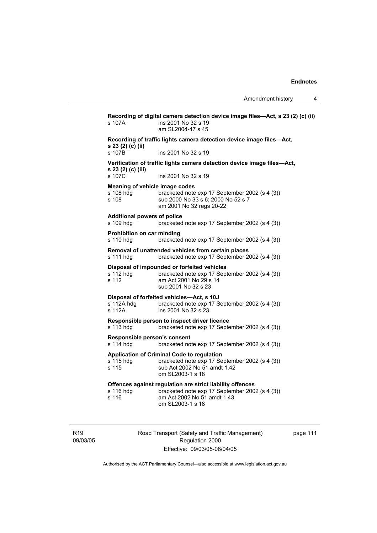**Recording of digital camera detection device image files—Act, s 23 (2) (c) (ii)**  s 107A ins 2001 No 32 s 19 am SL2004-47 s 45 **Recording of traffic lights camera detection device image files—Act, s 23 (2) (c) (ii)**  s 107B ins 2001 No 32 s 19 **Verification of traffic lights camera detection device image files—Act, s 23 (2) (c) (iii)**  ins 2001 No 32 s 19 **Meaning of vehicle image codes**  s 108 hdg bracketed note exp 17 September 2002 (s 4 (3))<br>s 108 sub 2000 No 33 s 6: 2000 No 52 s 7 sub 2000 No 33 s 6; 2000 No 52 s 7 am 2001 No 32 regs 20-22 **Additional powers of police**  s 109 hdg bracketed note exp 17 September 2002 (s 4 (3)) **Prohibition on car minding**  s 110 hdg bracketed note exp 17 September 2002 (s 4 (3)) **Removal of unattended vehicles from certain places**  s 111 hdg bracketed note exp 17 September 2002 (s 4 (3)) **Disposal of impounded or forfeited vehicles**  bracketed note exp 17 September 2002 (s 4 (3)) s 112 am Act 2001 No 29 s 14 sub 2001 No 32 s 23 **Disposal of forfeited vehicles—Act, s 10J**  s 112A hdg bracketed note exp 17 September 2002 (s 4 (3)) s 112A ins 2001 No 32 s 23 **Responsible person to inspect driver licence**  bracketed note exp 17 September 2002 (s 4 (3)) **Responsible person's consent**  s 114 hdg bracketed note exp 17 September 2002 (s 4 (3)) **Application of Criminal Code to regulation**  s 115 hdg bracketed note exp 17 September 2002 (s 4 (3)) s 115 sub Act 2002 No 51 amdt 1.42 om SL2003-1 s 18 **Offences against regulation are strict liability offences**  s 116 hdg bracketed note exp 17 September 2002 (s 4 (3)) s 116 am Act 2002 No 51 amdt 1.43 om SL2003-1 s 18

R19 09/03/05 Road Transport (Safety and Traffic Management) Regulation 2000 Effective: 09/03/05-08/04/05

page 111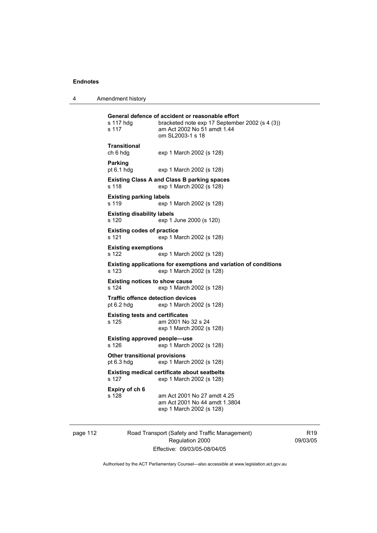4 Amendment history

| s 117 hdq<br>s 117                                   | General defence of accident or reasonable effort<br>bracketed note exp 17 September 2002 (s 4 (3))<br>am Act 2002 No 51 amdt 1.44<br>om SL2003-1 s 18 |
|------------------------------------------------------|-------------------------------------------------------------------------------------------------------------------------------------------------------|
| <b>Transitional</b><br>ch 6 hdg                      | exp 1 March 2002 (s 128)                                                                                                                              |
| <b>Parking</b><br>pt $6.1$ hdg                       | exp 1 March 2002 (s 128)                                                                                                                              |
| s 118                                                | <b>Existing Class A and Class B parking spaces</b><br>exp 1 March 2002 (s 128)                                                                        |
| <b>Existing parking labels</b><br>s 119              | exp 1 March 2002 (s 128)                                                                                                                              |
| <b>Existing disability labels</b><br>s 120           | exp 1 June 2000 (s 120)                                                                                                                               |
| <b>Existing codes of practice</b><br>s 121           | exp 1 March 2002 (s 128)                                                                                                                              |
| <b>Existing exemptions</b><br>s 122                  | exp 1 March 2002 (s 128)                                                                                                                              |
| s 123                                                | Existing applications for exemptions and variation of conditions<br>exp 1 March 2002 (s 128)                                                          |
| <b>Existing notices to show cause</b><br>s 124       | exp 1 March 2002 (s 128)                                                                                                                              |
| Traffic offence detection devices<br>pt $6.2$ hdg    | exp 1 March 2002 (s 128)                                                                                                                              |
| <b>Existing tests and certificates</b><br>s 125      | am 2001 No 32 s 24<br>exp 1 March 2002 (s 128)                                                                                                        |
| <b>Existing approved people-use</b><br>s 126         | exp 1 March 2002 (s 128)                                                                                                                              |
| <b>Other transitional provisions</b><br>pt $6.3$ hdg | exp 1 March 2002 (s 128)                                                                                                                              |
| s 127                                                | <b>Existing medical certificate about seatbelts</b><br>exp 1 March 2002 (s 128)                                                                       |
| Expiry of ch 6<br>s 128                              | am Act 2001 No 27 amdt 4.25<br>am Act 2001 No 44 amdt 1.3804<br>exp 1 March 2002 (s 128)                                                              |

page 112 Road Transport (Safety and Traffic Management) Regulation 2000 Effective: 09/03/05-08/04/05

R19 09/03/05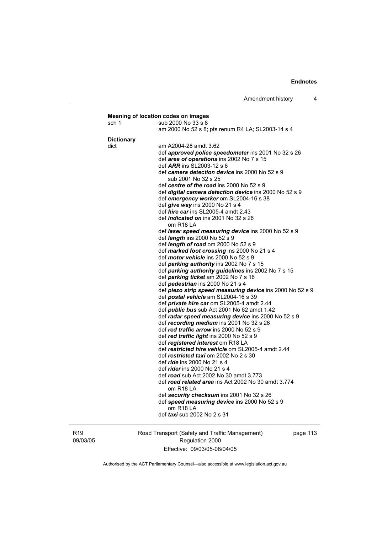| sch 1             | sub 2000 No 33 s 8                                                                         |
|-------------------|--------------------------------------------------------------------------------------------|
|                   | am 2000 No 52 s 8; pts renum R4 LA; SL2003-14 s 4                                          |
| <b>Dictionary</b> |                                                                                            |
| dict              | am A2004-28 amdt 3.62                                                                      |
|                   | def approved police speedometer ins 2001 No 32 s 26                                        |
|                   | def area of operations ins 2002 No 7 s 15                                                  |
|                   | def $ARR$ ins SL2003-12 s 6                                                                |
|                   | def camera detection device ins 2000 No 52 s 9                                             |
|                   | sub 2001 No 32 s 25                                                                        |
|                   | def centre of the road ins 2000 No 52 s 9                                                  |
|                   | def <i>digital camera detection device</i> ins 2000 No 52 s 9                              |
|                   | def emergency worker om SL2004-16 s 38                                                     |
|                   | def <i>give</i> way ins 2000 No 21 s 4                                                     |
|                   | def <i>hire car</i> ins SL2005-4 amdt 2.43                                                 |
|                   | def <i>indicated on</i> ins 2001 No 32 s 26                                                |
|                   | om R <sub>18</sub> LA                                                                      |
|                   | def laser speed measuring device ins 2000 No 52 s 9                                        |
|                   | def <i>length</i> ins 2000 No 52 s 9                                                       |
|                   | def <i>length of road</i> om $2000$ No $52 s 9$                                            |
|                   | def marked foot crossing ins 2000 No 21 s 4<br>def <i>motor vehicle</i> ins 2000 No 52 s 9 |
|                   | def parking authority ins 2002 No 7 s 15                                                   |
|                   | def parking authority guidelines ins 2002 No 7 s 15                                        |
|                   | def parking ticket am 2002 No 7 s 16                                                       |
|                   | def pedestrian ins 2000 No 21 s 4                                                          |
|                   | def piezo strip speed measuring device ins 2000 No 52 s 9                                  |
|                   | def postal vehicle am SL2004-16 s 39                                                       |
|                   | def <i>private hire car</i> om SL2005-4 amdt 2.44                                          |
|                   | def <i>public bus</i> sub Act 2001 No 62 amdt 1.42                                         |
|                   | def radar speed measuring device ins 2000 No 52 s 9                                        |
|                   | def recording medium ins 2001 No 32 s 26                                                   |
|                   | def red traffic arrow ins 2000 No 52 s 9                                                   |
|                   | def red traffic light ins 2000 No 52 s 9                                                   |
|                   | def registered interest om R18 LA                                                          |
|                   | def restricted hire vehicle om SL2005-4 amdt 2.44                                          |
|                   | def restricted taxi om 2002 No 2 s 30                                                      |
|                   | def <i>ride</i> ins 2000 No 21 s 4                                                         |
|                   | def <i>rider</i> ins 2000 No 21 s 4                                                        |
|                   | def road sub Act 2002 No 30 amdt 3.773                                                     |
|                   | def road related area ins Act 2002 No 30 amdt 3.774                                        |
|                   | om R18 LA                                                                                  |
|                   | def security checksum ins 2001 No 32 s 26                                                  |
|                   | def speed measuring device ins 2000 No 52 s 9                                              |
|                   | om R <sub>18</sub> LA<br>def <i>taxi</i> sub 2002 No 2 s 31                                |

R19 09/03/05 Road Transport (Safety and Traffic Management) Regulation 2000 Effective: 09/03/05-08/04/05

page 113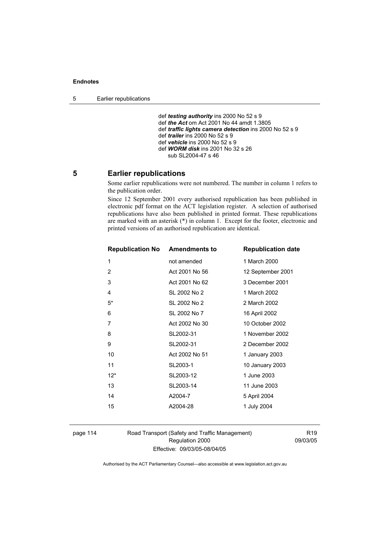5 Earlier republications

 def *testing authority* ins 2000 No 52 s 9 def *the Act* om Act 2001 No 44 amdt 1.3805 def *traffic lights camera detection* ins 2000 No 52 s 9 def *trailer* ins 2000 No 52 s 9 def *vehicle* ins 2000 No 52 s 9 def *WORM disk* ins 2001 No 32 s 26 sub SL2004-47 s 46

# **5 Earlier republications**

Some earlier republications were not numbered. The number in column 1 refers to the publication order.

Since 12 September 2001 every authorised republication has been published in electronic pdf format on the ACT legislation register. A selection of authorised republications have also been published in printed format. These republications are marked with an asterisk (\*) in column 1. Except for the footer, electronic and printed versions of an authorised republication are identical.

| <b>Republication No Amendments to</b> |                | <b>Republication date</b> |
|---------------------------------------|----------------|---------------------------|
| 1                                     | not amended    | 1 March 2000              |
| 2                                     | Act 2001 No 56 | 12 September 2001         |
| 3                                     | Act 2001 No 62 | 3 December 2001           |
| 4                                     | SL 2002 No 2   | 1 March 2002              |
| $5*$                                  | SL 2002 No 2   | 2 March 2002              |
| 6                                     | SL 2002 No 7   | 16 April 2002             |
| 7                                     | Act 2002 No 30 | 10 October 2002           |
| 8                                     | SL2002-31      | 1 November 2002           |
| 9                                     | SL2002-31      | 2 December 2002           |
| 10                                    | Act 2002 No 51 | 1 January 2003            |
| 11                                    | SL2003-1       | 10 January 2003           |
| $12*$                                 | SL2003-12      | 1 June 2003               |
| 13                                    | SL2003-14      | 11 June 2003              |
| 14                                    | A2004-7        | 5 April 2004              |
| 15                                    | A2004-28       | 1 July 2004               |
|                                       |                |                           |

page 114 Road Transport (Safety and Traffic Management) Regulation 2000 Effective: 09/03/05-08/04/05

R19 09/03/05